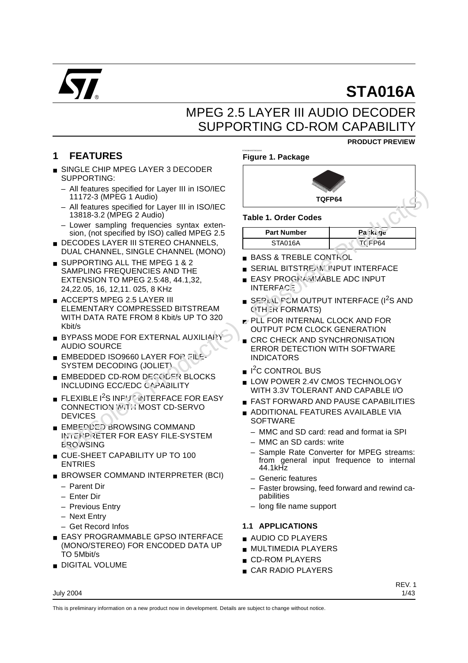

# **STA016A**

**PRODUCT PREVIEW**

## MPEG 2.5 LAYER III AUDIO DECODER SUPPORTING CD-ROM CAPABILITY

## **1 FEATURES**

- SINGLE CHIP MPEG LAYER 3 DECODER SUPPORTING:
	- All features specified for Layer III in ISO/IEC 11172-3 (MPEG 1 Audio)
	- All features specified for Layer III in ISO/IEC 13818-3.2 (MPEG 2 Audio)
	- Lower sampling frequencies syntax extension, (not specified by ISO) called MPEG 2.5
- DECODES LAYER III STEREO CHANNELS, DUAL CHANNEL, SINGLE CHANNEL (MONO)
- SUPPORTING ALL THE MPEG 1 & 2 SAMPLING FREQUENCIES AND THE EXTENSION TO MPEG 2.5:48, 44.1,32, 24,22.05, 16, 12,11. 025, 8 KHz
- ACCEPTS MPEG 2.5 LAYER III ELEMENTARY COMPRESSED BITSTREAM WITH DATA RATE FROM 8 Kbit/s UP TO 320 Kbit/s A leading frequencies synthesis of the state of the state of the state of the state of the state of the state Production College Production State Production State Production State Production State Production State Producti
	- **BYPASS MODE FOR EXTERNAL AUXILIARY** AUDIO SOURCE
	- EMBEDDED ISO9660 LAYER FOR FILE-SYSTEM DECODING (JOLIET)
	- EMBEDDED CD-ROM DECOLER BLOCKS INCLUDING ECC/EDC CAPABILITY
	- **EXIBLE 12S INPUT INTERFACE FOR EASY** CONNECTION WITH MOST CD-SERVO **DEVICES**
	- EMBEDDED BROWSING COMMAND INTERPRETER FOR EASY FILE-SYSTEM **EROWSING**
	- CUE-SHEET CAPABILITY UP TO 100 ENTRIES
	- BROWSER COMMAND INTERPRETER (BCI)
		- Parent Dir
		- Enter Dir
		- Previous Entry
		- Next Entry
		- Get Record Infos
	- EASY PROGRAMMABLE GPSO INTERFACE (MONO/STEREO) FOR ENCODED DATA UP TO 5Mbit/s
	- DIGITAL VOLUME

## **Figure 1. Package**

STA016AASTA016AA



## **Table 1. Order Codes**

| <b>Part Number</b> | Pa⇔ka qe |
|--------------------|----------|
| STA016A            | TC FP64  |

- BASS & TREBLE CONTROL
- SERIAL BITSTREAM INPUT INTERFACE
- **EASY PROGRAMMABLE ADC INPUT INTERFACE**
- SERIAL FCM OUTPUT INTERFACE (I<sup>2</sup>S AND OTHER FORMATS)
- PLL FOR INTERNAL CLOCK AND FOR OUTPUT PCM CLOCK GENERATION
- CRC CHECK AND SYNCHRONISATION ERROR DETECTION WITH SOFTWARE INDICATORS
- I<sup>2</sup>C CONTROL BUS
- LOW POWER 2.4V CMOS TECHNOLOGY WITH 3.3V TOLERANT AND CAPABLE I/O
- FAST FORWARD AND PAUSE CAPABILITIES
- ADDITIONAL FEATURES AVAILABLE VIA **SOFTWARE** 
	- MMC and SD card: read and format ia SPI
	- MMC an SD cards: write
	- Sample Rate Converter for MPEG streams: from general input frequence to internal 44.1kHz
	- Generic features
	- Faster browsing, feed forward and rewind capabilities
	- long file name support

## **1.1 APPLICATIONS**

- AUDIO CD PLAYERS
- MULTIMEDIA PLAYERS
- CD-ROM PLAYERS
- CAR RADIO PLAYERS

#### July 2004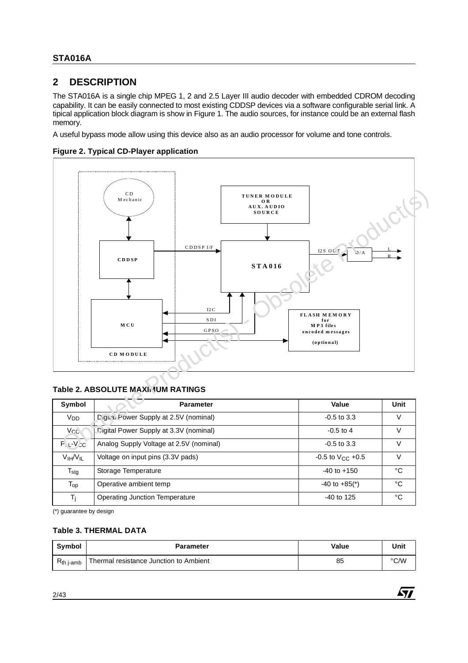## **2 DESCRIPTION**

The STA016A is a single chip MPEG 1, 2 and 2.5 Layer III audio decoder with embedded CDROM decoding capability. It can be easily connected to most existing CDDSP devices via a software configurable serial link. A tipical application block diagram is show in Figure 1. The audio sources, for instance could be an external flash memory.

A useful bypass mode allow using this device also as an audio processor for volume and tone controls.





## **Table 2. ABSOLUTE MAXIMUM RATINGS**

| Symbol                           | <b>Parameter</b>                        | Value                         | Unit |
|----------------------------------|-----------------------------------------|-------------------------------|------|
| V <sub>DD</sub>                  | Digital Power Supply at 2.5V (nominal)  | $-0.5$ to 3.3                 |      |
| V <sub>CC</sub>                  | Digital Power Supply at 3.3V (nominal)  | $-0.5$ to 4                   | V    |
| $P_1 + V_2C$                     | Analog Supply Voltage at 2.5V (nominal) | $-0.5$ to 3.3                 |      |
| V <sub>IH</sub> /V <sub>IL</sub> | Voltage on input pins (3.3V pads)       | $-0.5$ to $V_{CC}$ +0.5       |      |
| $T_{\text{stg}}$                 | Storage Temperature                     | $-40$ to $+150$               | °C   |
| $T_{\text{op}}$                  | Operative ambient temp                  | $-40$ to $+85$ <sup>*</sup> ) | °C   |
| T <sub>i</sub>                   | <b>Operating Junction Temperature</b>   | $-40$ to 125                  | °C   |

(\*) guarantee by design

## **Table 3. THERMAL DATA**

| <b>Symbol</b>  | <b>Parameter</b>                       | Value | Unit |
|----------------|----------------------------------------|-------|------|
| $R_{th}$ j-amb | Thermal resistance Junction to Ambient | 85    | °C/W |

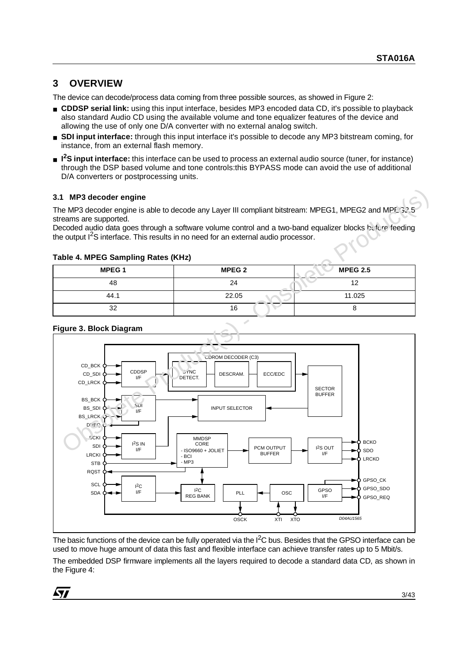## **3 OVERVIEW**

The device can decode/process data coming from three possible sources, as showed in Figure 2:

- **CDDSP serial link:** using this input interface, besides MP3 encoded data CD, it's possible to playback also standard Audio CD using the available volume and tone equalizer features of the device and allowing the use of only one D/A converter with no external analog switch.
- **SDI input interface:** through this input interface it's possible to decode any MP3 bitstream coming, for instance, from an external flash memory.
- **I<sup>2</sup>S input interface:** this interface can be used to process an external audio source (tuner, for instance) through the DSP based volume and tone controls:this BYPASS mode can avoid the use of additional D/A converters or postprocessing units.

## **3.1 MP3 decoder engine**

The MP3 decoder engine is able to decode any Layer III compliant bitstream: MPEG1, MPEG2 and MPF, 32.5 streams are supported.

Decoded audio data goes through a software volume control and a two-band equalizer blocks before feeding the output  $1<sup>2</sup>S$  interface. This results in no need for an external audio processor.

## **Table 4. MPEG Sampling Rates (KHz)**

| <b>MPEG1</b> | <b>MPEG 2</b> | <b>MPEG 2.5</b> |
|--------------|---------------|-----------------|
| 48           | 24            | 12              |
| 44.1         | 22.05         | 11.025          |
| 32           | 16            |                 |

#### CDDSP I/F SECTOR BUFFER SYNC **DETECT MMDSP** CORE - ISO9660 + JOLIET - BCI - MP3 **DESCRAM** INPUT SELECTOR CDROM DECODER (C3) ECC/EDC CD\_BCK CD\_SDI CD\_LRCK I2S IN I/F BCKI SDI LRCKI **STB** RQST  $I^{2}C$  $I/F$   $I^2C$  $REG BANK$  PLL OSCK XTI XTO OSC PCM OUTPUT BUFFER I2S OUT I/F GPSO I/F **SCL** SDA GPSO\_REQ GPSO\_SDO GPSO\_CK LRCKO SDO **BCKO** SDI I/F BS\_BCK BS\_SDI BS\_LRCK D<sub>R</sub>EC D04AU1565 3.1 MP3 decoder engine<br>
The MP3 decoder angine is able to decode any Layer III compliant bitstream: MPEG1, MPEG2 and MPE-32<br>
Stecons are supported.<br>
Decoded adjoint data goes brough a software volume control and a two-ban

## **Figure 3. Block Diagram**

The basic functions of the device can be fully operated via the I<sup>2</sup>C bus. Besides that the GPSO interface can be used to move huge amount of data this fast and flexible interface can achieve transfer rates up to 5 Mbit/s.

The embedded DSP firmware implements all the layers required to decode a standard data CD, as shown in the Figure 4: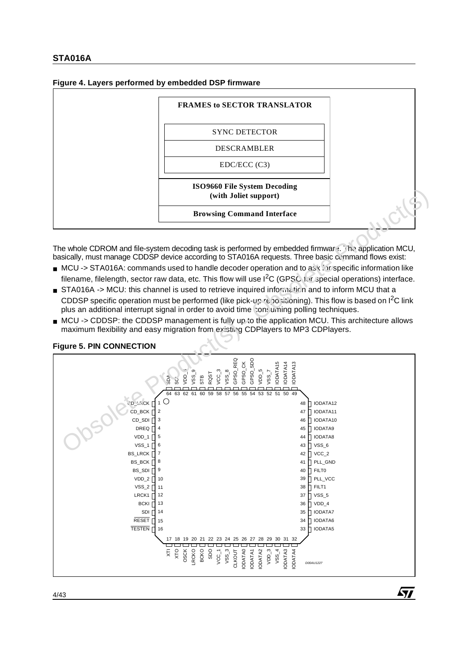## **Figure 4. Layers performed by embedded DSP firmware**

| <b>SYNC DETECTOR</b><br><b>DESCRAMBLER</b><br>EDC/ECC (C3) | ISO9660 File System Decoding<br>(with Joliet support) |
|------------------------------------------------------------|-------------------------------------------------------|
|                                                            |                                                       |
|                                                            |                                                       |
|                                                            |                                                       |

The whole CDROM and file-system decoding task is performed by embedded firmware. The application MCU, basically, must manage CDDSP device according to STA016A requests. Three basic command flows exist:

- MCU -> STA016A: commands used to handle decoder operation and to ask for specific information like filename, filelength, sector raw data, etc. This flow will use  $I^2C$  (GPSC for special operations) interface.
- STA016A -> MCU: this channel is used to retrieve inquired information and to inform MCU that a CDDSP specific operation must be performed (like pick-up repositioning). This flow is based on I<sup>2</sup>C link plus an additional interrupt signal in order to avoid time consuming polling techniques.
- MCU -> CDDSP: the CDDSP management is fully up to the application MCU. This architecture allows maximum flexibility and easy migration from existing CDPlayers to MP3 CDPlayers.

#### Controller to the Controller of the Controller of the Controller of the Controller of the Controller of the Controller Controller Controller Controller Controller Controller Controller Controller Controller Controller Cont GPSO\_REQ GPSO\_SDO GPSO\_CK IODATA15 IODATA14 IODATA13 VSS\_8 VDD\_5 VSS\_7 VCC\_3  $\frac{1}{62}$ RQST  $v_{\rm SS}$ 60STB 59 58 57 56 55 53 52 51 50 49 54 63SCL 64SDA **CD\_LRCK** F 1 **IODATA12** 48 2 CD\_BCK  $\Gamma$ 47 **IODATA11** 3 IODATA10 CD\_SDI<sup>[</sup> 46 4 IODATA9 DREQ **D** 45 VDD\_1 5 44 IODATA8 6 VSS\_6 VSS<sub>1</sub> 43 BS\_LRCK 7 42  $\mathsf{\Pi}$  VCC\_2 BS\_BCK 8 41 PLL\_GND BS\_SDI<sup>[</sup> 9 **h** FILTO 40  $VDD_2$ 39 **PLL\_VCC** 10  $VSS_2$ **h** FILT1 11 38 LRCK1 37 VSS<sub>5</sub> 12 **BCKI** 13 36  $\n **YDD** 4\n$ SDI<sup>[]</sup> IODATA7 14 35 RESET<sub>[</sub> 34 IODATA6 15 TESTEN<sub>[16</sub> 33 **IODATA5** 27 28 29 30 31 32 22 23 24 25 26 17 18 19 20 21  $VSS_3$ LRCKO BCKO SDO VCC\_1 CLKOUT **ODATA0** IODATA1 ODATA<sub>2</sub> VDD\_3  $VSS_4$ IODATA3 OSCK XTI XTO IODATA0 IODATA3 ODATA4 IODATA4 D00AU1227

Á7/

## **Figure 5. PIN CONNECTION**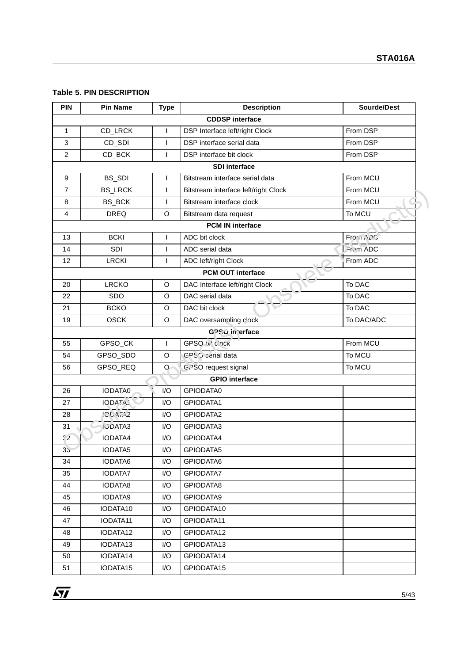### **Table 5. PIN DESCRIPTION**

| <b>PIN</b>       | <b>Pin Name</b> | <b>Type</b>  | <b>Description</b>                   | Sourde/Dest |
|------------------|-----------------|--------------|--------------------------------------|-------------|
|                  |                 |              | <b>CDDSP</b> interface               |             |
| $\mathbf{1}$     | CD_LRCK         | $\mathsf{I}$ | DSP Interface left/right Clock       | From DSP    |
| 3                | CD_SDI          | $\mathsf{I}$ | DSP interface serial data            | From DSP    |
| $\overline{c}$   | CD_BCK          | $\mathbf{I}$ | DSP interface bit clock              | From DSP    |
|                  |                 |              | <b>SDI</b> interface                 |             |
| $\boldsymbol{9}$ | BS_SDI          | $\mathsf{I}$ | Bitstream interface serial data      | From MCU    |
| $\overline{7}$   | <b>BS_LRCK</b>  | $\mathbf{I}$ | Bitstream interface left/right Clock | From MCU    |
| 8                | BS_BCK          | $\mathbf{I}$ | Bitstream interface clock            | From MCU    |
| $\overline{4}$   | <b>DREQ</b>     | O            | Bitstream data request               | To MCU      |
|                  |                 |              | <b>PCM IN interface</b>              |             |
| 13               | <b>BCKI</b>     | $\mathsf{I}$ | ADC bit clock                        | Frora APC   |
| 14               | SDI             | $\mathbf{I}$ | ADC serial data                      | From ADC    |
| 12               | <b>LRCKI</b>    | $\mathsf{I}$ | ADC left/right Clock                 | From ADC    |
|                  |                 |              | <b>PCM OUT interface</b>             |             |
| 20               | <b>LRCKO</b>    | $\circ$      | DAC Interface left/right Clock       | To DAC      |
| 22               | <b>SDO</b>      | O            | DAC serial data                      | To DAC      |
| 21               | <b>BCKO</b>     | O            | DAC bit clock                        | To DAC      |
| 19               | <b>OSCK</b>     | O            | DAC oversampling clock               | To DAC/ADC  |
|                  |                 |              | <b>GPSO</b> in 'erface               |             |
| 55               | GPSO_CK         | $\mathsf{I}$ | GPSO hit clock                       | From MCU    |
| 54               | GPSO_SDO        | O            | GPSS carial data                     | To MCU      |
| 56               | GPSO_REQ        | O            | G. SO request signal                 | To MCU      |
|                  |                 |              | <b>GPIO</b> interface                |             |
| 26               | IODATA0         | I/O          | GPIODATA0                            |             |
| 27               | IODATA:         | I/O          | GPIODATA1                            |             |
| 28               | <b>ICCATA2</b>  | I/O          | GPIODATA2                            |             |
| 31               | <b>IGDATA3</b>  | I/O          | GPIODATA3                            |             |
| $\overline{32}$  | <b>IODATA4</b>  | I/O          | GPIODATA4                            |             |
| 35               | <b>IODATA5</b>  | 1/O          | GPIODATA5                            |             |
| 34               | IODATA6         | I/O          | GPIODATA6                            |             |
| 35               | <b>IODATA7</b>  | I/O          | GPIODATA7                            |             |
| 44               | IODATA8         | I/O          | GPIODATA8                            |             |
| 45               | IODATA9         | I/O          | GPIODATA9                            |             |
| 46               | IODATA10        | I/O          | GPIODATA10                           |             |
| 47               | IODATA11        | I/O          | GPIODATA11                           |             |
| 48               | IODATA12        | I/O          | GPIODATA12                           |             |
| 49               | IODATA13        | I/O          | GPIODATA13                           |             |
| 50               | IODATA14        | I/O          | GPIODATA14                           |             |
|                  |                 |              |                                      |             |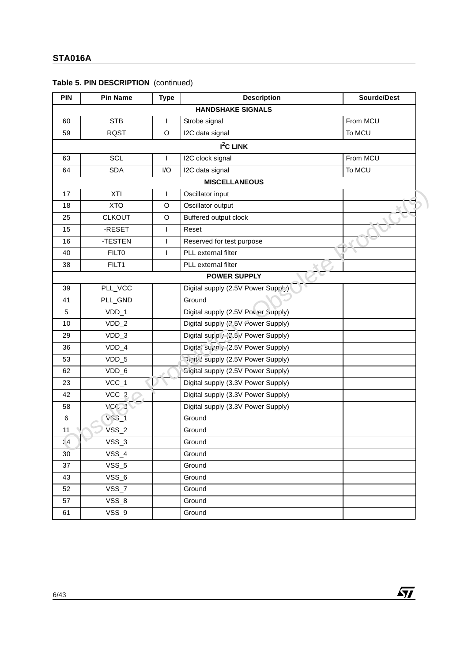| Table 5. PIN DESCRIPTION (continued) |  |
|--------------------------------------|--|
|--------------------------------------|--|

| <b>PIN</b> | <b>Pin Name</b>  | <b>Type</b>  | <b>Description</b>                   | Sourde/Dest |
|------------|------------------|--------------|--------------------------------------|-------------|
|            |                  |              | <b>HANDSHAKE SIGNALS</b>             |             |
| 60         | <b>STB</b>       | $\mathbf{I}$ | Strobe signal                        | From MCU    |
| 59         | <b>RQST</b>      | O            | I2C data signal                      | To MCU      |
|            |                  |              | $I2C$ LINK                           |             |
| 63         | SCL              | $\mathbf{I}$ | I2C clock signal                     | From MCU    |
| 64         | <b>SDA</b>       | I/O          | I2C data signal                      | To MCU      |
|            |                  |              | <b>MISCELLANEOUS</b>                 |             |
| 17         | XTI              | $\mathsf{I}$ | Oscillator input                     |             |
| 18         | <b>XTO</b>       | O            | Oscillator output                    |             |
| 25         | <b>CLKOUT</b>    | O            | Buffered output clock                |             |
| 15         | -RESET           | $\mathbf{I}$ | Reset                                |             |
| 16         | -TESTEN          | $\mathsf{I}$ | Reserved for test purpose            |             |
| 40         | <b>FILTO</b>     | $\mathbf{I}$ | PLL external filter                  |             |
| 38         | FILT1            |              | PLL external filter                  |             |
|            |                  |              | <b>POWER SUPPLY</b>                  |             |
| 39         | PLL_VCC          |              | Digital supply (2.5V Power Supply)   |             |
| 41         | PLL_GND          |              | Ground                               |             |
| 5          | VDD_1            |              | Digital supply (2.5V Pover Supply)   |             |
| 10         | $VDD_2$          |              | Digital supply (2.5V Power Supply)   |             |
| 29         | $VDD_3$          |              | Digital sur ol, (2.5 V Power Supply) |             |
| 36         | $VDD_4$          |              | Digita' suphly (2.5V Power Supply)   |             |
| 53         | $VDD_5$          |              | Oivita! supply (2.5V Power Supply)   |             |
| 62         | $VDD_6$          |              | Cigital supply (2.5V Power Supply)   |             |
| 23         | $VCC_1$          |              | Digital supply (3.3V Power Supply)   |             |
| 42         | $VCC_2$          |              | Digital supply (3.3V Power Supply)   |             |
| 58         | VCC <sub>2</sub> |              | Digital supply (3.3V Power Supply)   |             |
| $\,6\,$    | $V33_1$          |              | Ground                               |             |
| 11         | $VSS_2$          |              | Ground                               |             |
| 14         | $VSS_3$          |              | Ground                               |             |
| 30         | $VSS_4$          |              | Ground                               |             |
| 37         | $VSS_5$          |              | Ground                               |             |
| 43         | $VSS_6$          |              | Ground                               |             |
| 52         | $VSS_7$          |              | Ground                               |             |
| 57         | $VSS_8$          |              | Ground                               |             |
| 61         | $VSS_9$          |              | Ground                               |             |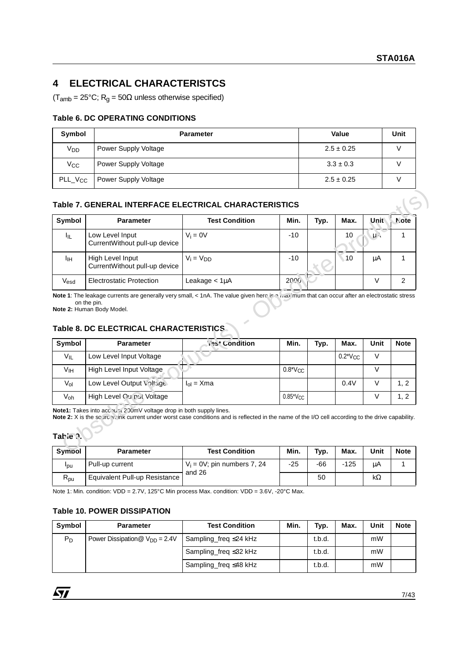## **4 ELECTRICAL CHARACTERISTCS**

 $(T<sub>amb</sub> = 25°C; R<sub>q</sub> = 50 $\Omega$  unless otherwise specified)$ 

## **Table 6. DC OPERATING CONDITIONS**

| Symbol              | <b>Parameter</b>     | Value          | Unit |
|---------------------|----------------------|----------------|------|
| Vpp                 | Power Supply Voltage | $2.5 \pm 0.25$ |      |
| $V_{CC}$            | Power Supply Voltage | $3.3 \pm 0.3$  |      |
| PLL_V <sub>CC</sub> | Power Supply Voltage | $2.5 \pm 0.25$ |      |

## **Table 7. GENERAL INTERFACE ELECTRICAL CHARACTERISTICS**

| Symbol                                      | <b>Parameter</b>                                                                                                                                                                                                        | <b>Test Condition</b>                                   | Min.          | Typ.        | Max.           | <b>Unit</b> | Note             |
|---------------------------------------------|-------------------------------------------------------------------------------------------------------------------------------------------------------------------------------------------------------------------------|---------------------------------------------------------|---------------|-------------|----------------|-------------|------------------|
| ŀμ                                          | Low Level Input<br>CurrentWithout pull-up device                                                                                                                                                                        | $V_i = 0V$                                              | $-10$         |             | 10             | $\mu \sim$  | 1                |
| Iін                                         | High Level Input<br>CurrentWithout pull-up device                                                                                                                                                                       | $V_i = V_{DD}$                                          | $-10$         |             | $\sqrt{10}$    | μA          | 1                |
| Vesd                                        | <b>Electrostatic Protection</b>                                                                                                                                                                                         | Leakage $< 1 \mu A$                                     | 2000          |             |                | $\vee$      | $\overline{2}$   |
|                                             | Note 2: Human Body Model.<br>Table 8. DC ELECTRICAL CHARACTERISTICS<br><b>Parameter</b>                                                                                                                                 | 195 <sup>+</sup> Condition                              | Min.          | Typ.        | Max.           | Unit        | <b>Note</b>      |
|                                             |                                                                                                                                                                                                                         |                                                         |               |             |                |             |                  |
| $V_{IL}$                                    | Low Level Input Voltage                                                                                                                                                                                                 |                                                         |               |             | $0.2^*V_{CC}$  | $\vee$      |                  |
| V <sub>IH</sub>                             | High Level Input Voltage                                                                                                                                                                                                |                                                         | $0.8*V_{CC}$  |             |                | $\vee$      |                  |
| $V_{ol}$                                    | Low Level Output Voltuge                                                                                                                                                                                                | $I_{ol}$ = $X$ ma                                       |               |             | 0.4V           | V           | 1, 2             |
| Symbol<br>Voh                               | High Level Ou'ou' Voltage                                                                                                                                                                                               |                                                         | $0.85*V_{CC}$ |             |                | $\vee$      | 1, 2             |
|                                             | Note1: Takes into acc unic 200mV voltage drop in both supply lines.<br>Note 2: X is the sourch that current under worst case conditions and is reflected in the name of the I/O cell according to the drive capability. |                                                         |               |             |                |             |                  |
| Tatie .<br><b>Sympol</b><br>$I_{\text{pu}}$ | <b>Parameter</b><br>Pull-up current                                                                                                                                                                                     | <b>Test Condition</b><br>$V_i = 0V$ ; pin numbers 7, 24 | Min.<br>$-25$ | Typ.<br>-66 | Max.<br>$-125$ | Unit<br>μA  | <b>Note</b><br>1 |

## **Table 8. DC ELECTRICAL CHARACTERISTICS**

| Symbol   | <b>Parameter</b>          | 195' Condition | Min.                         | Typ. | Max.                    | Unit | <b>Note</b> |
|----------|---------------------------|----------------|------------------------------|------|-------------------------|------|-------------|
| $V_{IL}$ | Low Level Input Voltage   |                |                              |      | $0.2^*$ V <sub>CC</sub> | v    |             |
| Vıн      | High Level Input Voltage  |                | $0.8*V_{CC}$                 |      |                         |      |             |
| $V_{ol}$ | Low Level Output Voltage  | $I_{ol}$ = Xma |                              |      | 0.4V                    |      | 1, 2        |
| Voh      | High Level Ou'put Voltage |                | $0.85$ <sup>*</sup> $V_{CC}$ |      |                         |      | 1, 2        |

### **Table 3.**

| <b>Sympol</b>                       | <b>Parameter</b>              | <b>Test Condition</b>                    | Min.  | Typ.  | Max.   | Unit | <b>Note</b> |
|-------------------------------------|-------------------------------|------------------------------------------|-------|-------|--------|------|-------------|
| l <sub>DU</sub>                     | Pull-up current               | $V_i = 0V$ ; pin numbers 7, 24<br>and 26 | $-25$ | $-66$ | $-125$ | μA   |             |
| $\mathsf{R}_{\mathsf{p}\mathsf{u}}$ | Equivalent Pull-up Resistance |                                          |       | 50    |        | kΩ   |             |

Note 1: Min. condition: VDD = 2.7V, 125°C Min process Max. condition: VDD = 3.6V, -20°C Max.

## **Table 10. POWER DISSIPATION**

| Symbol | <b>Parameter</b>                   | <b>Test Condition</b>       | Min. | Typ.   | Max. | Unit | <b>Note</b> |
|--------|------------------------------------|-----------------------------|------|--------|------|------|-------------|
| $P_D$  | Power Dissipation $@V_{DD} = 2.4V$ | Sampling_freq ≤24 kHz       |      | t.b.d. |      | mW   |             |
|        |                                    | Sampling freq $\leq$ 32 kHz |      | t.b.d. |      | mW   |             |
|        |                                    | Sampling freq $\leq$ 48 kHz |      | t.b.d. |      | mW   |             |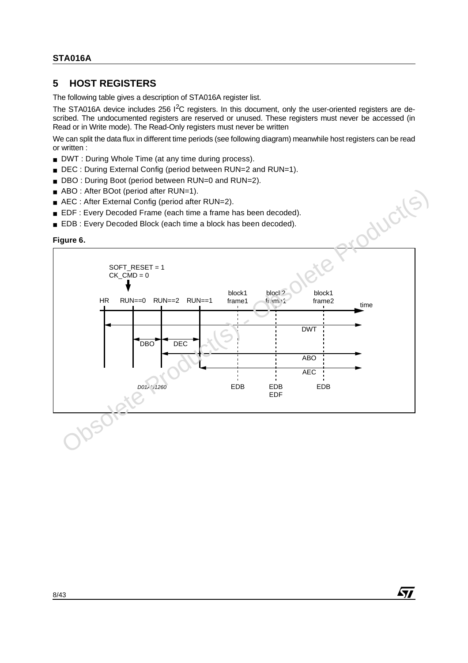## **5 HOST REGISTERS**

The following table gives a description of STA016A register list.

The STA016A device includes 256 I<sup>2</sup>C registers. In this document, only the user-oriented registers are described. The undocumented registers are reserved or unused. These registers must never be accessed (in Read or in Write mode). The Read-Only registers must never be written

We can split the data flux in different time periods (see following diagram) meanwhile host registers can be read or written :

- DWT : During Whole Time (at any time during process).
- DEC : During External Config (period between RUN=2 and RUN=1).
- DBO : During Boot (period between RUN=0 and RUN=2).
- ABO : After BOot (period after RUN=1).
- AEC : After External Config (period after RUN=2).
- EDF : Every Decoded Frame (each time a frame has been decoded).
- EDB : Every Decoded Block (each time a block has been decoded).

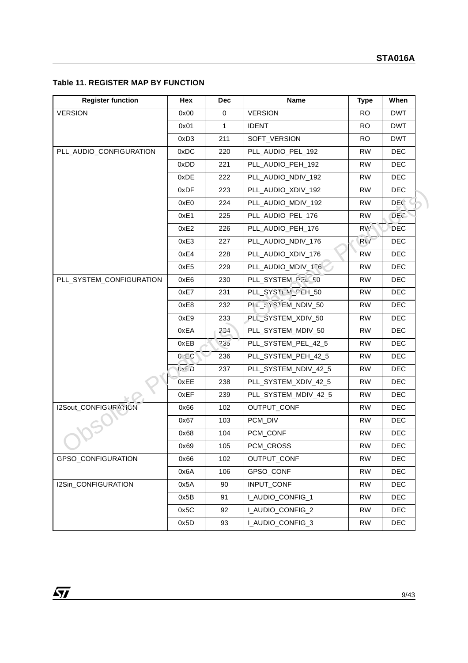## **Table 11. REGISTER MAP BY FUNCTION**

| <b>Register function</b> | Hex         | <b>Dec</b>   | Name                 | <b>Type</b> | When       |
|--------------------------|-------------|--------------|----------------------|-------------|------------|
| <b>VERSION</b>           | 0x00        | 0            | <b>VERSION</b>       | <b>RO</b>   | <b>DWT</b> |
|                          | 0x01        | $\mathbf{1}$ | <b>IDENT</b>         | <b>RO</b>   | <b>DWT</b> |
|                          | 0xD3        | 211          | SOFT_VERSION         | <b>RO</b>   | <b>DWT</b> |
| PLL_AUDIO_CONFIGURATION  | 0xDC        | 220          | PLL_AUDIO_PEL_192    | <b>RW</b>   | <b>DEC</b> |
|                          | 0xDD        | 221          | PLL_AUDIO_PEH_192    | <b>RW</b>   | DEC.       |
|                          | 0xDE        | 222          | PLL_AUDIO_NDIV_192   | <b>RW</b>   | <b>DEC</b> |
|                          | 0xDF        | 223          | PLL_AUDIO_XDIV_192   | <b>RW</b>   | DEC.       |
|                          | 0xE0        | 224          | PLL_AUDIO_MDIV_192   | RW          | DEG.       |
|                          | 0xE1        | 225          | PLL_AUDIO_PEL_176    | <b>RW</b>   | <b>DEC</b> |
|                          | 0xE2        | 226          | PLL_AUDIO_PEH_176    | RW'         | <b>DEC</b> |
|                          | 0xE3        | 227          | PLL_AUDIO_NDIV_176   | RV          | <b>DEC</b> |
|                          | 0xE4        | 228          | PLL_AUDIO_XDIV_176   | <b>RW</b>   | DEC.       |
|                          | 0xE5        | 229          | PLL_AUDIO_MDIV_1.76  | <b>RW</b>   | <b>DEC</b> |
| PLL_SYSTEM_CONFIGURATION | 0xE6        | 230          | PLL SYSTEM P. L FO   | <b>RW</b>   | <b>DEC</b> |
|                          | 0xE7        | 231          | PLL_SYSTEM_FEH_50    | <b>RW</b>   | DEC        |
|                          | 0xE8        | 232          | PLOCYSTEM_NDIV_50    | <b>RW</b>   | <b>DEC</b> |
|                          | 0xE9        | 233          | PLL_SYSTEM_XDIV_50   | <b>RW</b>   | <b>DEC</b> |
|                          | 0xEA        | 201          | PLL_SYSTEM_MDIV_50   | <b>RW</b>   | <b>DEC</b> |
|                          | 0xEB        | 235          | PLL_SYSTEM_PEL_42_5  | <b>RW</b>   | DEC        |
|                          | 0.5C        | 236          | PLL_SYSTEM_PEH_42_5  | <b>RW</b>   | <b>DEC</b> |
|                          | <b>UYED</b> | 237          | PLL_SYSTEM_NDIV_42_5 | <b>RW</b>   | <b>DEC</b> |
|                          | 0xEE        | 238          | PLL_SYSTEM_XDIV_42_5 | <b>RW</b>   | DEC.       |
|                          | 0xEF        | 239          | PLL_SYSTEM_MDIV_42_5 | RW          | <b>DEC</b> |
| I2Sout_CONFIGURATION     | 0x66        | 102          | OUTPUT_CONF          | <b>RW</b>   | <b>DEC</b> |
|                          | 0x67        | 103          | PCM_DIV              | <b>RW</b>   | DEC        |
|                          | 0x68        | 104          | PCM_CONF             | <b>RW</b>   | <b>DEC</b> |
|                          | 0x69        | 105          | PCM_CROSS            | RW          | DEC        |
| GPSO_CONFIGURATION       | 0x66        | 102          | OUTPUT_CONF          | RW.         | <b>DEC</b> |
|                          | 0x6A        | 106          | GPSO_CONF            | <b>RW</b>   | <b>DEC</b> |
| I2Sin_CONFIGURATION      | 0x5A        | 90           | INPUT_CONF           | <b>RW</b>   | <b>DEC</b> |
|                          | 0x5B        | 91           | LAUDIO_CONFIG_1      | <b>RW</b>   | DEC.       |
|                          | 0x5C        | 92           | I_AUDIO_CONFIG_2     | <b>RW</b>   | <b>DEC</b> |
|                          | 0x5D        | 93           | I_AUDIO_CONFIG_3     | <b>RW</b>   | <b>DEC</b> |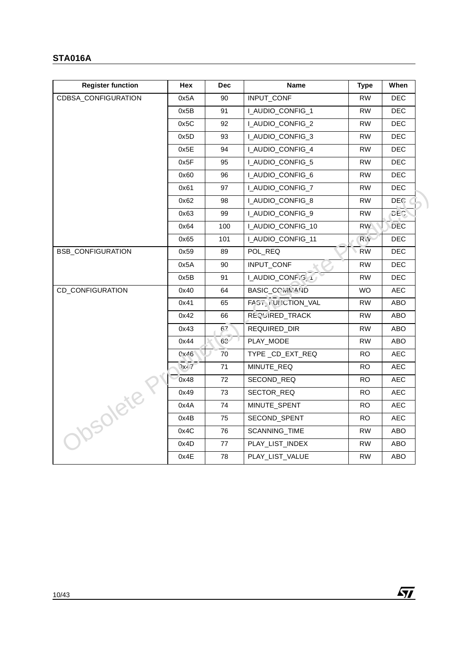| <b>Register function</b>   | Hex           | <b>Dec</b>     | Name              | <b>Type</b> | When       |
|----------------------------|---------------|----------------|-------------------|-------------|------------|
| <b>CDBSA CONFIGURATION</b> | 0x5A          | 90             | INPUT_CONF        | <b>RW</b>   | DEC.       |
|                            | 0x5B          | 91             | I_AUDIO_CONFIG_1  | <b>RW</b>   | DEC.       |
|                            | 0x5C          | 92             | I_AUDIO_CONFIG_2  | <b>RW</b>   | <b>DEC</b> |
|                            | 0x5D          | 93             | I_AUDIO_CONFIG_3  | <b>RW</b>   | DEC.       |
|                            | 0x5E          | 94             | I_AUDIO_CONFIG_4  | <b>RW</b>   | DEC.       |
|                            | 0x5F          | 95             | I_AUDIO_CONFIG_5  | RW          | DEC.       |
|                            | 0x60          | 96             | I_AUDIO_CONFIG_6  | <b>RW</b>   | DEC.       |
|                            | 0x61          | 97             | I_AUDIO_CONFIG_7  | <b>RW</b>   | DEC.       |
|                            | 0x62          | 98             | I_AUDIO_CONFIG_8  | RW          | DEC.       |
|                            | 0x63          | 99             | I_AUDIO_CONFIG_9  | <b>RW</b>   | DE C.      |
|                            | 0x64          | 100            | LAUDIO_CONFIG_10  | RW.         | DEC.       |
|                            | 0x65          | 101            | I_AUDIO_CONFIG_11 | $R_1V$      | <b>DEC</b> |
| <b>BSB_CONFIGURATION</b>   | 0x59          | 89             | POL_REQ           | <b>RW</b>   | <b>DEC</b> |
|                            | 0x5A          | 90             | INPUT_CONF        | <b>RW</b>   | DEC        |
|                            | 0x5B          | 91             | LAUDIO_CONF.G.4   | <b>RW</b>   | <b>DEC</b> |
| CD_CONFIGURATION           | 0x40          | 64             | BASIC_COMMAND     | <b>WO</b>   | AEC.       |
|                            | 0x41          | 65             | FAST UNICTION_VAL | <b>RW</b>   | ABO        |
|                            | 0x42          | 66             | REQUIRED_TRACK    | <b>RW</b>   | ABO        |
|                            | 0x43          | 67             | REQUIRED DIR      | <b>RW</b>   | ABO        |
|                            | 0x44          | 6 <sup>o</sup> | PLAY_MODE         | <b>RW</b>   | ABO        |
|                            | 0x46          | 70             | TYPE_CD_EXT_REQ   | RO.         | <b>AEC</b> |
|                            | $\lambda x^2$ | 71             | MINUTE_REQ        | <b>RO</b>   | <b>AEC</b> |
|                            | 0x48          | 72             | SECOND_REQ        | <b>RO</b>   | <b>AEC</b> |
|                            | 0x49          | 73             | SECTOR REQ        | RO.         | AEC.       |
|                            | 0x4A          | 74             | MINUTE_SPENT      | RO.         | AEC.       |
|                            | 0x4B          | 75             | SECOND_SPENT      | RO.         | AEC.       |
| Obsoleter                  | 0x4C          | 76             | SCANNING_TIME     | <b>RW</b>   | ABO        |
|                            | 0x4D          | 77             | PLAY_LIST_INDEX   | <b>RW</b>   | ABO        |
|                            | 0x4E          | 78             | PLAY_LIST_VALUE   | <b>RW</b>   | ABO        |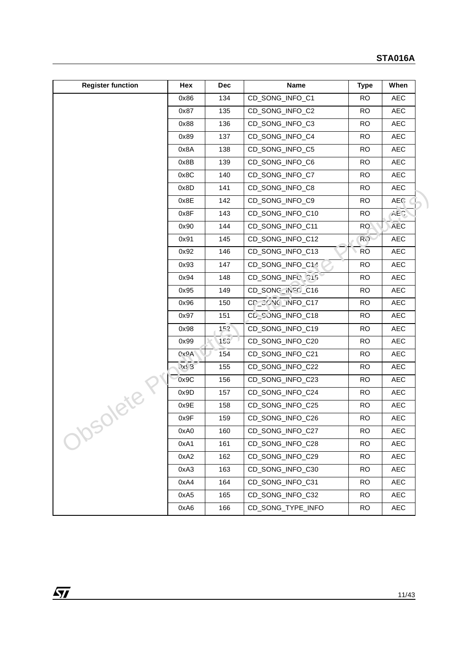| <b>Register function</b> | Hex     | <b>Dec</b> | <b>Name</b>       | <b>Type</b>     | When       |
|--------------------------|---------|------------|-------------------|-----------------|------------|
|                          | 0x86    | 134        | CD_SONG_INFO_C1   | <b>RO</b>       | <b>AEC</b> |
|                          | 0x87    | 135        | CD_SONG_INFO_C2   | <b>RO</b>       | <b>AEC</b> |
|                          | 0x88    | 136        | CD_SONG_INFO_C3   | <b>RO</b>       | <b>AEC</b> |
|                          | 0x89    | 137        | CD_SONG_INFO_C4   | <b>RO</b>       | <b>AEC</b> |
|                          | 0x8A    | 138        | CD_SONG_INFO_C5   | <b>RO</b>       | <b>AEC</b> |
|                          | 0x8B    | 139        | CD_SONG_INFO_C6   | <b>RO</b>       | <b>AEC</b> |
|                          | 0x8C    | 140        | CD_SONG_INFO_C7   | <b>RO</b>       | <b>AEC</b> |
|                          | 0x8D    | 141        | CD_SONG_INFO_C8   | <b>RO</b>       | AEC        |
|                          | 0x8E    | 142        | CD_SONG_INFO_C9   | <b>RO</b>       | AEC        |
|                          | 0x8F    | 143        | CD_SONG_INFO_C10  | <b>RO</b>       | AEC.       |
|                          | 0x90    | 144        | CD_SONG_INFO_C11  | RO <sub>1</sub> | <b>AEC</b> |
|                          | 0x91    | 145        | CD_SONG_INFO_C12  | R()             | <b>AEC</b> |
|                          | 0x92    | 146        | CD_SONG_INFO_C13  | <b>RO</b>       | <b>AEC</b> |
|                          | 0x93    | 147        | CD_SONG_INFO_C14  | <b>RO</b>       | AEC        |
|                          | 0x94    | 148        | CD_SONG_INFU_215  | <b>RO</b>       | <b>AEC</b> |
|                          | 0x95    | 149        | CD_SONG_INFO_C16  | <b>RO</b>       | <b>AEC</b> |
|                          | 0x96    | 150        | CD_CONG_INFO_C17  | <b>RO</b>       | AEC        |
|                          | 0x97    | 151        | CL_SJNG_INFO_C18  | <b>RO</b>       | <b>AEC</b> |
|                          | 0x98    | 152        | CD_SONG_INFO_C19  | <b>RO</b>       | <b>AEC</b> |
|                          | 0x99    | 153'       | CD_SONG_INFO_C20  | <b>RO</b>       | <b>AEC</b> |
|                          | 0x9A    | 154        | CD_SONG_INFO_C21  | <b>RO</b>       | <b>AEC</b> |
|                          | $QX\xi$ | 155        | CD_SONG_INFO_C22  | <b>RO</b>       | <b>AEC</b> |
|                          | 0x9C    | 156        | CD_SONG_INFO_C23  | <b>RO</b>       | <b>AEC</b> |
| Solete                   | 0x9D    | 157        | CD_SONG_INFO_C24  | <b>RO</b>       | AEC        |
|                          | 0x9E    | 158        | CD_SONG_INFO_C25  | <b>RO</b>       | <b>AEC</b> |
|                          | 0x9F    | 159        | CD_SONG_INFO_C26  | <b>RO</b>       | <b>AEC</b> |
| ヽ                        | 0xA0    | 160        | CD_SONG_INFO_C27  | <b>RO</b>       | AEC        |
|                          | 0xA1    | 161        | CD_SONG_INFO_C28  | RO.             | AEC        |
|                          | 0xA2    | 162        | CD_SONG_INFO_C29  | <b>RO</b>       | <b>AEC</b> |
|                          | 0xA3    | 163        | CD_SONG_INFO_C30  | <b>RO</b>       | <b>AEC</b> |
|                          | 0xA4    | 164        | CD_SONG_INFO_C31  | <b>RO</b>       | AEC        |
|                          | 0xA5    | 165        | CD_SONG_INFO_C32  | <b>RO</b>       | AEC        |
|                          | 0xA6    | 166        | CD_SONG_TYPE_INFO | <b>RO</b>       | AEC        |

 $\sqrt{1}$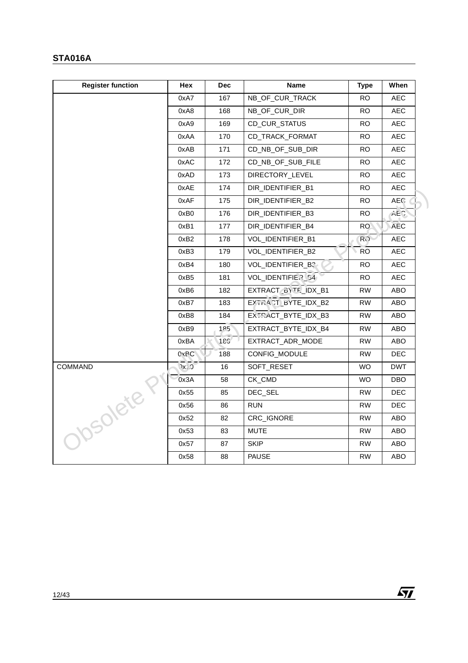| <b>Register function</b> | Hex               | <b>Dec</b> | Name                | Type            | When       |
|--------------------------|-------------------|------------|---------------------|-----------------|------------|
|                          | 0xA7              | 167        | NB_OF_CUR_TRACK     | RO.             | AEC.       |
|                          | 0xA8              | 168        | NB_OF_CUR_DIR       | <b>RO</b>       | <b>AEC</b> |
|                          | 0xA9              | 169        | CD_CUR_STATUS       | RO.             | <b>AEC</b> |
|                          | 0xAA              | 170        | CD TRACK FORMAT     | RO.             | <b>AEC</b> |
|                          | 0xAB              | 171        | CD_NB_OF_SUB_DIR    | RO.             | AEC        |
|                          | 0xAC              | 172        | CD_NB_OF_SUB_FILE   | RO.             | AEC        |
|                          | 0xAD              | 173        | DIRECTORY_LEVEL     | RO.             | AEC        |
|                          | 0xAE              | 174        | DIR_IDENTIFIER_B1   | RO.             | <b>AEC</b> |
|                          | 0xAF              | 175        | DIR_IDENTIFIER_B2   | RO.             | AEC.       |
|                          | 0xB0              | 176        | DIR_IDENTIFIER_B3   | <b>RO</b>       | AE         |
|                          | 0xB1              | 177        | DIR_IDENTIFIER_B4   | RO <sub>1</sub> | <b>AEC</b> |
|                          | 0xB2              | 178        | VOL_IDENTIFIER_B1   | R()             | AEC        |
|                          | 0xB3              | 179        | VOL_IDENTIFIER_B2   | <b>RO</b>       | <b>AEC</b> |
|                          | 0xB4              | 180        | VOL_IDENTIFIER_B3-  | RO.             | AEC        |
|                          | 0xB5              | 181        | VOL_IDENTIFIER_54   | <b>RO</b>       | <b>AEC</b> |
|                          | 0xB6              | 182        | EXTRACT BYTE IDX B1 | RW.             | ABO        |
|                          | 0xB7              | 183        | EXTRACT_BYTE_IDX_B2 | <b>RW</b>       | ABO        |
|                          | 0xB8              | 184        | EXTRACT_BYTE_IDX_B3 | <b>RW</b>       | ABO        |
|                          | 0xB9              | 185        | EXTRACT_BYTE_IDX_B4 | RW.             | ABO        |
|                          | 0xBA              | 185'       | EXTRACT_ADR_MODE    | <b>RW</b>       | ABO        |
|                          | 0x <sub>BC</sub>  | 188        | CONFIG_MODULE       | <b>RW</b>       | DEC        |
| COMMAND                  | (X <sup>1</sup> ) | 16         | SOFT_RESET          | <b>WO</b>       | <b>DWT</b> |
|                          | 0x3A              | 58         | CK_CMD              | WO.             | DBO.       |
|                          | 0x55              | 85         | DEC_SEL             | RW.             | DEC.       |
|                          | 0x56              | 86         | <b>RUN</b>          | <b>RW</b>       | <b>DEC</b> |
| Obsoleter                | 0x52              | 82         | CRC_IGNORE          | <b>RW</b>       | ABO        |
|                          | 0x53              | 83         | MUTE                | RW.             | ABO        |
|                          | 0x57              | 87         | <b>SKIP</b>         | <b>RW</b>       | ABO        |
|                          | 0x58              | 88         | <b>PAUSE</b>        | <b>RW</b>       | ABO        |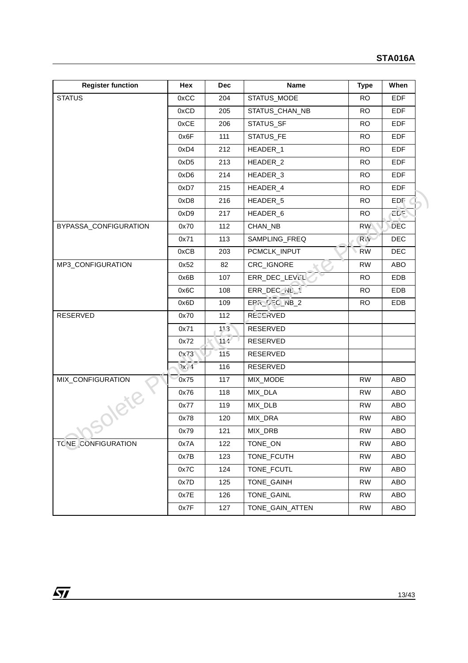| <b>Register function</b> | Hex                      | <b>Dec</b> | <b>Name</b>          | <b>Type</b> | When       |
|--------------------------|--------------------------|------------|----------------------|-------------|------------|
| <b>STATUS</b>            | 0xCC                     | 204        | STATUS_MODE          | <b>RO</b>   | <b>EDF</b> |
|                          | 0xCD                     | 205        | STATUS_CHAN_NB       | <b>RO</b>   | <b>EDF</b> |
|                          | 0xCE                     | 206        | STATUS_SF            | <b>RO</b>   | <b>EDF</b> |
|                          | 0x6F                     | 111        | STATUS_FE            | <b>RO</b>   | <b>EDF</b> |
|                          | 0xD4                     | 212        | HEADER_1             | <b>RO</b>   | <b>EDF</b> |
|                          | 0xD <sub>5</sub>         | 213        | HEADER_2             | <b>RO</b>   | <b>EDF</b> |
|                          | 0xD6                     | 214        | HEADER_3             | <b>RO</b>   | <b>EDF</b> |
|                          | 0xD7                     | 215        | HEADER_4             | <b>RO</b>   | <b>EDF</b> |
|                          | 0xD8                     | 216        | HEADER_5             | <b>RO</b>   | EDF        |
|                          | 0xD9                     | 217        | HEADER <sub>_6</sub> | <b>RO</b>   | <b>EDE</b> |
| BYPASSA_CONFIGURATION    | 0x70                     | 112        | CHAN_NB              | <b>RW</b>   | <b>DEC</b> |
|                          | 0x71                     | 113        | SAMPLING_FREQ        | $R_1V$      | <b>DEC</b> |
|                          | 0xCB                     | 203        | PCMCLK_INPUT         | <b>RW</b>   | <b>DEC</b> |
| MP3_CONFIGURATION        | 0x52                     | 82         | CRC_IGNORE           | <b>RW</b>   | ABO        |
|                          | 0x6B                     | 107        | ERR_DEC_LEVEL        | <b>RO</b>   | EDB        |
|                          | 0x6C                     | 108        | ERR_DEC_NL           | <b>RO</b>   | <b>EDB</b> |
|                          | 0x6D                     | 109        | $EPR$ $EPC$ $NB$ $2$ | <b>RO</b>   | EDB        |
| RESERVED                 | 0x70                     | 112        | <b>RECERVED</b>      |             |            |
|                          | 0x71                     | 113        | RESERVED             |             |            |
|                          | 0x72                     | 11.4       | RESERVED             |             |            |
|                          | Qx73                     | 115        | RESERVED             |             |            |
|                          | $\lambda x$ <sup>1</sup> | 116        | RESERVED             |             |            |
| MIX_CONFIGURATION        | 0x75                     | 117        | MIX_MODE             | <b>RW</b>   | ABO        |
| Solete                   | 0x76                     | 118        | MIX_DLA              | <b>RW</b>   | ABO        |
|                          | 0x77                     | 119        | MIX_DLB              | RW          | ABO        |
|                          | 0x78                     | 120        | MIX_DRA              | <b>RW</b>   | ABO        |
|                          | 0x79                     | 121        | MIX_DRB              | ${\sf RW}$  | ABO        |
| TC NE CONFIGURATION      | 0x7A                     | 122        | TONE_ON              | <b>RW</b>   | ABO        |
|                          | 0x7B                     | 123        | TONE_FCUTH           | <b>RW</b>   | ABO        |
|                          | 0x7C                     | 124        | TONE_FCUTL           | <b>RW</b>   | ABO        |
|                          | 0x7D                     | 125        | TONE_GAINH           | <b>RW</b>   | ABO        |
|                          | 0x7E                     | 126        | TONE_GAINL           | <b>RW</b>   | ABO        |
|                          | 0x7F                     | 127        | TONE_GAIN_ATTEN      | <b>RW</b>   | ABO        |

 $\sqrt{1}$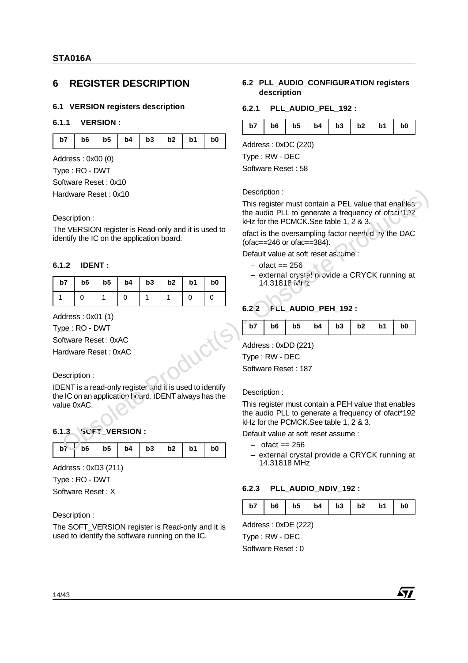## **6 REGISTER DESCRIPTION**

## **6.1 VERSION registers description**

### **6.1.1 VERSION :**

| b7   b6   b5   b4   b3   b2   b1   b0 |  |  |  |  |
|---------------------------------------|--|--|--|--|

Address : 0x00 (0)

Type : RO - DWT

Software Reset : 0x10

## **6.1.2 IDENT :**

| Hardware Reset: 0x10                                                                                             |                |                |                      |    |              |          | Description:                                                                                                                                       |                                                                                                                                                    |  |  |  |
|------------------------------------------------------------------------------------------------------------------|----------------|----------------|----------------------|----|--------------|----------|----------------------------------------------------------------------------------------------------------------------------------------------------|----------------------------------------------------------------------------------------------------------------------------------------------------|--|--|--|
| Description:<br>The VERSION register is Read-only and it is used to<br>identify the IC on the application board. |                |                |                      |    |              |          | This register must contain a PEL value that enables<br>the audio PLL to generate a frequency of ofpot 132<br>kHz for the PCMCK.See table 1, 2 & 3. |                                                                                                                                                    |  |  |  |
|                                                                                                                  |                |                |                      |    |              |          | ofact is the oversampling factor need (d) by the DAC<br>(ofac==246 or ofac==384).                                                                  |                                                                                                                                                    |  |  |  |
|                                                                                                                  |                |                |                      |    |              |          |                                                                                                                                                    | Default value at soft reset as ume:                                                                                                                |  |  |  |
| 6.1.2                                                                                                            | <b>IDENT:</b>  |                |                      |    |              |          |                                                                                                                                                    | $-$ ofact $== 256$                                                                                                                                 |  |  |  |
| b <sub>5</sub><br>b3<br>b2<br>b1<br>b7<br>b6<br>b4<br>b0                                                         |                |                |                      |    |              |          | – external crystal provide a CRYCK running at<br>14.31818 in 12                                                                                    |                                                                                                                                                    |  |  |  |
| $\mathbf{1}$                                                                                                     | $\Omega$       | 1              | $\Omega$             | 1  | $\mathbf{1}$ | $\Omega$ | $\Omega$                                                                                                                                           |                                                                                                                                                    |  |  |  |
|                                                                                                                  |                |                |                      |    |              |          |                                                                                                                                                    | 6.22<br>FLL_AUDIO_PEH_192:                                                                                                                         |  |  |  |
| Address: 0x01 (1)                                                                                                |                |                |                      |    |              |          |                                                                                                                                                    |                                                                                                                                                    |  |  |  |
| Type: RO - DWT                                                                                                   |                |                |                      |    |              |          |                                                                                                                                                    | b <sub>5</sub><br>b7<br>b <sub>6</sub><br>b3<br>b2<br>b4<br>b <sub>1</sub><br>b <sub>0</sub>                                                       |  |  |  |
| Software Reset: 0xAC                                                                                             |                |                |                      |    |              |          |                                                                                                                                                    | Address: 0xDD (221)                                                                                                                                |  |  |  |
| Hardware Reset: 0xAC                                                                                             |                |                |                      |    |              |          |                                                                                                                                                    | Type: RW - DEC                                                                                                                                     |  |  |  |
|                                                                                                                  |                |                |                      |    |              |          |                                                                                                                                                    | Software Reset: 187                                                                                                                                |  |  |  |
| Description:                                                                                                     |                |                |                      |    |              |          |                                                                                                                                                    |                                                                                                                                                    |  |  |  |
|                                                                                                                  |                |                |                      |    |              |          | IDENT is a read-only register and it is used to identify<br>the IC on an application hourd. IDENT always has the                                   | Description:                                                                                                                                       |  |  |  |
| value 0xAC.                                                                                                      |                |                |                      |    |              |          |                                                                                                                                                    | This register must contain a PEH value that enables<br>the audio PLL to generate a frequency of ofact*192<br>kHz for the PCMCK.See table 1, 2 & 3. |  |  |  |
| 6.1.3                                                                                                            |                |                | <b>SCFT VERSION:</b> |    |              |          |                                                                                                                                                    | Default value at soft reset assume :                                                                                                               |  |  |  |
| b7                                                                                                               | b <sub>6</sub> | b <sub>5</sub> | b4                   | b3 | b2           | b1       | b0                                                                                                                                                 | $-$ of act = $256$                                                                                                                                 |  |  |  |
| Address: 0xD3 (211)                                                                                              |                |                |                      |    |              |          |                                                                                                                                                    | - external crystal provide a CRYCK running at<br>14.31818 MHz                                                                                      |  |  |  |

### Description :

## **6.1.3 SOFT\_VERSION :**

| $b6$   b5   b4   b3   b2   b1<br>b7<br>b <sub>0</sub> |
|-------------------------------------------------------|
|-------------------------------------------------------|

Type : RO - DWT

Software Reset : X

Description :

The SOFT\_VERSION register is Read-only and it is used to identify the software running on the IC.

### **6.2 PLL\_AUDIO\_CONFIGURATION registers description**

### **6.2.1 PLL\_AUDIO\_PEL\_192 :**

| b7 |  |  |  |  |  | $b6$   $b5$   $b4$   $b3$   $b2$   $b1$   $b0$ |  |
|----|--|--|--|--|--|------------------------------------------------|--|
|----|--|--|--|--|--|------------------------------------------------|--|

Address : 0xDC (220)

Type : RW - DEC

Software Reset : 58

### Description :

- $-$  ofact  $== 256$
- external crystal provide a CRYCK running at 14.31818 MHz

## **6.2.2 PLL\_AUDIO\_PEH\_192 :**

|--|--|--|--|--|--|

### Description :

- $-$  ofact  $== 256$
- external crystal provide a CRYCK running at 14.31818 MHz

## **6.2.3 PLL\_AUDIO\_NDIV\_192 :**

| b7<br>b3<br>b2<br>b4<br>b <sub>6</sub><br>b5 | b1 | b <sub>0</sub> |
|----------------------------------------------|----|----------------|
|----------------------------------------------|----|----------------|

**477** 

Address : 0xDE (222) Type : RW - DEC Software Reset : 0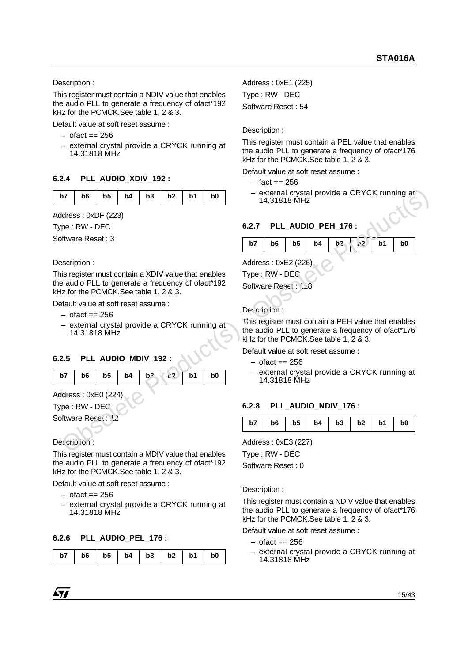Description :

This register must contain a NDIV value that enables the audio PLL to generate a frequency of ofact\*192 kHz for the PCMCK.See table 1, 2 & 3.

Default value at soft reset assume :

- $-$  ofact  $== 256$
- external crystal provide a CRYCK running at 14.31818 MHz

## **6.2.4 PLL\_AUDIO\_XDIV\_192 :**

|--|--|--|--|--|--|

Address : 0xDF (223)

Type : RW - DEC

Software Reset : 3

## Description :

This register must contain a XDIV value that enables the audio PLL to generate a frequency of ofact\*192 kHz for the PCMCK.See table 1, 2 & 3.

Default value at soft reset assume :

- $-$  ofact  $== 256$
- external crystal provide a CRYCK running at 14.31818 MHz

## **6.2.5 PLL\_AUDIO\_MDIV\_192 :**

| b7   b6   b5   b4   b2   $\sqrt{2}$   b1   b0 |  |  |  |  |
|-----------------------------------------------|--|--|--|--|
|                                               |  |  |  |  |

Address : 0xE0 (224)

Type : RW - DEC

Software Reset: 1

Des cription :

This register must contain a MDIV value that enables the audio PLL to generate a frequency of ofact\*192 kHz for the PCMCK.See table 1, 2 & 3. **b7 b6 b5 b4 b3 b2 b1 b0 c** external crystal provide a CRYCK running at Address : 0xDF (223)<br>
Type : RW - DEC **6.2.7 PLL\_AUDIO\_PEH\_176 :**<br>
Software Reset : 3<br>
Description :<br>
This register must contain a XD

Default value at soft reset assume :

- $-$  ofact  $== 256$
- external crystal provide a CRYCK running at 14.31818 MHz

## **6.2.6 PLL\_AUDIO\_PEL\_176 :**

|  |  |  | $b7$   $b6$   $b5$   $b4$   $b3$   $b2$   $b1$   $b0$ |  |
|--|--|--|-------------------------------------------------------|--|

Address : 0xE1 (225) Type : RW - DEC Software Reset : 54

Description :

This register must contain a PEL value that enables the audio PLL to generate a frequency of ofact\*176 kHz for the PCMCK.See table 1, 2 & 3.

Default value at soft reset assume :

- $-$  fact  $== 256$
- external crystal provide a CRYCK running at 14.31818 MHz

## **6.2.7 PLL\_AUDIO\_PEH\_176 :**

| b7<br>$\mathbf{I}$ |  |  | b1 | b <sub>0</sub> |
|--------------------|--|--|----|----------------|

Address : 0xE2 (226)

Type : RW - DEC

Software Reset: 118

## Description :

This register must contain a PEH value that enables the audio PLL to generate a frequency of ofact\*176 kHz for the PCMCK.See table 1, 2 & 3.

Default value at soft reset assume :

- $-$  ofact  $== 256$
- external crystal provide a CRYCK running at 14.31818 MHz

## **6.2.8 PLL\_AUDIO\_NDIV\_176 :**

| b6   b5   b4   b3   b2   b1  <br>b7<br>b <sub>0</sub> |
|-------------------------------------------------------|
|-------------------------------------------------------|

Address : 0xE3 (227)

Type : RW - DEC

Software Reset : 0

Description :

This register must contain a NDIV value that enables the audio PLL to generate a frequency of ofact\*176 kHz for the PCMCK.See table 1, 2 & 3.

Default value at soft reset assume :

- $-$  ofact  $== 256$
- external crystal provide a CRYCK running at 14.31818 MHz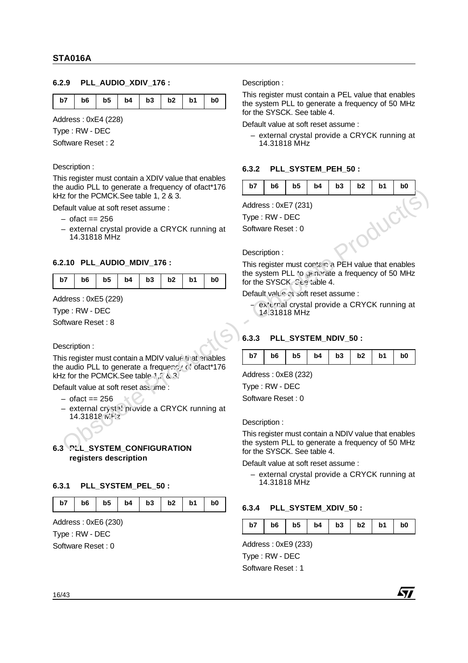## **6.2.9 PLL\_AUDIO\_XDIV\_176 :**

| b7   b6   b5   b4   b3   b2   b1 |  |  |  |  |  |  | b <sub>0</sub> |
|----------------------------------|--|--|--|--|--|--|----------------|
|----------------------------------|--|--|--|--|--|--|----------------|

Address : 0xE4 (228)

Type : RW - DEC

Software Reset : 2

### Description :

This register must contain a XDIV value that enables the audio PLL to generate a frequency of ofact\*176 kHz for the PCMCK.See table 1, 2 & 3.

Default value at soft reset assume :

- $-$  ofact  $== 256$
- external crystal provide a CRYCK running at 14.31818 MHz

## **6.2.10 PLL\_AUDIO\_MDIV\_176 :**

| b7   b6   b5   b4   b3   b2   b1   b0 |  |
|---------------------------------------|--|
|---------------------------------------|--|

Address : 0xE5 (229)

Type : RW - DEC

Software Reset : 8

Description :

This register must contain a MDIV value ti at enables the audio PLL to generate a frequency of ofact\*176 kHz for the PCMCK.See table 1,2  $\&$  3. interesses a measure of the transfer of the state of the state of the state of the state of the state of the state of the state of the state of the state of the state of the state of the state of the state of the state of

Default value at soft reset assume :

- $-$  ofact  $== 256$
- $-$  external crystal provide a CRYCK running at 14.31818 MHz

## **6.3 PLL\_SYSTEM\_CONFIGURATION registers description**

### **6.3.1 PLL\_SYSTEM\_PEL\_50 :**

| $b7$   $b6$   $b5$   $b4$   $b3$   $b2$   $b1$   $b0$ |
|-------------------------------------------------------|
|-------------------------------------------------------|

Address : 0xE6 (230)

Type : RW - DEC

Software Reset : 0

Description :

This register must contain a PEL value that enables the system PLL to generate a frequency of 50 MHz for the SYSCK. See table 4.

Default value at soft reset assume :

– external crystal provide a CRYCK running at 14.31818 MHz

### **6.3.2 PLL\_SYSTEM\_PEH\_50 :**

| $b7$   $b6$   $b5$   $b4$   $b3$   $b2$   $b1$   $b0$ |  |  |  |  |
|-------------------------------------------------------|--|--|--|--|
|                                                       |  |  |  |  |

Address : 0xE7 (231) Type : RW - DEC

Software Reset : 0

#### Description :

This register must contain a PEH value that enables the system PLL to generate a frequency of 50 MHz for the SYSCK. See table 4.

Default value at soft reset assume :

external crystal provide a CRYCK running at 14.31818 MHz

## **6.3.3 PLL\_SYSTEM\_NDIV\_50 :**

| $b7$   $b6$   $b5$   $b4$   $b3$   $b2$   $b1$   $b0$ |  |  |  |  |  |  |  |  |  |
|-------------------------------------------------------|--|--|--|--|--|--|--|--|--|
|-------------------------------------------------------|--|--|--|--|--|--|--|--|--|

Address : 0xE8 (232)

Type : RW - DEC

Software Reset : 0

Description :

This register must contain a NDIV value that enables the system PLL to generate a frequency of 50 MHz for the SYSCK. See table 4.

Default value at soft reset assume :

– external crystal provide a CRYCK running at 14.31818 MHz

### **6.3.4 PLL\_SYSTEM\_XDIV\_50 :**

| b7 | b6 |  |  | $b5$   $b4$   $b3$   $b2$   $b1$ |  |  | b <sub>0</sub> |
|----|----|--|--|----------------------------------|--|--|----------------|
|----|----|--|--|----------------------------------|--|--|----------------|

Address : 0xE9 (233)

Type : RW - DEC Software Reset : 1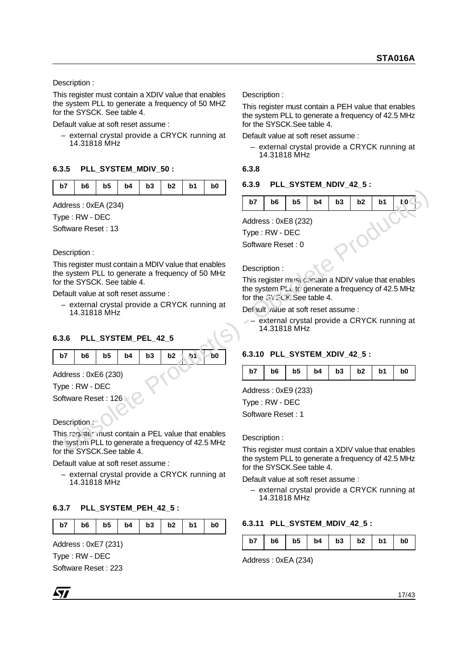Description :

This register must contain a XDIV value that enables the system PLL to generate a frequency of 50 MHZ for the SYSCK. See table 4.

Default value at soft reset assume :

– external crystal provide a CRYCK running at 14.31818 MHz

## **6.3.5 PLL\_SYSTEM\_MDIV\_50 :**

Address : 0xEA (234)

Type : RW - DEC

Software Reset : 13

Description :

This register must contain a MDIV value that enables the system PLL to generate a frequency of 50 MHz for the SYSCK. See table 4.

Default value at soft reset assume :

– external crystal provide a CRYCK running at 14.31818 MHz

## **6.3.6 PLL\_SYSTEM\_PEL\_42\_5**

|  |  |  | b7   b6   b5   b4   b3   b2   b1   b0 |
|--|--|--|---------------------------------------|
|  |  |  |                                       |

Address : 0xE6 (230)

Type : RW - DEC

Software Reset: 126

## Description :-

This register must contain a PEL value that enables the system PLL to generate a frequency of 42.5 MHz for the SYSCK.See table 4. Andress: OxER (234)<br>
Markens: OxER (234)<br>
Type: RW - DEC<br>
Description :<br>
This register must contain a MDIV value that enables<br>
the system PLL to generate a frequency of 50 MHz<br>
This register must contain a MDIV value that

Default value at soft reset assume :

– external crystal provide a CRYCK running at 14.31818 MHz

## **6.3.7 PLL\_SYSTEM\_PEH\_42\_5 :**

| b7 | b6 |  | $b5$   $b4$   $b3$   $b2$ | b1 | b <sub>0</sub> |
|----|----|--|---------------------------|----|----------------|
|    |    |  |                           |    |                |

Address : 0xE7 (231)

Type : RW - DEC

Software Reset : 223

Description :

This register must contain a PEH value that enables the system PLL to generate a frequency of 42.5 MHz for the SYSCK.See table 4.

Default value at soft reset assume :

– external crystal provide a CRYCK running at 14.31818 MHz

### **6.3.8**

## **6.3.9 PLL\_SYSTEM\_NDIV\_42\_5 :**

| b7 | b6                                  | b5 | b4 | b3 | b2 | b1 | Ł0 |
|----|-------------------------------------|----|----|----|----|----|----|
|    | Address: 0xE8 (232)                 |    |    |    |    |    |    |
|    | Type: RW - DEC<br>Software Reset: 0 |    |    |    |    |    |    |
|    |                                     |    |    |    |    |    |    |

Description :

This register must contain a NDIV value that enables the system  $PLL$  to generate a frequency of 42.5 MHz for the SYSCK. See table 4.

Default value at soft reset assume :

– external crystal provide a CRYCK running at 14.31818 MHz

## **6.3.10 PLL\_SYSTEM\_XDIV\_42\_5 :**

| $b4$ $b3$<br>$-2$   b2   $\mu$ .<br>b6<br>b5<br>b7<br>b1 | b0 |
|----------------------------------------------------------|----|
|----------------------------------------------------------|----|

Address : 0xE9 (233)

Type : RW - DEC

Software Reset : 1

Description :

This register must contain a XDIV value that enables the system PLL to generate a frequency of 42.5 MHz for the SYSCK See table 4

Default value at soft reset assume :

– external crystal provide a CRYCK running at 14.31818 MHz

## **6.3.11 PLL\_SYSTEM\_MDIV\_42\_5 :**

|  |  |  |  |  |  |  | b7   b6   b5   b4   b3   b2   b1   b0 |  |
|--|--|--|--|--|--|--|---------------------------------------|--|
|--|--|--|--|--|--|--|---------------------------------------|--|

Address : 0xEA (234)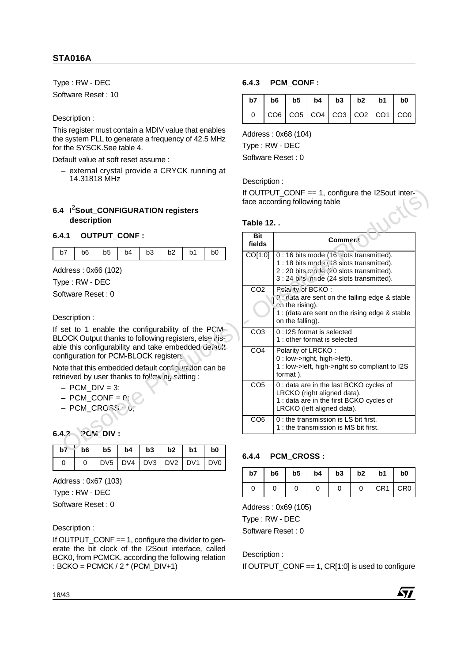Type : RW - DEC Software Reset : 10

Description :

This register must contain a MDIV value that enables the system PLL to generate a frequency of 42.5 MHz for the SYSCK.See table 4.

Default value at soft reset assume :

– external crystal provide a CRYCK running at 14.31818 MHz

## **6.4 I**2**Sout\_CONFIGURATION registers description**

## **6.4.1 OUTPUT\_CONF :**

|  | b7   b6   b5   b4   b3   b2   b1   b0 |  |  |  |
|--|---------------------------------------|--|--|--|

- $-$  PCM DIV = 3:
- $–$  PCM\_CONF =  $0$ ;
- $-$  PCM CROSS  $\geq 0$ ;

|  | $0$   DV5   DV4   DV3   DV2   DV1   DV0 |  |  |  |
|--|-----------------------------------------|--|--|--|

Address : 0x67 (103)

Type : RW - DEC

Software Reset : 0

Description :

If OUTPUT\_CONF == 1, configure the divider to generate the bit clock of the I2Sout interface, called BCK0, from PCMCK. according the following relation : BCKO = PCMCK / 2 \* (PCM\_DIV+1)

## **6.4.3 PCM\_CONF :**

| $b7$   $b6$   $b5$   $b4$   $b3$   $b2$   $b1$   $b0$                                           |  |  |  |
|-------------------------------------------------------------------------------------------------|--|--|--|
| $\vert \cos \vert \cos \vert \cos \vert \cos \vert \cos \vert \cos \vert \cos \vert \cos \vert$ |  |  |  |

Address : 0x68 (104)

Type : RW - DEC

Software Reset : 0

Description :

## **Table 12. .**

|                                                                                                                                                                    |                     |                 |                 |                 |                 |                             |                      |    |                                       | face according following table                                                |    |    | If OUTPUT_CONF == 1, configure the I2Sout inter-                                                                                                                         |    |
|--------------------------------------------------------------------------------------------------------------------------------------------------------------------|---------------------|-----------------|-----------------|-----------------|-----------------|-----------------------------|----------------------|----|---------------------------------------|-------------------------------------------------------------------------------|----|----|--------------------------------------------------------------------------------------------------------------------------------------------------------------------------|----|
| 6.4 l <sup>2</sup> Sout_CONFIGURATION registers<br>description                                                                                                     |                     |                 |                 |                 |                 |                             | <b>Table 12</b>      |    |                                       |                                                                               |    |    |                                                                                                                                                                          |    |
| 6.4.1                                                                                                                                                              | <b>OUTPUT_CONF:</b> |                 |                 |                 |                 |                             | <b>Bit</b><br>fields |    | Comment                               |                                                                               |    |    |                                                                                                                                                                          |    |
| b7<br>b <sub>6</sub><br>Address: 0x66 (102)<br>Type: RW - DEC                                                                                                      | b <sub>5</sub>      | b4              | b3              | b2              | b <sub>1</sub>  | b <sub>0</sub>              | CO[1:0]              |    |                                       |                                                                               |    |    | 0 : 16 bits mode (16 uots transmitted).<br>1:18 bits mod : 1:8 slots transmitted).<br>2:20 bits mode (20 slots transmitted).<br>3 : 24 bis in de (24 slots transmitted). |    |
| Software Reset: 0<br>Description:                                                                                                                                  |                     |                 |                 |                 |                 |                             | CO <sub>2</sub>      |    | $c0$ the rising).<br>on the falling). | Polarity of BCKO:                                                             |    |    | O: duta are sent on the falling edge & stable<br>1 : (data are sent on the rising edge & stable                                                                          |    |
| If set to 1 enable the configurability of the PCM-<br>BLOCK Output thanks to following registers, else dis-<br>able this configurability and take embedded derault |                     |                 |                 |                 |                 |                             | CO <sub>3</sub>      |    |                                       | 0 : I2S format is selected<br>1 : other format is selected                    |    |    |                                                                                                                                                                          |    |
| configuration for PCM-BLOCK registers<br>Note that this embedded default configuration can be<br>retrieved by user thanks to following setting:                    |                     |                 |                 |                 |                 |                             | CO <sub>4</sub>      |    | format).                              | Polarity of LRCKO:<br>0 : low->right, high->left).                            |    |    | 1 : low->left, high->right so compliant to I2S                                                                                                                           |    |
| $-$ PCM DIV = 3;<br>$-$ PCM_CONF = $0:$<br>$-$ PCM_CROS $\epsilon$ = 6,                                                                                            |                     |                 |                 |                 |                 |                             | CO <sub>5</sub>      |    |                                       | LRCKO (right aligned data).<br>LRCKO (left aligned data).                     |    |    | 0 : data are in the last BCKO cycles of<br>1 : data are in the first BCKO cycles of                                                                                      |    |
| 6.4.2                                                                                                                                                              | <b>PCM DIV:</b>     |                 |                 |                 |                 |                             | CO <sub>6</sub>      |    |                                       | 0 : the transmission is LS bit first.<br>1: the transmission is MS bit first. |    |    |                                                                                                                                                                          |    |
| b <sub>6</sub><br>$b\overline{7}$                                                                                                                                  | b <sub>5</sub>      | b4              | b3              | b2              | b <sub>1</sub>  | b0                          | 6.4.4                |    | <b>PCM CROSS:</b>                     |                                                                               |    |    |                                                                                                                                                                          |    |
| $\Omega$<br>0                                                                                                                                                      | DV <sub>5</sub>     | DV <sub>4</sub> | DV <sub>3</sub> | DV <sub>2</sub> | DV <sub>1</sub> | D <sub>V</sub> <sub>0</sub> | b7                   | b6 | b5                                    | b4                                                                            | b3 | b2 | b1                                                                                                                                                                       | b0 |

## **6.4.4 PCM\_CROSS :**

| b7 | $b6$   $b5$   $b4$   $b3$   $b2$   $b1$ |  |  |           | b <sub>0</sub> |
|----|-----------------------------------------|--|--|-----------|----------------|
|    |                                         |  |  | 0 CR1 CR0 |                |

Address : 0x69 (105)

Type : RW - DEC

Software Reset : 0

Description :

If OUTPUT\_CONF == 1, CR[1:0] is used to configure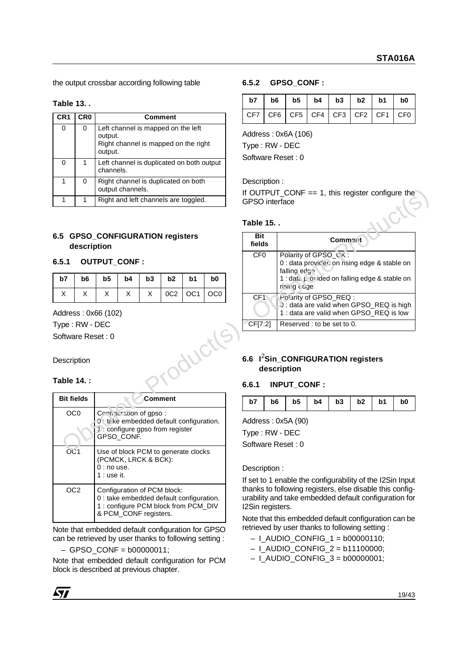the output crossbar according following table

## **Table 13. .**

| CR1 | CR <sub>0</sub> | Comment                                                                                          |
|-----|-----------------|--------------------------------------------------------------------------------------------------|
| 0   | 0               | Left channel is mapped on the left<br>output.<br>Right channel is mapped on the right<br>output. |
| 0   |                 | Left channel is duplicated on both output<br>channels.                                           |
| 1   | O               | Right channel is duplicated on both<br>output channels.                                          |
|     |                 | Right and left channels are toggled.                                                             |

## **6.5 GPSO\_CONFIGURATION registers description**

## **6.5.1 OUTPUT\_CONF :**

|  |  |  | b7   b6   b5   b4   b3   b2   b1   b0 |
|--|--|--|---------------------------------------|
|  |  |  | $X \mid 0C2 \mid 0C1 \mid 0C0 \mid$   |

## **Table 14. :**

| <b>Bit fields</b> | Comment                                                                                                                                 |
|-------------------|-----------------------------------------------------------------------------------------------------------------------------------------|
| OCO               | Continuistion of gpso:<br>0 take embedded default configuration.<br>1: configure gpso from register<br>GPSO CONF.                       |
| O <sub>1</sub>    | Use of block PCM to generate clocks<br>(PCMCK, LRCK & BCK):<br>$0:$ no use.<br>$1:$ use it.                                             |
| OC2               | Configuration of PCM block:<br>0 : take embedded default configuration.<br>1: configure PCM block from PCM DIV<br>& PCM_CONF registers. |

Note that embedded default configuration for GPSO can be retrieved by user thanks to following setting :

 $-$  GPSO CONF =  $b00000011$ ;

Note that embedded default configuration for PCM block is described at previous chapter.

## **6.5.2 GPSO\_CONF :**

|  |  |  | $b7$   $b6$   $b5$   $b4$   $b3$   $b2$   $b1$   $b0$ |  |
|--|--|--|-------------------------------------------------------|--|
|  |  |  | CF7 CF6 CF5 CF4 CF3 CF2 CF1 CF0                       |  |

Address : 0x6A (106)

Type : RW - DEC

Software Reset : 0

Description :

## **Table 15. .**

|                                                                                                                                       |                |                                      | output channels.     |    |                 |                                      |                 |                                   |                                 |                                                                                | If OUTPUT_CONF $== 1$ , this register configure the |    |    |    |    |  |
|---------------------------------------------------------------------------------------------------------------------------------------|----------------|--------------------------------------|----------------------|----|-----------------|--------------------------------------|-----------------|-----------------------------------|---------------------------------|--------------------------------------------------------------------------------|-----------------------------------------------------|----|----|----|----|--|
| $\mathbf 1$                                                                                                                           | 1              |                                      |                      |    |                 | Right and left channels are toggled. |                 | <b>GPSO</b> interface             |                                 |                                                                                |                                                     |    |    |    |    |  |
|                                                                                                                                       |                |                                      |                      |    |                 |                                      |                 | <b>Table 15</b>                   |                                 |                                                                                |                                                     |    |    |    |    |  |
|                                                                                                                                       | description    | 6.5 GPSO_CONFIGURATION registers     |                      |    |                 |                                      |                 |                                   | <b>Bit</b><br>Commont<br>fields |                                                                                |                                                     |    |    |    |    |  |
| 6.5.1                                                                                                                                 |                | <b>OUTPUT_CONF:</b>                  |                      |    |                 |                                      |                 | CF <sub>0</sub>                   |                                 | Polarity of GPSO_CK:<br>0 : data provic'er on rising edge & stable on          |                                                     |    |    |    |    |  |
| b7                                                                                                                                    | b <sub>6</sub> | b <sub>5</sub>                       | b4                   | b3 | b2              | b <sub>1</sub>                       | b <sub>0</sub>  |                                   |                                 | falling edga<br>1 : data provided on falling edge & stable on<br>risii g t age |                                                     |    |    |    |    |  |
| X                                                                                                                                     | X              | X                                    | X                    | X  | 0C <sub>2</sub> | OC <sub>1</sub>                      | OC <sub>0</sub> | CF <sub>1</sub>                   |                                 | Polarity of GPSO_REQ:<br>0 : data are valid when GPSO_REQ is high              |                                                     |    |    |    |    |  |
| Type: RW - DEC                                                                                                                        |                | Address: 0x66 (102)                  |                      |    |                 |                                      |                 | CF[7:2]                           |                                 | 1 : data are valid when GPSO_REQ is low<br>Reserved : to be set to 0.          |                                                     |    |    |    |    |  |
| Software Reset: 0<br>Description<br>Table 14.:                                                                                        |                |                                      |                      |    |                 |                                      |                 | 6.6.1                             | description                     | 6.6 l <sup>2</sup> Sin_CONFIGURATION registers<br>INPUT_CONF:                  |                                                     |    |    |    |    |  |
| <b>Bit fields</b>                                                                                                                     |                |                                      |                      |    | Comment         |                                      |                 | b7                                | b6                              | b <sub>5</sub>                                                                 | b4                                                  | b3 | b2 | b1 | b0 |  |
| OC <sub>0</sub><br>Continuistion of gpso:<br>0 take embedded default configuration.<br>1 : configure gpso from register<br>GPSO_CONF. |                |                                      |                      |    |                 | Address: 0x5A (90)<br>Type: RW - DEC |                 |                                   |                                 |                                                                                |                                                     |    |    |    |    |  |
| OC1                                                                                                                                   |                | $0:$ no use.<br>$1 + \text{area it}$ | (PCMCK, LRCK & BCK): |    |                 | Use of block PCM to generate clocks  |                 | Software Reset: 0<br>Description: |                                 |                                                                                |                                                     |    |    |    |    |  |

## **6.6 I**2**Sin\_CONFIGURATION registers description**

## **6.6.1 INPUT\_CONF :**

### Description :

If set to 1 enable the configurability of the I2Sin Input thanks to following registers, else disable this configurability and take embedded default configuration for I2Sin registers.

Note that this embedded default configuration can be retrieved by user thanks to following setting :

- $-$  I\_AUDIO\_CONFIG\_1 = b00000110;
- $-$  I\_AUDIO\_CONFIG\_2 = b11100000;
- $-$  I\_AUDIO\_CONFIG\_3 = b00000001;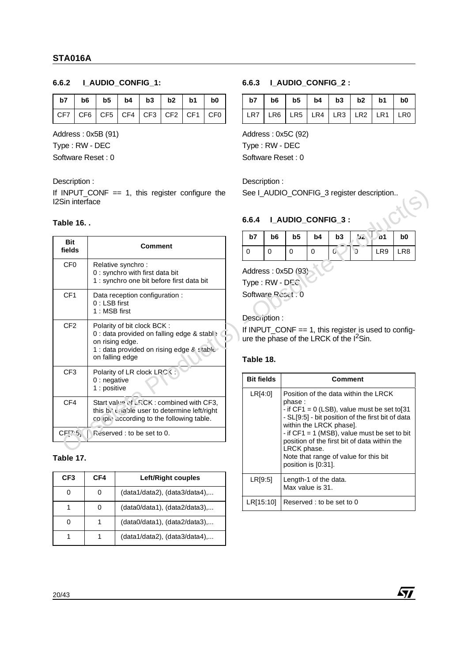## **6.6.2 I\_AUDIO\_CONFIG\_1:**

| b7   b6   b5   b4   b3   b2   b1   b0    |  |  |  |  |
|------------------------------------------|--|--|--|--|
| $\sqrt{CF7}$ CF6 CF5 CF4 CF3 CF2 CF1 CF0 |  |  |  |  |

Address : 0x5B (91)

Type : RW - DEC

Software Reset : 0

Description :

## **Table 16. .**

| Table 16             |                                                                                                                                                             | 6.6.4                                                                                                                     |                            |                            | I AUDIO CONFIG 3:       |                      |          |                                                                                                                                            |                                   |
|----------------------|-------------------------------------------------------------------------------------------------------------------------------------------------------------|---------------------------------------------------------------------------------------------------------------------------|----------------------------|----------------------------|-------------------------|----------------------|----------|--------------------------------------------------------------------------------------------------------------------------------------------|-----------------------------------|
| <b>Bit</b><br>fields | <b>Comment</b>                                                                                                                                              | b7<br>0                                                                                                                   | b <sub>6</sub><br>$\Omega$ | b <sub>5</sub><br>$\Omega$ | b4<br>$\Omega$          | b3<br>$\overline{0}$ | غدا<br>Ù | p1<br>LR9                                                                                                                                  | b <sub>0</sub><br>LR <sub>8</sub> |
| CF <sub>0</sub>      | Relative synchro:<br>0 : synchro with first data bit<br>1 : synchro one bit before first data bit                                                           | Address: 0x5D (93)<br>Type: RW - DEC                                                                                      |                            |                            |                         |                      |          |                                                                                                                                            |                                   |
| CF <sub>1</sub>      | Data reception configuration :<br>$0:$ LSB first<br>1 : MSB first                                                                                           | Software Ruset. 0<br>Description:                                                                                         |                            |                            |                         |                      |          |                                                                                                                                            |                                   |
|                      |                                                                                                                                                             |                                                                                                                           |                            |                            |                         |                      |          |                                                                                                                                            |                                   |
| CF <sub>2</sub>      | Polarity of bit clock BCK:<br>0 : data provided on falling edge & stable<br>on rising edge.<br>1 : data provided on rising edge & stable<br>on falling edge | If INPUT_CONF == 1, this register is used to config-<br>ure the phase of the LRCK of the I <sup>2</sup> Sin.<br>Table 18. |                            |                            |                         |                      |          |                                                                                                                                            |                                   |
| CF <sub>3</sub>      | Polarity of LR clock LRC<br>$0:$ negative                                                                                                                   | <b>Bit fields</b>                                                                                                         |                            |                            |                         | <b>Comment</b>       |          |                                                                                                                                            |                                   |
| CF4                  | 1 : positive<br>Start value of LRCK : combined with CF3,<br>this bit chable user to determine left/right<br>couple according to the following table.        | LR[4:0]                                                                                                                   |                            | phase:                     | within the LRCK phase]. |                      |          | Position of the data within the LRCK<br>- if $CF1 = 0$ (LSB), value must be set to[31<br>- SL[9:5] - bit position of the first bit of data |                                   |

## **Table 17.**

| CF <sub>3</sub> | CF4 | Left/Right couples                  |
|-----------------|-----|-------------------------------------|
|                 |     | $(data1/data2)$ , $(data3/data4)$ , |
|                 |     | (data0/data1), (data2/data3),       |
|                 |     | (data0/data1), (data2/data3),       |
|                 |     | (data1/data2), (data3/data4),       |

## **6.6.3 I\_AUDIO\_CONFIG\_2 :**

| $b7$   $b6$   $b5$   $b4$   $b3$   $b2$   $b1$   $b0$ |  |  |  |
|-------------------------------------------------------|--|--|--|
| LR7   LR6   LR5   LR4   LR3   LR2   LR1   LR0         |  |  |  |

Address : 0x5C (92)

Type : RW - DEC

Software Reset : 0

Description :

## **6.6.4 I\_AUDIO\_CONFIG\_3 :**

| b7 | b6 | $\vert$ b5 $\vert$ | $b4$ $b3$ $b2$ $c1$ |             | b <sub>0</sub> |
|----|----|--------------------|---------------------|-------------|----------------|
|    |    |                    | 0                   | $LR9$ $LR8$ |                |

### **Table 18.**

| <b>Bit fields</b> | Comment                                                                                                                                                                                                                                                                                                                                                            |
|-------------------|--------------------------------------------------------------------------------------------------------------------------------------------------------------------------------------------------------------------------------------------------------------------------------------------------------------------------------------------------------------------|
| LR[4:0]           | Position of the data within the LRCK<br>phase:<br>- if $CF1 = 0$ (LSB), value must be set to [31]<br>- SL[9:5] - bit position of the first bit of data<br>within the LRCK phasel.<br>- if $CF1 = 1$ (MSB), value must be set to bit<br>position of the first bit of data within the<br>LRCK phase.<br>Note that range of value for this bit<br>position is [0:31]. |
| LR[9:5]           | Length-1 of the data.<br>Max value is 31.                                                                                                                                                                                                                                                                                                                          |
| LR[15:10]         | Reserved: to be set to 0                                                                                                                                                                                                                                                                                                                                           |

AV/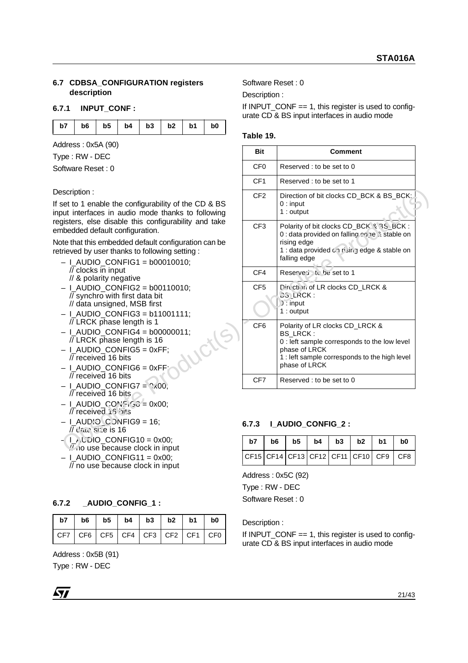### **6.7 CDBSA\_CONFIGURATION registers description**

### **6.7.1 INPUT\_CONF :**

|  |  |  |  |  |  | b7   b6   b5   b4   b3   b2   b1   b0 |  |
|--|--|--|--|--|--|---------------------------------------|--|
|--|--|--|--|--|--|---------------------------------------|--|

Address : 0x5A (90)

### Description :

- $-$  I\_AUDIO\_CONFIG1 = b00010010; // clocks in input
	- // & polarity negative
- $-$  I\_AUDIO\_CONFIG2 = b00110010; // synchro with first data bit // data unsigned, MSB first
- $-$  I\_AUDIO\_CONFIG3 = b11001111; // LRCK phase length is 1
- I\_AUDIO\_CONFIG4 = b00000011;<br>
// LRCK phase length is 16<br>
 I\_AUDIO\_CONFIG5 = 0xFF;<br>
// received 16 bits // LRCK phase length is 16
- $-$  I\_AUDIO\_CONFIG5 = 0xFF; // received 16 bits
- $-$  I\_AUDIO\_CONFIG6 = 0xFF; // received 16 bits
- $-$  I\_AUDIO\_CONFIG7 =  $\degree$ x00; // received 16 bits
- $-1$  AUDIO CONFIGG = 0x00; // received 16 bits
- $-$  I\_AUDIO\_C ONFIG9 = 16;  $\prime\prime$  data size is 16
- $-1$  L' $\textrm{L}$ IDIO\_CONFIG10 = 0x00;  $\frac{1}{2}$  no use because clock in input
- $-$  I\_AUDIO\_CONFIG11 = 0x00; // no use because clock in input

## **6.7.2 \_AUDIO\_CONFIG\_1 :**

| $ $ b7 $ $ b6 $ $ b5 $ $ b4 $ $ b3 $ $ b2 $ $ b1 $ $ b0 $ $         |  |  |  |
|---------------------------------------------------------------------|--|--|--|
| $ $ CF7 $ $ CF6 $ $ CF5 $ $ CF4 $ $ CF3 $ $ CF2 $ $ CF1 $ $ CF0 $ $ |  |  |  |

Address : 0x5B (91)

Type : RW - DEC

Software Reset : 0

Description :

If INPUT\_CONF == 1, this register is used to configurate CD & BS input interfaces in audio mode

## **Table 19.**

| Address: 0x5A (90)                                                                                                                                                   | <b>Bit</b>                                 |      |                                                                                          |      | <b>Comment</b> |             |                 |                 |
|----------------------------------------------------------------------------------------------------------------------------------------------------------------------|--------------------------------------------|------|------------------------------------------------------------------------------------------|------|----------------|-------------|-----------------|-----------------|
| Type: RW - DEC                                                                                                                                                       |                                            |      |                                                                                          |      |                |             |                 |                 |
| Software Reset: 0                                                                                                                                                    | CF <sub>0</sub>                            |      | Reserved : to be set to 0                                                                |      |                |             |                 |                 |
|                                                                                                                                                                      | CF <sub>1</sub>                            |      | Reserved: to be set to 1                                                                 |      |                |             |                 |                 |
| Description:                                                                                                                                                         | CF <sub>2</sub>                            |      | Direction of bit clocks CD_BCK & BS_BCK:                                                 |      |                |             |                 |                 |
| If set to 1 enable the configurability of the CD & BS<br>input interfaces in audio mode thanks to following<br>registers, else disable this configurability and take |                                            |      | $0:$ input<br>$1:$ output                                                                |      |                |             |                 |                 |
| embedded default configuration.                                                                                                                                      | CF <sub>3</sub>                            |      | Polarity of bit clocks CD_BCK 3.3S_BCK:<br>0 : data provided on falling edne à stable on |      |                |             |                 |                 |
| Note that this embedded default configuration can be                                                                                                                 |                                            |      | rising edge                                                                              |      |                |             |                 |                 |
| retrieved by user thanks to following setting:                                                                                                                       |                                            |      | 1 : data provided on rising edge & stable on<br>falling edge                             |      |                |             |                 |                 |
| $-$ I_AUDIO_CONFIG1 = b00010010;<br>$\overline{1/2}$ clocks in input                                                                                                 |                                            |      |                                                                                          |      |                |             |                 |                 |
| // & polarity negative                                                                                                                                               | CF4                                        |      | Reserveri . to be set to 1                                                               |      |                |             |                 |                 |
| $-$   AUDIO CONFIG2 = b00110010;                                                                                                                                     | CF <sub>5</sub>                            |      | Direction of LR clocks CD_LRCK &<br><b>CG LRCK:</b>                                      |      |                |             |                 |                 |
| // synchro with first data bit<br>// data unsigned, MSB first                                                                                                        |                                            |      | $i$ : input                                                                              |      |                |             |                 |                 |
| $-$   AUDIO CONFIG3 = b11001111;                                                                                                                                     |                                            |      | $1:$ output                                                                              |      |                |             |                 |                 |
| // LRCK phase length is 1                                                                                                                                            | CF <sub>6</sub>                            |      | Polarity of LR clocks CD_LRCK &                                                          |      |                |             |                 |                 |
| $-$   AUDIO CONFIG4 = b00000011;<br>// LRCK phase length is 16                                                                                                       |                                            |      | <b>BS_LRCK:</b><br>0 : left sample corresponds to the low level                          |      |                |             |                 |                 |
| $-$   AUDIO CONFIG5 = 0xFF;                                                                                                                                          |                                            |      | phase of LRCK                                                                            |      |                |             |                 |                 |
| // received 16 bits                                                                                                                                                  |                                            |      | 1 : left sample corresponds to the high level<br>phase of LRCK                           |      |                |             |                 |                 |
| $-$   AUDIO CONFIG6 = 0xFF;<br>// received 16 bits                                                                                                                   |                                            |      |                                                                                          |      |                |             |                 |                 |
| $-$   AUDIO CONFIG7 = $\frac{6}{x}$ 00;                                                                                                                              | CF7                                        |      | Reserved : to be set to 0                                                                |      |                |             |                 |                 |
| $\overline{11}$ received 16 bits                                                                                                                                     |                                            |      |                                                                                          |      |                |             |                 |                 |
| $-1$ AUDIO CONSIGG = 0x00;<br>// received 15 bits                                                                                                                    |                                            |      |                                                                                          |      |                |             |                 |                 |
| $-$   AUD'O C DNFIG9 = 16;<br>// daid site is 16                                                                                                                     | 6.7.3                                      |      | I_AUDIO_CONFIG_2:                                                                        |      |                |             |                 |                 |
| $-1$ AUDIO CONFIG10 = 0x00;<br>Who use because clock in input                                                                                                        | b7                                         | b6   | b <sub>5</sub>                                                                           | b4   | b3             | b2          | b1              | b0              |
| $-$ I_AUDIO_CONFIG11 = 0x00;                                                                                                                                         | CF15                                       | CF14 | CF13                                                                                     | CF12 | <b>CF11</b>    | <b>CF10</b> | CF <sub>9</sub> | CF <sub>8</sub> |
| $\overline{11}$ no use because clock in input                                                                                                                        |                                            |      |                                                                                          |      |                |             |                 |                 |
|                                                                                                                                                                      | $\Delta$ ddraee $\cdot$ $\Delta v$ 50 (92) |      |                                                                                          |      |                |             |                 |                 |

## **6.7.3 I\_AUDIO\_CONFIG\_2 :**

| b7 |  |  | $b6$   $b5$   $b4$   $b3$   $b2$   $b1$  | b <sub>0</sub> |
|----|--|--|------------------------------------------|----------------|
|    |  |  | $ CF15 CF14 CF13 CF12 CF11 CF10 CF9 CF8$ |                |

Address : 0x5C (92) Type : RW - DEC

Software Reset : 0

Description :

If INPUT\_CONF  $== 1$ , this register is used to configurate CD & BS input interfaces in audio mode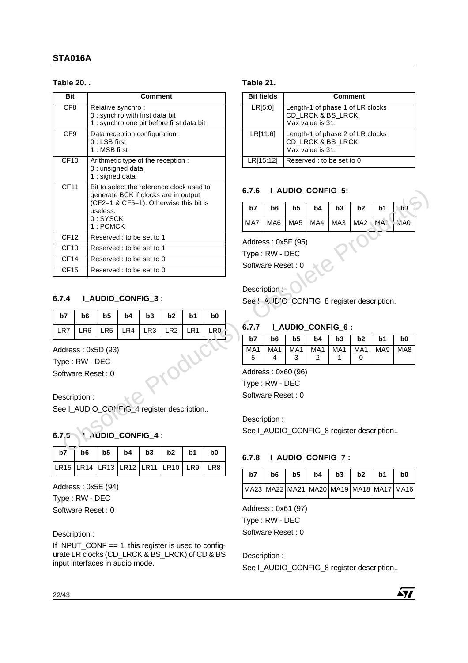## **Table 20. .**

| <b>Bit</b>       |                   |                                                                            |     | <b>Comment</b>  |                 |                                            |     |                                      | <b>Bit fields</b><br><b>Comment</b> |                    |                  |                          |                                              |                 |                |
|------------------|-------------------|----------------------------------------------------------------------------|-----|-----------------|-----------------|--------------------------------------------|-----|--------------------------------------|-------------------------------------|--------------------|------------------|--------------------------|----------------------------------------------|-----------------|----------------|
| CF <sub>8</sub>  |                   | Relative synchro:<br>0 : synchro with first data bit                       |     |                 |                 | 1 : synchro one bit before first data bit  |     | LR[5:0]                              |                                     |                    | Max value is 31. | CD_LRCK & BS_LRCK.       | Length-1 of phase 1 of LR clocks             |                 |                |
| CF9              |                   | Data reception configuration :<br>$0:$ LSB first<br>1: MSB first           |     |                 |                 |                                            |     |                                      | LR[11:6]                            |                    | Max value is 31. | CD_LRCK & BS_LRCK.       | Length-1 of phase 2 of LR clocks             |                 |                |
| CF <sub>10</sub> |                   | Arithmetic type of the reception :<br>0 : unsigned data<br>1 : signed data |     |                 |                 |                                            |     |                                      | LR[15:12]                           |                    |                  | Reserved: to be set to 0 |                                              |                 |                |
| <b>CF11</b>      |                   | generate BCK if clocks are in output                                       |     |                 |                 | Bit to select the reference clock used to  |     | 6.7.6                                |                                     | I_AUDIO_CONFIG_5:  |                  |                          |                                              |                 |                |
|                  |                   | useless.                                                                   |     |                 |                 | (CF2=1 & CF5=1). Otherwise this bit is     |     | b7                                   | b6                                  | b5                 | b4               | b3                       | b2                                           | b1              | ১১             |
|                  |                   | $0:$ SYSCK<br>1: PCMCK                                                     |     |                 |                 |                                            |     | MA7                                  | MA6                                 | MA <sub>5</sub>    | MA4              | MA3                      | MA <sub>2</sub>                              | $MA$ :          | MAO            |
| CF <sub>12</sub> |                   | Reserved : to be set to 1                                                  |     |                 |                 |                                            |     |                                      |                                     |                    |                  |                          |                                              |                 |                |
| CF13             |                   | Reserved: to be set to 1                                                   |     |                 |                 |                                            |     | Address: 0x5F (95)<br>Type: RW - DEC |                                     |                    |                  |                          |                                              |                 |                |
|                  |                   | Reserved: to be set to 0                                                   |     |                 |                 |                                            |     |                                      | Software Reset: 0                   |                    |                  |                          |                                              |                 |                |
| CF <sub>14</sub> |                   |                                                                            |     |                 |                 |                                            |     |                                      |                                     |                    |                  |                          |                                              |                 |                |
| CF15             |                   | Reserved : to be set to 0                                                  |     |                 |                 |                                            |     |                                      |                                     |                    |                  |                          |                                              |                 |                |
|                  |                   |                                                                            |     |                 |                 |                                            |     |                                      | Description:                        |                    |                  |                          |                                              |                 |                |
|                  |                   | <b>LAUDIO_CONFIG_3:</b>                                                    |     |                 |                 |                                            |     |                                      |                                     |                    |                  |                          | See '_A' JD'C_CONFIG_8 register description. |                 |                |
| b7               | b6                | b <sub>5</sub>                                                             | b4  | b3              | b <sub>2</sub>  | b1                                         | b0  |                                      |                                     |                    |                  |                          |                                              |                 |                |
|                  |                   |                                                                            |     |                 |                 |                                            |     | 6.7.7                                |                                     | I_AUDIO_CONFIG_6:  |                  |                          |                                              |                 |                |
| 6.7.4<br>LR7     | LR <sub>6</sub>   | LR <sub>5</sub>                                                            | LR4 | LR <sub>3</sub> | LR <sub>2</sub> | LR1                                        | LR0 | b7                                   | b <sub>6</sub>                      | b <sub>5</sub>     | b <sub>4</sub>   | b3                       | b2                                           | b1              | b <sub>0</sub> |
|                  |                   | Address: 0x5D (93)                                                         |     |                 |                 |                                            |     | MA1                                  | MA <sub>1</sub>                     | MA <sub>1</sub>    | MA <sub>1</sub>  | MA <sub>1</sub>          | MA <sub>1</sub>                              | MA <sub>9</sub> |                |
|                  | Type: RW - DEC    |                                                                            |     |                 |                 |                                            |     | 5                                    | 4                                   | 3                  | 2                | 1                        | 0                                            |                 |                |
|                  | Software Reset: 0 |                                                                            |     |                 |                 |                                            |     |                                      |                                     | Address: 0x60 (96) |                  |                          |                                              |                 |                |
|                  |                   |                                                                            |     |                 |                 |                                            |     |                                      | Type: RW - DEC                      |                    |                  |                          |                                              |                 |                |
|                  |                   |                                                                            |     |                 |                 |                                            |     |                                      | Software Reset: 0                   |                    |                  |                          |                                              |                 |                |
|                  | Description:      |                                                                            |     |                 |                 |                                            |     |                                      |                                     |                    |                  |                          |                                              |                 |                |
|                  |                   |                                                                            |     |                 |                 | See I_AUDIO_CON FiG_4 register description |     |                                      |                                     |                    |                  |                          |                                              |                 | MA8            |
|                  |                   |                                                                            |     |                 |                 |                                            |     |                                      | Description:                        |                    |                  |                          |                                              |                 |                |
| 6.7.5            |                   | UAUDIO_CONFIG_4:                                                           |     |                 |                 |                                            |     |                                      |                                     |                    |                  |                          | See I_AUDIO_CONFIG_8 register description    |                 |                |
| b7               | b6                | b <sub>5</sub>                                                             | b4  | b3              | b <sub>2</sub>  | b1                                         | b0  | 6.7.8                                |                                     | I_AUDIO_CONFIG_7:  |                  |                          |                                              |                 |                |

## **6.7.4 I\_AUDIO\_CONFIG\_3 :**

| b7  | b6                                   | b5              | b4  | b <sub>3</sub>  | b2              | b1              | b <sub>0</sub>  |
|-----|--------------------------------------|-----------------|-----|-----------------|-----------------|-----------------|-----------------|
| LR7 | LR6                                  | LR <sub>5</sub> | LR4 | LR <sub>3</sub> | LR <sub>2</sub> | LR <sub>1</sub> | LR <sub>0</sub> |
|     | Address: 0x5D (93)<br>Type: RW - DEC |                 |     |                 |                 |                 |                 |
|     | Software Reset: 0                    |                 |     |                 |                 |                 |                 |

## **6.7.5 I\_AUDIO\_CONFIG\_4 :**

| $b7$   $b6$   $b5$   $b4$   $b3$   $b2$   $b1$   $b0$ |  |  |  |
|-------------------------------------------------------|--|--|--|
| LR15  LR14  LR13  LR12  LR11  LR10   LR9   LR8        |  |  |  |

Address : 0x5E (94)

Type : RW - DEC

Software Reset : 0

## Description :

If INPUT CONF  $== 1$ , this register is used to configurate LR clocks (CD\_LRCK & BS\_LRCK) of CD & BS input interfaces in audio mode.

## **Table 21.**

| <b>Bit fields</b> | <b>Comment</b>                                                             |
|-------------------|----------------------------------------------------------------------------|
| LR[5:0]           | Length-1 of phase 1 of LR clocks<br>CD_LRCK & BS_LRCK.<br>Max value is 31. |
| LR[11:6]          | Length-1 of phase 2 of LR clocks<br>CD_LRCK & BS_LRCK.<br>Max value is 31. |
| LR[15:12]         | Reserved: to be set to 0                                                   |

## **6.7.6 I\_AUDIO\_CONFIG\_5:**

| b7 |                                 |  |  | $\mathsf{b6}$   $\mathsf{b5}$   $\mathsf{b4}$   $\mathsf{b3}$   $\mathsf{b2}$   $\mathsf{b1}$   $\mathsf{b1}$ |  |
|----|---------------------------------|--|--|---------------------------------------------------------------------------------------------------------------|--|
|    | MA7 MA6 MA5 MA4 MA3 MA2 MA1 MA0 |  |  |                                                                                                               |  |

## Description :-

## **6.7.7 I\_AUDIO\_CONFIG\_6 :**

| b7 |    |  |  |                                               |
|----|----|--|--|-----------------------------------------------|
|    |    |  |  | MA1   MA1   MA1   MA1   MA1   MA1   MA9   MA8 |
| 5  | -4 |  |  |                                               |

## **6.7.8 I\_AUDIO\_CONFIG\_7 :**

| b7 | b6                                      | b5 | b4 | b <sub>3</sub> | b2 | b1 | b0 |
|----|-----------------------------------------|----|----|----------------|----|----|----|
|    | MA23 MA22 MA21 MA20 MA19 MA18 MA17 MA16 |    |    |                |    |    |    |

Address : 0x61 (97) Type : RW - DEC Software Reset : 0

Description : See I\_AUDIO\_CONFIG\_8 register description..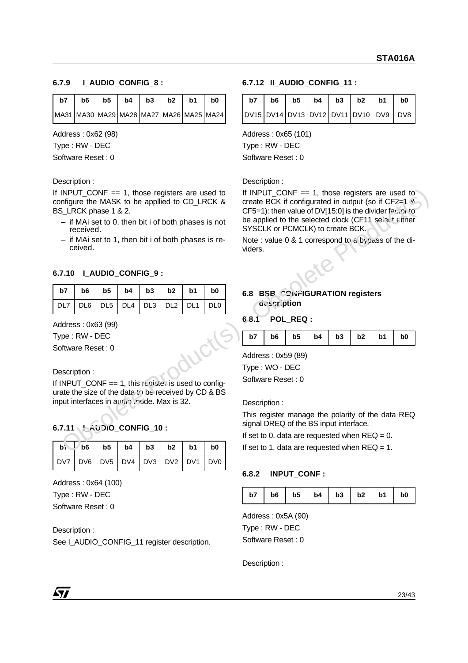## **6.7.9 I\_AUDIO\_CONFIG\_8 :**

| b7                                             | <b>b</b> 6 | <b>b5</b> | b4 | b3 | b2 | b1 | b0 |
|------------------------------------------------|------------|-----------|----|----|----|----|----|
| MA31  MA30  MA29  MA28  MA27  MA26  MA25  MA24 |            |           |    |    |    |    |    |

Address : 0x62 (98)

Type : RW - DEC

Software Reset : 0

Description :

If INPUT CONF  $== 1$ , those registers are used to configure the MASK to be appllied to CD\_LRCK & BS\_LRCK phase 1 & 2.

- if MAi set to 0, then bit i of both phases is not received.
- if MAi set to 1, then bit i of both phases is received.

## **6.7.10 I\_AUDIO\_CONFIG\_9 :**

| $ $ b7 $ $ b6 $ $ b5 $ $ b4 $ $ b3 $ $ b2 $ $ b1 $ $ b0 $ $ |  |  |  |
|-------------------------------------------------------------|--|--|--|
| DL7   DL6   DL5   DL4   DL3   DL2   DL1   DL0               |  |  |  |

Address : 0x63 (99)

Type : RW - DEC

Software Reset : 0

Description :

If INPUT\_CONF == 1, this register is used to configurate the size of the data to be received by CD & BS input interfaces in audio mode. Max is 32.

## **6.7.11 I\_AUDIO\_CONFIG\_10 :**

| DV7   DV6   DV5   DV4   DV3   DV2   DV1   DV0 |  |  |  |
|-----------------------------------------------|--|--|--|

Address : 0x64 (100) Type : RW - DEC

Software Reset : 0

Description :

See I\_AUDIO\_CONFIG\_11 register description.

### **6.7.12 II\_AUDIO\_CONFIG\_11 :**

| b7 |                                       |  | $b6$   $b5$   $b4$   $b3$   $b2$   $b1$ | b <sub>0</sub> |
|----|---------------------------------------|--|-----------------------------------------|----------------|
|    | DV15 DV14 DV13 DV12 DV11 DV10 DV9 DV8 |  |                                         |                |

Address : 0x65 (101)

Type : RW - DEC

Software Reset : 0

Description :

If INPUT CONF  $== 1$ , those registers are used to create BCK if configurated in output (so if CF2=1 & CF5=1): then value of DV[15:0] is the divider factor to be applied to the selected clock (CF11 select either SYSCLK or PCMCLK) to create BCK. If INPUT CONFire 1, those registers are used to the HNPUT CONFire 1, these registers are used to the selection<br>
Configure the MASK to be applied to CD LRCK & create BCK if configurated in output (so if CF2-1  $\leq$  - Obsol

Note : value 0 & 1 correspond to a bypass of the dividers.

**6.8 BSB\_CONFIGURATION registers description**

### **6.8.1 POL\_REQ :**

|  | b7   b6   b5   b4   b3   b2   b1 |  |  |  |  |  | b <sub>0</sub> |
|--|----------------------------------|--|--|--|--|--|----------------|
|--|----------------------------------|--|--|--|--|--|----------------|

Address : 0x59 (89) Type : WO - DEC

Software Reset : 0

Description :

This register manage the polarity of the data REQ signal DREQ of the BS input interface.

If set to 0, data are requested when  $REQ = 0$ .

If set to 1, data are requested when  $REQ = 1$ .

## **6.8.2 INPUT\_CONF :**

| b7   b6   b5   b4   b3   b2   b1   b0 |  |  |  |  |  |  |  |
|---------------------------------------|--|--|--|--|--|--|--|
|---------------------------------------|--|--|--|--|--|--|--|

Address : 0x5A (90) Type : RW - DEC Software Reset : 0

Description :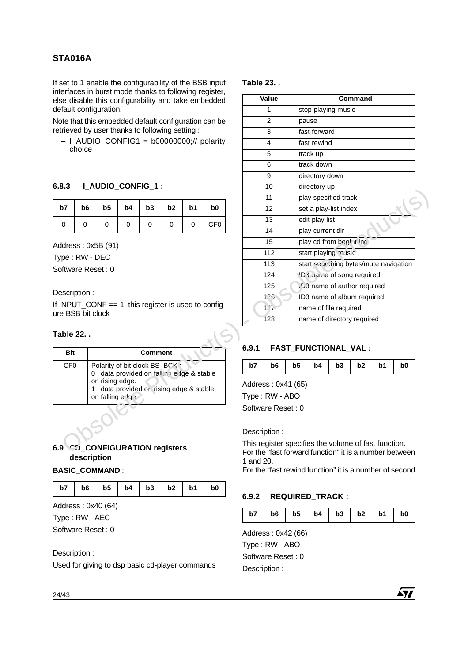If set to 1 enable the configurability of the BSB input interfaces in burst mode thanks to following register, else disable this configurability and take embedded default configuration.

## **6.8.3 I\_AUDIO\_CONFIG\_1 :**

| $b7$   $b6$   $b5$   $b4$   $b3$   $b2$   $b1$   $b0$ |  |   |              |                 |
|-------------------------------------------------------|--|---|--------------|-----------------|
|                                                       |  | 0 | $\mathbf{0}$ | CF <sub>0</sub> |

### Description :

### **Table 22. .**

| <b>Bit</b>      | <b>Comment</b>                                                                                                                                                  |
|-----------------|-----------------------------------------------------------------------------------------------------------------------------------------------------------------|
| CF <sub>0</sub> | Polarity of bit clock BS_BCK<br>0 : data provided on falling e ige & stable<br>on rising edge.<br>1 : data provided or. rising edge & stable<br>on falling edg? |
|                 |                                                                                                                                                                 |

## **6.9 CD\_CONFIGURATION registers description**

### **BASIC\_COMMAND** :

|  |  |  |  |  |  | b7   b6   b5   b4   b3   b2   b1   b0 |  |
|--|--|--|--|--|--|---------------------------------------|--|
|--|--|--|--|--|--|---------------------------------------|--|

Address : 0x40 (64)

Type : RW - AEC

Software Reset : 0

### Description :

Used for giving to dsp basic cd-player commands

### **Table 23. .**

|                   |                         |                                                                              |             |                |                |    | interfaces in burst mode thanks to following register,<br>else disable this configurability and take embedded |                                                         | Value                                         |                       |                                        |    | Command |                                                      |                                                        |
|-------------------|-------------------------|------------------------------------------------------------------------------|-------------|----------------|----------------|----|---------------------------------------------------------------------------------------------------------------|---------------------------------------------------------|-----------------------------------------------|-----------------------|----------------------------------------|----|---------|------------------------------------------------------|--------------------------------------------------------|
|                   |                         | default configuration.                                                       |             |                |                |    |                                                                                                               |                                                         | $\mathbf{1}$                                  |                       | stop playing music                     |    |         |                                                      |                                                        |
|                   |                         |                                                                              |             |                |                |    | Note that this embedded default configuration can be                                                          |                                                         | $\overline{2}$                                |                       | pause                                  |    |         |                                                      |                                                        |
|                   |                         | retrieved by user thanks to following setting :                              |             |                |                |    |                                                                                                               |                                                         | 3                                             |                       | fast forward                           |    |         |                                                      |                                                        |
|                   | choice                  |                                                                              |             |                |                |    | $-$ I_AUDIO_CONFIG1 = b00000000;// polarity                                                                   |                                                         | $\overline{4}$                                |                       | fast rewind                            |    |         |                                                      |                                                        |
|                   |                         |                                                                              |             |                |                |    |                                                                                                               |                                                         | 5                                             |                       | track up                               |    |         |                                                      |                                                        |
|                   |                         |                                                                              |             |                |                |    |                                                                                                               |                                                         | 6                                             |                       | track down                             |    |         |                                                      |                                                        |
|                   |                         |                                                                              |             |                |                |    |                                                                                                               |                                                         | $\overline{9}$                                |                       | directory down                         |    |         |                                                      |                                                        |
| 6.8.3             | <b>LAUDIO_CONFIG_1:</b> |                                                                              |             |                |                |    |                                                                                                               |                                                         | 10                                            |                       | directory up                           |    |         |                                                      |                                                        |
|                   |                         |                                                                              |             |                |                |    |                                                                                                               |                                                         | 11                                            |                       | play specified track                   |    |         |                                                      |                                                        |
| b7                | b6                      | b <sub>5</sub>                                                               | b4          | b3             | b <sub>2</sub> | b1 | b <sub>0</sub>                                                                                                |                                                         | 12                                            | set a play-list index |                                        |    |         |                                                      |                                                        |
| 0                 | 0                       | 0                                                                            | $\mathbf 0$ | 0              | $\mathbf 0$    | 0  | CF <sub>0</sub>                                                                                               |                                                         | 13                                            |                       | edit play list                         |    |         |                                                      |                                                        |
|                   |                         |                                                                              |             |                |                |    |                                                                                                               |                                                         | 14                                            |                       | play current dir                       |    |         |                                                      |                                                        |
|                   |                         | Address: 0x5B (91)                                                           |             |                |                |    |                                                                                                               |                                                         | 15                                            |                       | play cd from hegin inc.                |    |         |                                                      |                                                        |
| Type: RW - DEC    |                         |                                                                              |             |                |                |    |                                                                                                               |                                                         | 112                                           |                       | start playing xusic                    |    |         |                                                      |                                                        |
| Software Reset: 0 |                         |                                                                              |             |                |                |    |                                                                                                               |                                                         | 113                                           |                       | start searching bytes/mute navigation  |    |         |                                                      |                                                        |
|                   |                         |                                                                              |             |                |                |    |                                                                                                               |                                                         | 124                                           |                       | 'D <sub>3</sub> rathe of song required |    |         |                                                      |                                                        |
| Description:      |                         |                                                                              |             |                |                |    |                                                                                                               |                                                         | D <sub>3</sub> name of author required<br>125 |                       |                                        |    |         |                                                      |                                                        |
|                   |                         |                                                                              |             |                |                |    | If INPUT_CONF $== 1$ , this register is used to config-                                                       |                                                         | 125<br>ID3 name of album required             |                       |                                        |    |         |                                                      |                                                        |
| ure BSB bit clock |                         |                                                                              |             |                |                |    |                                                                                                               |                                                         | າກັ                                           |                       | name of file required                  |    |         |                                                      |                                                        |
|                   |                         |                                                                              |             |                |                |    |                                                                                                               |                                                         | 128                                           |                       | name of directory required             |    |         |                                                      |                                                        |
| Table 22          |                         |                                                                              |             |                |                |    |                                                                                                               | 6.9.1                                                   |                                               | FAST_FUNCTIONAL_VAL : |                                        |    |         |                                                      |                                                        |
| <b>Bit</b>        |                         |                                                                              |             | <b>Comment</b> |                |    |                                                                                                               |                                                         |                                               |                       |                                        |    |         |                                                      |                                                        |
| CF <sub>0</sub>   |                         | Polarity of bit clock BS_BCK<br>0 : data provided on fall'n 1 e Ige & stable |             |                |                |    |                                                                                                               | b7                                                      | b6                                            | b <sub>5</sub>        | b4                                     | b3 | b2      | b1                                                   | b0                                                     |
|                   |                         | on rising edge.                                                              |             |                |                |    |                                                                                                               |                                                         |                                               |                       |                                        |    |         |                                                      |                                                        |
|                   |                         | 1 : data provided or. rising edge & stable                                   |             |                |                |    |                                                                                                               | Address: 0x41 (65)                                      |                                               |                       |                                        |    |         |                                                      |                                                        |
|                   |                         | on falling edg?                                                              |             |                |                |    |                                                                                                               | Type: RW - ABO                                          |                                               |                       |                                        |    |         |                                                      |                                                        |
|                   |                         |                                                                              |             |                |                |    |                                                                                                               | Software Reset: 0                                       |                                               |                       |                                        |    |         |                                                      |                                                        |
|                   |                         |                                                                              |             |                |                |    |                                                                                                               |                                                         | Description:                                  |                       |                                        |    |         |                                                      |                                                        |
|                   |                         |                                                                              |             |                |                |    |                                                                                                               |                                                         |                                               |                       |                                        |    |         | This register specifies the volume of fast function. |                                                        |
|                   | description             | 6.9 CD_CONFIGURATION registers                                               |             |                |                |    |                                                                                                               | 1 and 20.                                               |                                               |                       |                                        |    |         |                                                      | For the "fast forward function" it is a number between |
|                   |                         | <b>BASIC COMMAND:</b>                                                        |             |                |                |    |                                                                                                               | For the "fast rewind function" it is a number of second |                                               |                       |                                        |    |         |                                                      |                                                        |

## **6.9.1 FAST\_FUNCTIONAL\_VAL :**

| $b7$   $b6$   $b5$   $b4$   $b3$   $b2$   $b1$   $b0$ |  |  |  |
|-------------------------------------------------------|--|--|--|

## **6.9.2 REQUIRED\_TRACK :**

| $b4$   $b3$   $b2$<br>b7<br>b <sub>6</sub><br>b5<br>$\sim$ 1 b1 $\pm$<br>b <sub>0</sub> |
|-----------------------------------------------------------------------------------------|
|-----------------------------------------------------------------------------------------|

**477** 

Address : 0x42 (66) Type : RW - ABO Software Reset : 0 Description :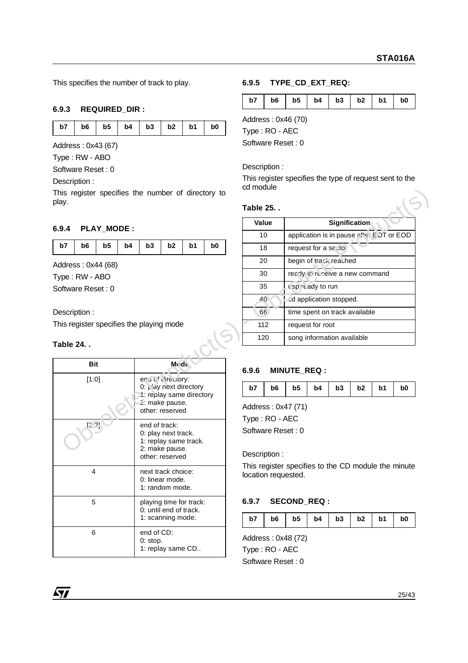This specifies the number of track to play.

## **6.9.3 REQUIRED\_DIR :**

|  |  |  | b7   b6   b5   b4   b3   b2   b1   b0 |  |
|--|--|--|---------------------------------------|--|

Address : 0x43 (67)

Type : RW - ABO

Software Reset : 0

Description :

## **6.9.4 PLAY\_MODE :**

### Description :

## **Table 24. .**

| Bit           | <b>Mode</b>                                                                                                     |
|---------------|-----------------------------------------------------------------------------------------------------------------|
| [1:0]         | enulof clirectory:<br>0: $L$ ay next directory<br>1: replay same directory<br>2: make pause.<br>other: reserved |
| $[3 \cdot 2]$ | end of track:<br>0: play next track.<br>1: replay same track.<br>2: make pause.<br>other: reserved              |
| 4             | next track choice:<br>0: linear mode.<br>1: random mode.                                                        |
| 5             | playing time for track:<br>0: until end of track.<br>1: scanning mode.                                          |
| 6             | end of CD:<br>0: stop.<br>1: replay same CD                                                                     |

## **6.9.5 TYPE\_CD\_EXT\_REQ:**

| b7<br>$\mathbf{I}$ |  | $b6$   $b5$   $b4$   $b3$   $b2$   $b1$ |  |  |  |  | b <sub>0</sub> |
|--------------------|--|-----------------------------------------|--|--|--|--|----------------|
|--------------------|--|-----------------------------------------|--|--|--|--|----------------|

Address : 0x46 (70)

Type : RO - AEC

Software Reset : 0

### Description :

This register specifies the type of request sent to the cd module

## **Table 25. .**

|                                          |                    |                   |    |               |                                                            |                |                | Value             |                |                                                     |                               |                            | Signification                 |    |                |
|------------------------------------------|--------------------|-------------------|----|---------------|------------------------------------------------------------|----------------|----------------|-------------------|----------------|-----------------------------------------------------|-------------------------------|----------------------------|-------------------------------|----|----------------|
| 6.9.4                                    |                    | <b>PLAY MODE:</b> |    |               |                                                            |                |                |                   | 10             | application is in pause after EDT or EOD            |                               |                            |                               |    |                |
| b7                                       | b <sub>6</sub>     | b <sub>5</sub>    | b4 | b3            | b2                                                         | b <sub>1</sub> | b <sub>0</sub> |                   | 18             | request for a sc : to                               |                               |                            |                               |    |                |
|                                          | Address: 0x44 (68) |                   |    |               |                                                            |                |                |                   | 20             |                                                     |                               | begin of track reached     |                               |    |                |
|                                          | Type: RW - ABO     |                   |    |               |                                                            |                |                |                   | 30             |                                                     |                               |                            | ready to renewe a new command |    |                |
|                                          | Software Reset: 0  |                   |    |               |                                                            |                |                |                   | 35             |                                                     | csp ready to run              |                            |                               |    |                |
|                                          |                    |                   |    |               |                                                            |                |                |                   | 40             |                                                     |                               | ad application stopped.    |                               |    |                |
| Description:                             |                    |                   |    |               |                                                            |                | 66             |                   |                |                                                     | time spent on track available |                            |                               |    |                |
| This register specifies the playing mode |                    |                   |    |               | 112<br>request for root                                    |                |                |                   |                |                                                     |                               |                            |                               |    |                |
|                                          |                    |                   |    |               |                                                            |                |                |                   |                |                                                     |                               |                            |                               |    |                |
|                                          |                    |                   |    |               |                                                            |                |                |                   | 120            |                                                     |                               | song information available |                               |    |                |
| <b>Table 24</b>                          |                    |                   |    |               |                                                            |                |                |                   |                |                                                     |                               |                            |                               |    |                |
|                                          | <b>Bit</b>         |                   |    |               | <b>Mode</b>                                                |                |                | 6.9.6             |                | <b>MINUTE REQ:</b>                                  |                               |                            |                               |    |                |
|                                          | [1:0]              |                   |    |               | enulof directory:                                          |                |                |                   |                |                                                     |                               |                            |                               |    |                |
|                                          |                    |                   |    |               | 0: $\sqrt{a}$ y next directory<br>1: replay same directory |                |                | b7                | b <sub>6</sub> | b <sub>5</sub>                                      | b4                            | b3                         | b2                            | b1 | b <sub>0</sub> |
|                                          |                    |                   |    |               | 2: make pause.<br>other: reserved                          |                |                |                   |                | Address: 0x47 (71)                                  |                               |                            |                               |    |                |
|                                          |                    |                   |    |               |                                                            |                |                | Type: RO - AEC    |                |                                                     |                               |                            |                               |    |                |
|                                          |                    |                   |    | end of track: | 0: play next track.                                        |                |                | Software Reset: 0 |                |                                                     |                               |                            |                               |    |                |
|                                          |                    |                   |    |               | 1: replay same track.                                      |                |                |                   |                |                                                     |                               |                            |                               |    |                |
|                                          |                    |                   |    |               | 2: make pause.<br>other: reserved                          |                |                | Description:      |                | This register specifies to the CD module the minute |                               |                            |                               |    |                |

## **6.9.6 MINUTE\_REQ :**

| b7 | $b6$   $b5$   $b4$   $b3$   $b2$   $b1$ |  |  |  |  |  | b <sub>0</sub> |
|----|-----------------------------------------|--|--|--|--|--|----------------|
|----|-----------------------------------------|--|--|--|--|--|----------------|

This register specifies to the CD module the minute location requested.

## **6.9.7 SECOND\_REQ :**

|  |  | $b7$   $b6$   $b5$   $b4$   $b3$   $b2$   $b1$ |  |  |  |  |  | b <sub>0</sub> |
|--|--|------------------------------------------------|--|--|--|--|--|----------------|
|--|--|------------------------------------------------|--|--|--|--|--|----------------|

Address : 0x48 (72) Type : RO - AEC Software Reset : 0

97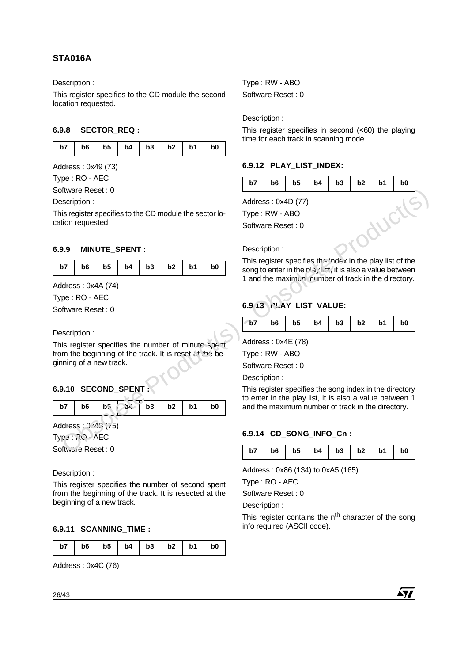## **STA016A**

Description :

This register specifies to the CD module the second location requested.

## **6.9.8 SECTOR\_REQ :**

| b7   b6   b5   b4   b3   b2   b1   b0 |  |  |  |  |
|---------------------------------------|--|--|--|--|
|                                       |  |  |  |  |

Address : 0x49 (73)

Type : RO - AEC

## **6.9.9 MINUTE\_SPENT :**

| b7   b6   b5   b4   b3   b2   b1   b0 |  |  |  |  |
|---------------------------------------|--|--|--|--|
|---------------------------------------|--|--|--|--|

## **6.9.10 SECOND\_SPENT :**

| $b7$   $b6$   $b5$<br>$54$   b3   b2   b1   b0 |  |  |  |  |  |  |  |  |
|------------------------------------------------|--|--|--|--|--|--|--|--|
|------------------------------------------------|--|--|--|--|--|--|--|--|

Description :

This register specifies the number of second spent from the beginning of the track. It is resected at the beginning of a new track.

## **6.9.11 SCANNING\_TIME :**

| $b6$   $b5$   $b4$   $b3$   $b2$   $b1$  <br>$b7$ |  |  |  |  | b <sub>0</sub> |
|---------------------------------------------------|--|--|--|--|----------------|
|---------------------------------------------------|--|--|--|--|----------------|

Address : 0x4C (76)

Type : RW - ABO Software Reset : 0

Description :

This register specifies in second  $( $60$ )$  the playing time for each track in scanning mode.

## **6.9.12 PLAY\_LIST\_INDEX:**

| Software Reset: 0<br>Address: 0x4D (77)<br>Type: RW - ABO<br>WC<br>Software Reset: 0<br>Description:<br>MINUTE_SPENT :<br>This register specifies the index in the play list of the<br>b <sub>5</sub><br>b2<br>b7<br>b <sub>6</sub><br>b4<br>b3<br>b1<br>b <sub>0</sub><br>song to enter in the play het, it is also a value between<br>1 and the maximun. number of track in the directory.<br>6.9 13 PLAY_LIST_VALUE: |
|-------------------------------------------------------------------------------------------------------------------------------------------------------------------------------------------------------------------------------------------------------------------------------------------------------------------------------------------------------------------------------------------------------------------------|
| Description:<br>This register specifies to the CD module the sector lo-<br>cation requested.                                                                                                                                                                                                                                                                                                                            |
|                                                                                                                                                                                                                                                                                                                                                                                                                         |
|                                                                                                                                                                                                                                                                                                                                                                                                                         |
|                                                                                                                                                                                                                                                                                                                                                                                                                         |
| 6.9.9<br>Address: 0x4A (74)<br>Type: RO - AEC<br>Software Reset: 0                                                                                                                                                                                                                                                                                                                                                      |
|                                                                                                                                                                                                                                                                                                                                                                                                                         |
|                                                                                                                                                                                                                                                                                                                                                                                                                         |
|                                                                                                                                                                                                                                                                                                                                                                                                                         |
|                                                                                                                                                                                                                                                                                                                                                                                                                         |
|                                                                                                                                                                                                                                                                                                                                                                                                                         |
|                                                                                                                                                                                                                                                                                                                                                                                                                         |
| b <sub>5</sub><br>b7<br>b <sub>6</sub><br>b4<br>b3<br>b2<br>b1<br>b <sub>0</sub>                                                                                                                                                                                                                                                                                                                                        |
| Description:                                                                                                                                                                                                                                                                                                                                                                                                            |
| Address: 0x4E (78)<br>This register specifies the number of minute spent                                                                                                                                                                                                                                                                                                                                                |
| from the beginning of the track. It is reset at the be-<br>Type: RW - ABO                                                                                                                                                                                                                                                                                                                                               |
| ginning of a new track.<br>Software Reset: 0                                                                                                                                                                                                                                                                                                                                                                            |
| Description:                                                                                                                                                                                                                                                                                                                                                                                                            |
| 6.9.10 SECOND_SPENT<br>This register specifies the song index in the directory                                                                                                                                                                                                                                                                                                                                          |
| to enter in the play list, it is also a value between 1                                                                                                                                                                                                                                                                                                                                                                 |
| b2<br>b7<br>b <sub>6</sub><br>b.<br>b3<br>b1<br>b <sub>0</sub><br>and the maximum number of track in the directory.<br>54-                                                                                                                                                                                                                                                                                              |
| Address: 0.45 (75)                                                                                                                                                                                                                                                                                                                                                                                                      |
| 6.9.14 CD_SONG_INFO_Cn:<br>Type: ? O - AEC                                                                                                                                                                                                                                                                                                                                                                              |
| Software Reset: 0<br>b1<br>b7<br>b <sub>6</sub><br>b5<br>b4<br>b3<br>b2<br>b0                                                                                                                                                                                                                                                                                                                                           |
|                                                                                                                                                                                                                                                                                                                                                                                                                         |
| Address: 0x86 (134) to 0xA5 (165)<br>Description:                                                                                                                                                                                                                                                                                                                                                                       |

## Description :

## **6.9.13 PLAY\_LIST\_VALUE:**

| $ $ b7   b6   b5   b4   b3   b2   b1   b0 |
|-------------------------------------------|
|-------------------------------------------|

## **6.9.14 CD\_SONG\_INFO\_Cn :**

| b7   b6   b5   b4   b3   b2   b1   b0 |  |
|---------------------------------------|--|
|---------------------------------------|--|

Type : RO - AEC

Software Reset : 0

Description :

This register contains the  $n<sup>th</sup>$  character of the song info required (ASCII code).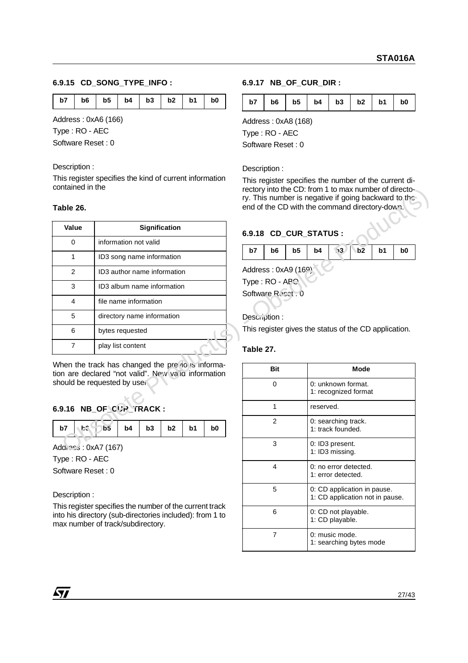### **6.9.15 CD\_SONG\_TYPE\_INFO :**

|  |  |  | b7   b6   b5   b4   b3   b2   b1   b0 |  |
|--|--|--|---------------------------------------|--|
|  |  |  |                                       |  |

Address : 0xA6 (166)

Type : RO - AEC

Software Reset : 0

### Description :

This register specifies the kind of current information contained in the

### **Table 26.**

| vullallicu ili liic<br>Table 26.    |                                                                                                          |              | rectory into the CD: from 1 to max number of directo- |                | ry. This number is negative if going backward to the<br>end of the CD with the command directory-down. |                                          |                                            |    |                |
|-------------------------------------|----------------------------------------------------------------------------------------------------------|--------------|-------------------------------------------------------|----------------|--------------------------------------------------------------------------------------------------------|------------------------------------------|--------------------------------------------|----|----------------|
| Value                               | <b>Signification</b>                                                                                     |              |                                                       |                | 6.9.18 CD_CUR_STATUS :                                                                                 |                                          |                                            |    |                |
| 0                                   | information not valid                                                                                    |              |                                                       |                |                                                                                                        |                                          |                                            |    |                |
| 1                                   | ID3 song name information                                                                                | b7           | b <sub>6</sub>                                        | b <sub>5</sub> | b4                                                                                                     | $\sqrt{3}$                               | b2                                         | b1 | b <sub>0</sub> |
| 2                                   | ID3 author name information                                                                              |              | Address: 0xA9 (169)                                   |                |                                                                                                        |                                          |                                            |    |                |
| 3                                   | ID3 album name information                                                                               |              | Type: RO - ABO                                        |                |                                                                                                        |                                          |                                            |    |                |
| 4                                   | file name information                                                                                    |              | Software Reset . 0                                    |                |                                                                                                        |                                          |                                            |    |                |
| 5                                   | directory name information                                                                               | Description: |                                                       |                |                                                                                                        |                                          |                                            |    |                |
| 6                                   | bytes requested                                                                                          |              |                                                       |                | This register gives the status of the CD application.                                                  |                                          |                                            |    |                |
| $\overline{7}$                      | play list content                                                                                        | Table 27.    |                                                       |                |                                                                                                        |                                          |                                            |    |                |
|                                     | When the track has changed the previous informa-<br>tion are declared "not valid". New valia information |              | <b>Bit</b>                                            |                |                                                                                                        |                                          | <b>Mode</b>                                |    |                |
|                                     | should be requested by user                                                                              |              | $\Omega$                                              |                |                                                                                                        |                                          | 0: unknown format.<br>1: recognized format |    |                |
|                                     | 6.9.16 NB_OF_CUR_TRACK:                                                                                  |              | $\mathbf{1}$                                          |                | reserved.                                                                                              |                                          |                                            |    |                |
| <b>he</b><br>b7                     | b <sub>5</sub><br>b4<br>b3<br>b <sub>2</sub><br>b1<br>b <sub>0</sub>                                     |              | 2                                                     |                |                                                                                                        | 0: searching track.<br>1: track founded. |                                            |    |                |
|                                     | Addiess: 0xA7 (167)                                                                                      |              | 3                                                     |                |                                                                                                        | 0: ID3 present.<br>1: ID3 missing.       |                                            |    |                |
| Type: RO - AEC<br>Software Reset: 0 |                                                                                                          |              | 4                                                     |                |                                                                                                        | 1: error detected                        | 0: no error detected.                      |    |                |

## **6.9.16 NB\_OF\_CUR\_TRACK :**

Description :

This register specifies the number of the current track into his directory (sub-directories included): from 1 to max number of track/subdirectory.

### **6.9.17 NB\_OF\_CUR\_DIR :**

|  |  |  |  |  |  | $b7$   $b6$   $b5$   $b4$   $b3$   $b2$   $b1$   $b0$ |  |
|--|--|--|--|--|--|-------------------------------------------------------|--|
|--|--|--|--|--|--|-------------------------------------------------------|--|

Address : 0xA8 (168)

Type : RO - AEC

Software Reset : 0

Description :

This register specifies the number of the current directory into the CD: from 1 to max number of directory. This number is negative if going backward to the end of the CD with the command directory-down.

## **6.9.18 CD\_CUR\_STATUS :**



### **Table 27.**

| Bit | Mode                                                           |
|-----|----------------------------------------------------------------|
| 0   | 0: unknown format.<br>1: recognized format                     |
| 1   | reserved.                                                      |
| 2   | 0: searching track.<br>1: track founded.                       |
| 3   | 0: ID3 present.<br>1: ID3 missing.                             |
| 4   | 0: no error detected.<br>1: error detected.                    |
| 5   | 0: CD application in pause.<br>1: CD application not in pause. |
| 6   | 0: CD not playable.<br>1: CD playable.                         |
| 7   | 0: music mode.<br>1: searching bytes mode                      |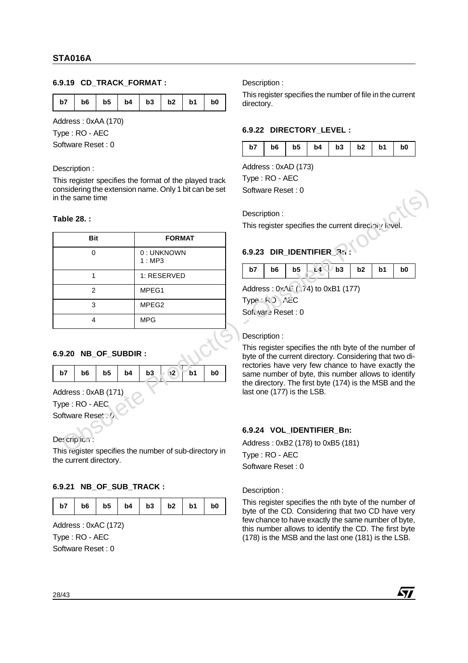## **6.9.19 CD\_TRACK\_FORMAT :**

|  |  |  |  |  |  | b7   b6   b5   b4   b3   b2   b1   b0 |  |
|--|--|--|--|--|--|---------------------------------------|--|
|--|--|--|--|--|--|---------------------------------------|--|

Address : 0xAA (170)

Type : RO - AEC

Software Reset : 0

### Description :

This register specifies the format of the played track considering the extension name. Only 1 bit can be set in the same time

### **Table 28. :**

| Table 28.:                                                                                                                    |                                                            | Description:<br>This register specifies the current directory level.                                                                                                                                                                                                                                                                  |  |  |  |  |  |
|-------------------------------------------------------------------------------------------------------------------------------|------------------------------------------------------------|---------------------------------------------------------------------------------------------------------------------------------------------------------------------------------------------------------------------------------------------------------------------------------------------------------------------------------------|--|--|--|--|--|
| <b>Bit</b>                                                                                                                    | <b>FORMAT</b>                                              |                                                                                                                                                                                                                                                                                                                                       |  |  |  |  |  |
| $\Omega$                                                                                                                      | 0: UNKNOWN<br>1:MP3                                        | 6.9.23 DIR_IDENTIFIER_R:                                                                                                                                                                                                                                                                                                              |  |  |  |  |  |
| $\mathbf{1}$                                                                                                                  | 1: RESERVED                                                | $.4 \cup b3$<br>b5<br>b2<br>b1<br>b7<br>b <sub>6</sub><br>b <sub>0</sub>                                                                                                                                                                                                                                                              |  |  |  |  |  |
| 2                                                                                                                             | MPEG1                                                      | Address: 0x.1: (74) to 0xB1 (177)                                                                                                                                                                                                                                                                                                     |  |  |  |  |  |
| 3                                                                                                                             | MPEG <sub>2</sub>                                          | Type: RO AZC<br>Software Reset: 0                                                                                                                                                                                                                                                                                                     |  |  |  |  |  |
| 4                                                                                                                             | <b>MPG</b>                                                 |                                                                                                                                                                                                                                                                                                                                       |  |  |  |  |  |
|                                                                                                                               |                                                            |                                                                                                                                                                                                                                                                                                                                       |  |  |  |  |  |
| 6.9.20 NB OF SUBDIR :<br>b <sub>5</sub><br>b7<br>b <sub>6</sub><br>Address: 0xAB (171)<br>Type: RO - AEC<br>Software Reset. 0 | $\sqrt{2}$<br>b3<br>b <sub>1</sub><br>b <sub>0</sub><br>b4 | Description:<br>This register specifies the nth byte of the number of<br>byte of the current directory. Considering that two di-<br>rectories have very few chance to have exactly the<br>same number of byte, this number allows to identify<br>the directory. The first byte (174) is the MSB and the<br>last one (177) is the LSB. |  |  |  |  |  |

## **6.9.20 NB\_OF\_SUBDIR :**

|  |  |  | b7   b6   b5   b4   b3   $\sqrt{2}$   b1 | b <sub>0</sub> |
|--|--|--|------------------------------------------|----------------|
|  |  |  |                                          |                |

## **6.9.21 NB\_OF\_SUB\_TRACK :**

|  |  |  |  |  |  | b7   b6   b5   b4   b3   b2   b1   b0 |  |
|--|--|--|--|--|--|---------------------------------------|--|
|--|--|--|--|--|--|---------------------------------------|--|

Address : 0xAC (172)

Type : RO - AEC

Software Reset : 0

Description :

This register specifies the number of file in the current directory.

## **6.9.22 DIRECTORY\_LEVEL :**

| b7<br>b6 | b5<br>$\mathsf{b4}$ |  | $b3$ $b2$ | b1 | b0 |
|----------|---------------------|--|-----------|----|----|
|----------|---------------------|--|-----------|----|----|

Address : 0xAD (173)

Type : RO - AEC Software Reset : 0

## **6.9.23 DIR IDENTIFIER**

| $b7$   $b6$   $b5$   $c4$   $b3$   $b2$   $b1$ |  |  |  |  |  |  |  |  | b0 |
|------------------------------------------------|--|--|--|--|--|--|--|--|----|
|------------------------------------------------|--|--|--|--|--|--|--|--|----|

## Description :

## **6.9.24 VOL\_IDENTIFIER\_Bn:**

### Description :

This register specifies the nth byte of the number of byte of the CD. Considering that two CD have very few chance to have exactly the same number of byte, this number allows to identify the CD. The first byte (178) is the MSB and the last one (181) is the LSB.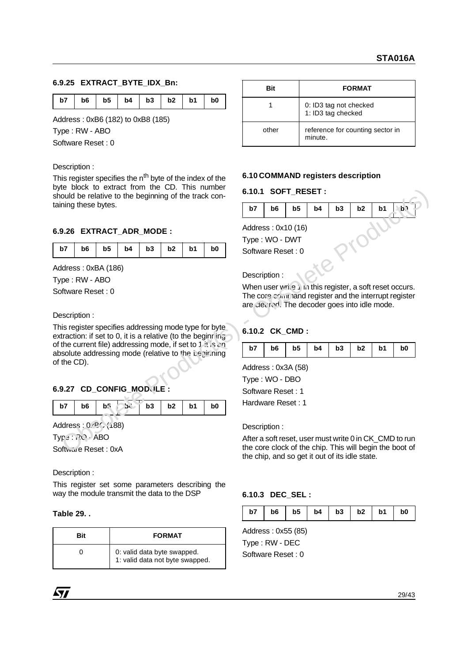### **6.9.25 EXTRACT\_BYTE\_IDX\_Bn:**

| b7   b6   b5   b4   b3   b2   b1   b0 |  |
|---------------------------------------|--|
|---------------------------------------|--|

Address : 0xB6 (182) to 0xB8 (185)

Type : RW - ABO

Software Reset : 0

#### Description :

This register specifies the n<sup>th</sup> byte of the index of the byte block to extract from the CD. This number should be relative to the beginning of the track containing these bytes.

## **6.9.26 EXTRACT\_ADR\_MODE :**

| b7   b6   b5   b4   b3   b2   b1   b0 |  |  |  |  |  |
|---------------------------------------|--|--|--|--|--|
|---------------------------------------|--|--|--|--|--|

Address : 0xBA (186)

Type : RW - ABO

Software Reset : 0

Description :

This register specifies addressing mode type for byte extraction: if set to 0, it is a relative (to the beginning of the current file) addressing mode, if set to 1 it is an absolute addressing mode (relative to the beginning of the CD). **Solet Solet Solet Solet Solet Solet Solet Solet Solet Solet Solet Solet Solet Solet Solet Solet Solet Solet Solet Solet Solet Solet Solet Solet Solet Solet Solet Solet Solet Solet Solet Solet Solet Solet Solet Solet Sole** 

## **6.9.27 CD\_CONFIG\_MODULE :**

| b7<br>  $\frac{1}{100}$   $\frac{1}{100}$   $\frac{1}{100}$   $\frac{1}{100}$   $\frac{1}{100}$   $\frac{1}{100}$   $\frac{1}{100}$   $\frac{1}{100}$   $\frac{1}{100}$   $\frac{1}{100}$   $\frac{1}{100}$   $\frac{1}{100}$   $\frac{1}{100}$   $\frac{1}{100}$   $\frac{1}{100}$   $\frac{1}{100$<br>b <sub>0</sub> |
|------------------------------------------------------------------------------------------------------------------------------------------------------------------------------------------------------------------------------------------------------------------------------------------------------------------------|
|------------------------------------------------------------------------------------------------------------------------------------------------------------------------------------------------------------------------------------------------------------------------------------------------------------------------|

Address: 0xBC (188)

Type : RO - ABO

Software Reset: 0xA

Description :

This register set some parameters describing the way the module transmit the data to the DSP

### **Table 29. .**

| Bit | <b>FORMAT</b>                                                  |
|-----|----------------------------------------------------------------|
|     | 0: valid data byte swapped.<br>1: valid data not byte swapped. |

| <b>Rit</b> | <b>FORMAT</b>                                |  |  |  |  |  |
|------------|----------------------------------------------|--|--|--|--|--|
|            | 0: ID3 tag not checked<br>1: ID3 tag checked |  |  |  |  |  |
| other      | reference for counting sector in<br>minute.  |  |  |  |  |  |

#### **6.10 COMMAND registers description**

#### **6.10.1 SOFT\_RESET :**

| b7 | b6                 | b5                 | b4 | b3 | b2 | b1 |  |
|----|--------------------|--------------------|----|----|----|----|--|
|    |                    | Address: 0x10 (16) |    |    |    |    |  |
|    | Type : WO - DWT    |                    |    |    |    |    |  |
|    | Software Reset : 0 |                    |    |    |    |    |  |
|    |                    |                    |    |    |    |    |  |

### Description :

When user write 1 in this register, a soft reset occurs. The core command register and the interrupt register are cleared. The decoder goes into idle mode.

## **6.10.2 CK\_CMD :**

| $\vert$ b4 $\vert$ b3 $\vert$ b2 $\vert$<br>b7<br>b5<br>b6<br>b1<br>b <sub>0</sub> |
|------------------------------------------------------------------------------------|
|------------------------------------------------------------------------------------|

Address : 0x3A (58)

Type : WO - DBO Software Reset : 1 Hardware Reset : 1

Description :

After a soft reset, user must write 0 in CK\_CMD to run the core clock of the chip. This will begin the boot of the chip, and so get it out of its idle state.

### **6.10.3 DEC\_SEL :**

Address : 0x55 (85) Type : RW - DEC Software Reset : 0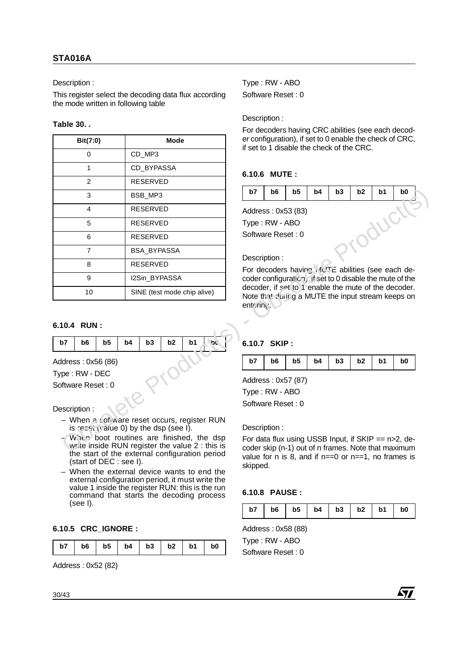Description :

This register select the decoding data flux according the mode written in following table

## **Table 30. .**

|    | Bit(7:0)                                                   |                |            |                 | <b>Mode</b>                 |                                              |           | er configuration), if set to 0 enable the check of CRC,<br>if set to 1 disable the check of the CRC.                         |                    |                                                                                                           |    |    |    |                |  |  |
|----|------------------------------------------------------------|----------------|------------|-----------------|-----------------------------|----------------------------------------------|-----------|------------------------------------------------------------------------------------------------------------------------------|--------------------|-----------------------------------------------------------------------------------------------------------|----|----|----|----------------|--|--|
|    | $\Omega$                                                   |                |            | CD_MP3          |                             |                                              |           |                                                                                                                              |                    |                                                                                                           |    |    |    |                |  |  |
|    | 1                                                          |                | CD_BYPASSA |                 |                             |                                              |           | 6.10.6 MUTE:                                                                                                                 |                    |                                                                                                           |    |    |    |                |  |  |
|    | 2                                                          |                |            | <b>RESERVED</b> |                             |                                              |           |                                                                                                                              |                    |                                                                                                           |    |    |    |                |  |  |
|    | $\mathfrak{Z}$                                             |                |            | BSB_MP3         |                             |                                              | b7        | b <sub>6</sub>                                                                                                               | b <sub>5</sub>     | b4                                                                                                        | b3 | b2 | b1 | b <sub>0</sub> |  |  |
|    | $\overline{4}$                                             |                |            | <b>RESERVED</b> |                             |                                              |           |                                                                                                                              | Address: 0x53 (83) |                                                                                                           |    |    |    |                |  |  |
|    | 5                                                          |                |            | RESERVED        |                             |                                              |           | Type: RW - ABO                                                                                                               |                    |                                                                                                           |    |    |    |                |  |  |
|    | 6                                                          |                |            | <b>RESERVED</b> |                             |                                              |           | Software Reset: 0                                                                                                            |                    |                                                                                                           |    |    |    |                |  |  |
|    | $\overline{7}$                                             |                |            | BSA_BYPASSA     |                             |                                              |           |                                                                                                                              |                    |                                                                                                           |    |    |    |                |  |  |
|    | 8                                                          |                |            | RESERVED        |                             |                                              |           | Description:                                                                                                                 |                    |                                                                                                           |    |    |    |                |  |  |
|    | $\boldsymbol{9}$                                           |                |            | I2Sin_BYPASSA   |                             |                                              |           | For decoders having $1$ <sup>1</sup> UTE abilities (see each de-<br>coder configuration, if set to 0 disable the mute of the |                    |                                                                                                           |    |    |    |                |  |  |
|    | 10                                                         |                |            |                 | SINE (test mode chip alive) |                                              |           |                                                                                                                              |                    | decoder, if set to 1 enable the mute of the decoder.<br>Note that during a MUTE the input stream keeps on |    |    |    |                |  |  |
|    |                                                            |                |            |                 |                             |                                              | entering. |                                                                                                                              |                    |                                                                                                           |    |    |    |                |  |  |
|    | 6.10.4 RUN:                                                |                |            |                 |                             |                                              |           |                                                                                                                              |                    |                                                                                                           |    |    |    |                |  |  |
| b7 | b <sub>6</sub>                                             | b <sub>5</sub> | b4         | b3              | b2                          | b1<br><b>DC</b>                              |           | 6.10.7 SKIP:                                                                                                                 |                    |                                                                                                           |    |    |    |                |  |  |
|    | Address: 0x56 (86)                                         |                |            |                 |                             |                                              | b7        | b <sub>6</sub>                                                                                                               | b <sub>5</sub>     | b4                                                                                                        | b3 | b2 | b1 | b0             |  |  |
|    | Type: RW - DEC                                             |                |            |                 |                             |                                              |           |                                                                                                                              |                    |                                                                                                           |    |    |    |                |  |  |
|    | Software Reset: 0                                          |                |            |                 |                             |                                              |           | Type: RW - ABO                                                                                                               | Address: 0x57 (87) |                                                                                                           |    |    |    |                |  |  |
|    |                                                            |                |            |                 |                             |                                              |           | Software Reset: 0                                                                                                            |                    |                                                                                                           |    |    |    |                |  |  |
|    | Description:<br>is recet $(i)$ alue 0) by the dsp (see I). |                |            |                 |                             | - When a software reset occurs, register RUN |           | Description:                                                                                                                 |                    |                                                                                                           |    |    |    |                |  |  |

## **6.10.4 RUN :**

| b7   b6   b5   b4   b3   b2   b1   b |  |  |  |
|--------------------------------------|--|--|--|
|                                      |  |  |  |

### Description :

- When a software reset occurs, register RUN is reset (value 0) by the dsp (see I).
- When boot routines are finished, the dsp write inside RUN register the value  $2$ : this is the start of the external configuration period (start of DEC : see I).
- When the external device wants to end the external configuration period, it must write the value 1 inside the register RUN: this is the run command that starts the decoding process (see I).

## **6.10.5 CRC\_IGNORE :**

|  | b7   b6   b5   b4   b3   b2   b1   b0 |  |  |  |  |  |  |
|--|---------------------------------------|--|--|--|--|--|--|
|--|---------------------------------------|--|--|--|--|--|--|

Address : 0x52 (82)

Type : RW - ABO Software Reset : 0

Description :

For decoders having CRC abilities (see each decoder configuration), if set to 0 enable the check of CRC, if set to 1 disable the check of the CRC.

## **6.10.6 MUTE :**

| b7 | b6                | b5                 | b4 | b <sub>3</sub> | b2 | b1 | b <sub>0</sub> |
|----|-------------------|--------------------|----|----------------|----|----|----------------|
|    |                   | Address: 0x53 (83) |    |                |    |    |                |
|    | Type : RW - ABO   |                    |    |                |    |    |                |
|    | Software Reset: 0 |                    |    |                |    |    |                |
|    |                   |                    |    |                |    |    |                |
|    | Description :     |                    |    |                |    |    |                |

## Description :

## **6.10.7 SKIP :**

|  |  |  |  |  |  | $b7$   $b6$   $b5$   $b4$   $b3$   $b2$   $b1$   $b0$ |  |
|--|--|--|--|--|--|-------------------------------------------------------|--|
|--|--|--|--|--|--|-------------------------------------------------------|--|

## **6.10.8 PAUSE :**

| b7 |  |  |  |  |  | $b6$   $b5$   $b4$   $b3$   $b2$   $b1$ | b <sub>0</sub> |
|----|--|--|--|--|--|-----------------------------------------|----------------|
|----|--|--|--|--|--|-----------------------------------------|----------------|

47/

Address : 0x58 (88)

Type : RW - ABO Software Reset : 0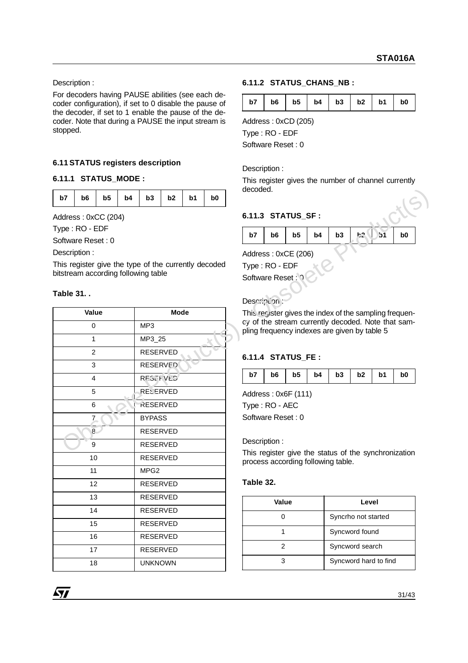Description :

For decoders having PAUSE abilities (see each decoder configuration), if set to 0 disable the pause of the decoder, if set to 1 enable the pause of the decoder. Note that during a PAUSE the input stream is stopped.

## **6.11 STATUS registers description**

## **6.11.1 STATUS\_MODE :**

| b7   b6   b5   b4   b3   b2   b1   b0 |  |  |
|---------------------------------------|--|--|
|---------------------------------------|--|--|

## **Table 31. .**

| b7              | b6                                                   | b <sub>5</sub> | b4 | b3               | b <sub>2</sub> | b1 | b0 | aecoaea.                                                                                                     |                                    |                |    |                |                     |                       |                                                      |
|-----------------|------------------------------------------------------|----------------|----|------------------|----------------|----|----|--------------------------------------------------------------------------------------------------------------|------------------------------------|----------------|----|----------------|---------------------|-----------------------|------------------------------------------------------|
|                 | Address: 0xCC (204)                                  |                |    |                  |                |    |    |                                                                                                              | 6.11.3 STATUS_SF :                 |                |    |                |                     |                       |                                                      |
|                 |                                                      |                |    |                  |                |    |    |                                                                                                              |                                    |                |    |                |                     |                       |                                                      |
|                 | Type: RO - EDF<br>Software Reset: 0                  |                |    |                  |                |    |    | b7                                                                                                           | b <sub>6</sub>                     | b <sub>5</sub> | b4 | b3             | h2                  | b <sub>1</sub>        | b <sub>0</sub>                                       |
|                 | Description:                                         |                |    |                  |                |    |    |                                                                                                              |                                    |                |    |                |                     |                       |                                                      |
|                 | This register give the type of the currently decoded |                |    |                  |                |    |    |                                                                                                              | Address: 0xCE (206)                |                |    |                |                     |                       |                                                      |
|                 | bitstream according following table                  |                |    |                  |                |    |    |                                                                                                              | Type: RO - EDF                     |                |    |                |                     |                       |                                                      |
|                 |                                                      |                |    |                  |                |    |    |                                                                                                              | Software Reset: 0                  |                |    |                |                     |                       |                                                      |
| <b>Table 31</b> |                                                      |                |    |                  |                |    |    |                                                                                                              |                                    |                |    |                |                     |                       |                                                      |
|                 | Value                                                |                |    |                  | <b>Mode</b>    |    |    | Description                                                                                                  |                                    |                |    |                |                     |                       |                                                      |
|                 | $\mathbf 0$                                          |                |    | MP3              |                |    |    | This recister gives the index of the sampling frequen-<br>cy of the stream currently decoded. Note that sam- |                                    |                |    |                |                     |                       |                                                      |
|                 |                                                      |                |    |                  |                |    |    | pling frequency indexes are given by table 5                                                                 |                                    |                |    |                |                     |                       |                                                      |
|                 | $\mathbf{1}$                                         |                |    | MP3_25           |                |    |    |                                                                                                              |                                    |                |    |                |                     |                       |                                                      |
|                 | 2                                                    |                |    | <b>RESERVED</b>  |                |    |    |                                                                                                              | 6.11.4 STATUS_FE :                 |                |    |                |                     |                       |                                                      |
|                 | 3                                                    |                |    | <b>RESERVED</b>  |                |    | b7 | b <sub>6</sub>                                                                                               | b <sub>5</sub>                     |                | b3 | b <sub>2</sub> | b1                  |                       |                                                      |
|                 | 4                                                    |                |    | <b>RESTRVED</b>  |                |    |    |                                                                                                              |                                    | b4             |    |                |                     | b <sub>0</sub>        |                                                      |
|                 | 5                                                    |                |    | <b>RESERVED</b>  |                |    |    |                                                                                                              | Address: 0x6F (111)                |                |    |                |                     |                       |                                                      |
|                 | 6                                                    |                |    | <b>RESERVED</b>  |                |    |    |                                                                                                              | Type: RO - AEC                     |                |    |                |                     |                       |                                                      |
|                 | 7                                                    |                |    | <b>BYPASS</b>    |                |    |    |                                                                                                              | Software Reset: 0                  |                |    |                |                     |                       |                                                      |
|                 | 8                                                    |                |    | <b>RESERVED</b>  |                |    |    |                                                                                                              |                                    |                |    |                |                     |                       |                                                      |
|                 | 9                                                    |                |    | <b>RESERVED</b>  |                |    |    |                                                                                                              | Description:                       |                |    |                |                     |                       |                                                      |
|                 | 10                                                   |                |    | <b>RESERVED</b>  |                |    |    |                                                                                                              | process according following table. |                |    |                |                     |                       | This register give the status of the synchronization |
|                 | 11                                                   |                |    | MPG <sub>2</sub> |                |    |    |                                                                                                              |                                    |                |    |                |                     |                       |                                                      |
|                 | 12                                                   |                |    | <b>RESERVED</b>  |                |    |    | Table 32.                                                                                                    |                                    |                |    |                |                     |                       |                                                      |
|                 | 13                                                   |                |    | <b>RESERVED</b>  |                |    |    |                                                                                                              | Value                              |                |    |                | Level               |                       |                                                      |
|                 | 14                                                   |                |    | <b>RESERVED</b>  |                |    |    |                                                                                                              |                                    |                |    |                |                     |                       |                                                      |
|                 | 15                                                   |                |    | <b>RESERVED</b>  |                |    |    |                                                                                                              | 0                                  |                |    |                | Syncrho not started |                       |                                                      |
|                 | 16                                                   |                |    | <b>RESERVED</b>  |                |    |    |                                                                                                              | $\mathbf{1}$                       |                |    |                | Syncword found      |                       |                                                      |
|                 | 17                                                   |                |    | <b>RESERVED</b>  |                |    |    |                                                                                                              | $\overline{2}$                     |                |    |                | Syncword search     |                       |                                                      |
|                 | 18                                                   |                |    | <b>UNKNOWN</b>   |                |    |    |                                                                                                              | $\mathfrak{S}$                     |                |    |                |                     | Syncword hard to find |                                                      |
|                 |                                                      |                |    |                  |                |    |    |                                                                                                              |                                    |                |    |                |                     |                       |                                                      |

## **6.11.2 STATUS\_CHANS\_NB :**

| b7   b6   b5   b4   b3   b2   b1   b0 |  |  |  |  |  |  |  |
|---------------------------------------|--|--|--|--|--|--|--|
|---------------------------------------|--|--|--|--|--|--|--|

Address : 0xCD (205)

Type : RO - EDF

Software Reset : 0

Description :

This register gives the number of channel currently decoded.

## **6.11.3 STATUS\_SF :**

|  |  | $b7$   $b6$   $b5$   $b4$   $b3$   $b2$   $b1$   $b0$ |  |
|--|--|-------------------------------------------------------|--|

## Description :

## **6.11.4 STATUS\_FE :**

| $b4$   $b3$   $b2$  <br>b6<br>b7<br>b5 l<br>b <sub>1</sub><br>b0 |
|------------------------------------------------------------------|
|------------------------------------------------------------------|

## **Table 32.**

| Value | Level                 |
|-------|-----------------------|
|       | Syncrho not started   |
|       | Syncword found        |
| 2     | Syncword search       |
|       | Syncword hard to find |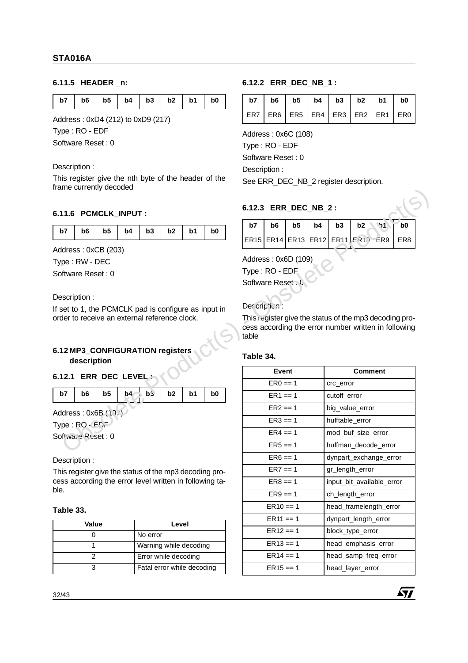## **6.11.5 HEADER \_n:**

| b7   b6   b5   b4   b3   b2   b1   b0 |  |  |  |  |  |  |  |  |  |
|---------------------------------------|--|--|--|--|--|--|--|--|--|
|---------------------------------------|--|--|--|--|--|--|--|--|--|

Address : 0xD4 (212) to 0xD9 (217)

Type : RO - EDF

Software Reset : 0

### Description :

This register give the nth byte of the header of the frame currently decoded

## **6.11.6 PCMCLK\_INPUT :**

| b7   b6   b5   b4   b3   b2   b1   b0 |  |  |  |  |
|---------------------------------------|--|--|--|--|

## **6.12 MP3\_CONFIGURATION registers description**

## **6.12.1 ERR\_DEC\_LEVEL :**

| <b>b7</b> |  |  |  | b0 |
|-----------|--|--|--|----|
|           |  |  |  |    |

### Description :

## **Table 33.**

| Value | Level                      |
|-------|----------------------------|
|       | No error                   |
|       | Warning while decoding     |
|       | Error while decoding       |
|       | Fatal error while decoding |

## **6.12.2 ERR\_DEC\_NB\_1 :**

| $b7$   $b6$   $b5$   $b4$   $b3$   $b2$   $b1$   $b0$ |  |  |  |
|-------------------------------------------------------|--|--|--|
| ER7   ER6   ER5   ER4   ER3   ER2   ER1   ER0         |  |  |  |

Address : 0x6C (108)

Type : RO - EDF

Software Reset : 0

Description :

See ERR\_DEC\_NB\_2 register description.

## **6.12.3 ERR\_DEC\_NB\_2 :**

| b7 |  |  | $b6$   $b5$   $b4$   $b3$   $b2$ \ $b1$   $b0$ |  |
|----|--|--|------------------------------------------------|--|
|    |  |  | ER15 ER14 ER13 ER12 ER11 ER11  ER9   ER8       |  |

## Des cription :

### **Table 34.**

|                   | 6.11.6 PCMCLK_INPUT :                           |                |    |                        |                |    |                                                         | 6.12.3 ERR_DEC_NB_2: |                |    |             |              |                                                        |     |                |
|-------------------|-------------------------------------------------|----------------|----|------------------------|----------------|----|---------------------------------------------------------|----------------------|----------------|----|-------------|--------------|--------------------------------------------------------|-----|----------------|
| b7                | b6                                              | b <sub>5</sub> | b4 | b3                     | b <sub>2</sub> | b1 | b0                                                      | b7                   | b6             | b5 | b4          | b3           | b2                                                     | ზ1  | b <sub>0</sub> |
|                   |                                                 |                |    |                        |                |    |                                                         |                      | ER15 ER14 ER13 |    | <b>ER12</b> |              | ER11E31                                                | ER9 | ER8            |
|                   | Address: 0xCB (203)                             |                |    |                        |                |    |                                                         | Address: 0x6D (109)  |                |    |             |              |                                                        |     |                |
|                   | Type: RW - DEC                                  |                |    |                        |                |    |                                                         | Type: RO - EDF       |                |    |             |              |                                                        |     |                |
|                   | Software Reset: 0                               |                |    |                        |                |    |                                                         | Software Reset. 0    |                |    |             |              |                                                        |     |                |
|                   |                                                 |                |    |                        |                |    |                                                         |                      |                |    |             |              |                                                        |     |                |
|                   | Description:                                    |                |    |                        |                |    |                                                         | Det crip fier.       |                |    |             |              |                                                        |     |                |
|                   | order to receive an external reference clock.   |                |    |                        |                |    | If set to 1, the PCMCLK pad is configure as input in    |                      |                |    |             |              | This register give the status of the mp3 decoding pro- |     |                |
|                   |                                                 |                |    |                        |                |    |                                                         |                      |                |    |             |              | cess according the error number written in following   |     |                |
|                   |                                                 |                |    |                        |                |    |                                                         | table                |                |    |             |              |                                                        |     |                |
|                   | 6.12 MP3_CONFIGURATION registers<br>description |                |    |                        |                |    |                                                         | Table 34.            |                |    |             |              |                                                        |     |                |
|                   | 6.12.1 ERR_DEC_LEVEL:                           |                |    |                        |                |    |                                                         |                      | Event          |    |             |              | <b>Comment</b>                                         |     |                |
|                   |                                                 |                |    |                        |                |    |                                                         |                      | $ER0 == 1$     |    |             | crc_error    |                                                        |     |                |
| b7                | b6                                              | b <sub>5</sub> |    | $b4 - b3$              | b <sub>2</sub> | b1 | b <sub>0</sub>                                          |                      | $ER1 == 1$     |    |             | cutoff_error |                                                        |     |                |
|                   | Address: 0x6B (10.1)                            |                |    |                        |                |    |                                                         |                      | $ER2 == 1$     |    |             |              | big_value_error                                        |     |                |
|                   | Type: RO - FDF                                  |                |    |                        |                |    |                                                         |                      | $ER3 == 1$     |    |             |              | hufftable_error                                        |     |                |
|                   | $Softwa, \frac{1}{2}R$ uset: 0                  |                |    |                        |                |    |                                                         |                      | $ER4 == 1$     |    |             |              | mod_buf_size_error                                     |     |                |
|                   |                                                 |                |    |                        |                |    |                                                         |                      |                |    |             |              |                                                        |     |                |
|                   |                                                 |                |    |                        |                |    |                                                         |                      | $ER5 == 1$     |    |             |              | huffman_decode_error                                   |     |                |
|                   | Description:                                    |                |    |                        |                |    |                                                         |                      | $ER6 == 1$     |    |             |              | dynpart_exchange_error                                 |     |                |
|                   |                                                 |                |    |                        |                |    | This register give the status of the mp3 decoding pro-  |                      | $ER7 == 1$     |    |             |              | gr_length_error                                        |     |                |
|                   |                                                 |                |    |                        |                |    | cess according the error level written in following ta- |                      | $ER8 == 1$     |    |             |              | input_bit_available_error                              |     |                |
|                   |                                                 |                |    |                        |                |    |                                                         |                      | $ER9 == 1$     |    |             |              | ch_length_error                                        |     |                |
|                   |                                                 |                |    |                        |                |    |                                                         |                      | $ER10 == 1$    |    |             |              | head_framelength_error                                 |     |                |
|                   |                                                 |                |    |                        |                |    |                                                         |                      | $ER11 == 1$    |    |             |              | dynpart_length_error                                   |     |                |
|                   | Value<br>$\mathbf 0$                            |                |    | No error               | Level          |    |                                                         |                      | $ER12 == 1$    |    |             |              | block_type_error                                       |     |                |
|                   | $\mathbf 1$                                     |                |    | Warning while decoding |                |    |                                                         |                      | $ER13 == 1$    |    |             |              | head_emphasis_error                                    |     |                |
| ble.<br>Table 33. | $\overline{c}$                                  |                |    | Error while decoding   |                |    |                                                         |                      | $ER14 == 1$    |    |             |              | head samp freq error                                   |     |                |

47/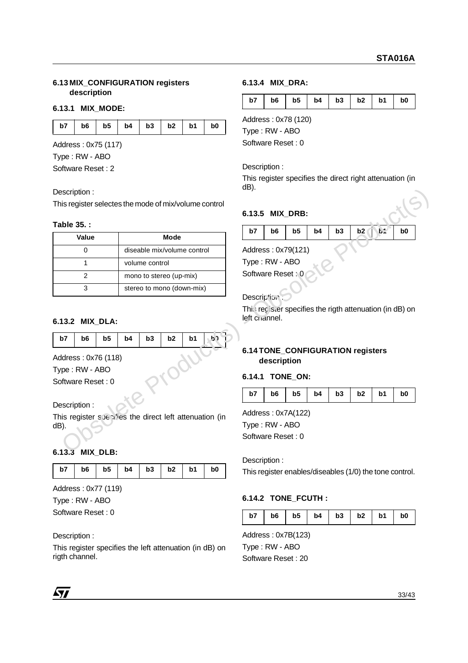### **6.13 MIX\_CONFIGURATION registers description**

### **6.13.1 MIX\_MODE:**

| b7   b6   b5   b4   b3   b2   b1 | b <sub>0</sub> |
|----------------------------------|----------------|
|----------------------------------|----------------|

Address : 0x75 (117)

Type : RW - ABO

Software Reset : 2

### **Table 35. :**

| Table 35.:                                                                     |    |                |                         |                             |    | b7                                                       | b <sub>6</sub> | b <sub>5</sub> | b4 | b3 | b <sub>2</sub> | $b^*$ | b <sub>0</sub> |
|--------------------------------------------------------------------------------|----|----------------|-------------------------|-----------------------------|----|----------------------------------------------------------|----------------|----------------|----|----|----------------|-------|----------------|
| Value                                                                          |    |                | <b>Mode</b>             |                             |    |                                                          |                |                |    |    |                |       |                |
| $\mathbf 0$                                                                    |    |                |                         | diseable mix/volume control |    | Address: 0x79(121)                                       |                |                |    |    |                |       |                |
| $\mathbf 1$                                                                    |    | volume control |                         |                             |    | Type: RW - ABO                                           |                |                |    |    |                |       |                |
| $\overline{2}$                                                                 |    |                | mono to stereo (up-mix) |                             |    | Software Reset: 0                                        |                |                |    |    |                |       |                |
| 3                                                                              |    |                |                         | stereo to mono (down-mix)   |    |                                                          |                |                |    |    |                |       |                |
|                                                                                |    |                |                         |                             |    | Description                                              |                |                |    |    |                |       |                |
|                                                                                |    |                |                         |                             |    |                                                          |                |                |    |    |                |       |                |
|                                                                                |    |                |                         |                             |    | This recister specifies the rigth attenuation (in dB) on |                |                |    |    |                |       |                |
|                                                                                |    |                |                         |                             |    | left criannel.                                           |                |                |    |    |                |       |                |
|                                                                                |    |                |                         |                             |    |                                                          |                |                |    |    |                |       |                |
| b7<br>b <sub>5</sub><br>b6                                                     | b4 | b3             | b2                      | b <sub>1</sub>              | b٦ |                                                          |                |                |    |    |                |       |                |
|                                                                                |    |                |                         |                             |    | 6.14 TONE_CONFIGURATION registers                        |                |                |    |    |                |       |                |
|                                                                                |    |                |                         |                             |    |                                                          | description    |                |    |    |                |       |                |
|                                                                                |    |                |                         |                             |    |                                                          |                |                |    |    |                |       |                |
|                                                                                |    |                |                         |                             |    | 6.14.1 TONE_ON:                                          |                |                |    |    |                |       |                |
| 6.13.2 MIX_DLA:<br>Address: 0x76 (118)<br>Type: RW - ABO<br>Software Reset: 0  |    |                |                         |                             |    | b7                                                       | b <sub>6</sub> | b <sub>5</sub> | b4 | b3 | b2             | b1    | b <sub>0</sub> |
|                                                                                |    |                |                         |                             |    |                                                          |                |                |    |    |                |       |                |
|                                                                                |    |                |                         |                             |    | Address: 0x7A(122)                                       |                |                |    |    |                |       |                |
| Description:<br>This register spealies the direct left attenuation (in<br>dB). |    |                |                         |                             |    | Type: RW - ABO                                           |                |                |    |    |                |       |                |

### **6.13.2 MIX\_DLA:**

| $ $ b7 | b6 |  | $b5$   $b4$   $b3$   $b2$   $b1$ |  |  |
|--------|----|--|----------------------------------|--|--|
|        |    |  |                                  |  |  |

## **6.13.3 MIX\_DLB:**

| b7   b6   b5   b4   b3   b2   b1   b0 |  |  |  |
|---------------------------------------|--|--|--|
|---------------------------------------|--|--|--|

Address : 0x77 (119)

Type : RW - ABO

Software Reset : 0

### Description :

This register specifies the left attenuation (in dB) on rigth channel.

### **6.13.4 MIX\_DRA:**

| b7   b6   b5   b4   b3   b2   b1   b0 |  |  |  |  |  |  |  |
|---------------------------------------|--|--|--|--|--|--|--|
|---------------------------------------|--|--|--|--|--|--|--|

Address : 0x78 (120)

Type : RW - ABO

Software Reset : 0

Description :

This register specifies the direct right attenuation (in dB).

## **6.13.5 MIX\_DRB:**

|  |  | b7   b6   b5   b4   b3   b2   b:   b0 |  |
|--|--|---------------------------------------|--|

## **6.14 TONE\_CONFIGURATION registers description**

### **6.14.1 TONE\_ON:**

|  | b7   b6   b5   b4   b3   b2   b1   b0 |  |  |  |  |  |
|--|---------------------------------------|--|--|--|--|--|
|--|---------------------------------------|--|--|--|--|--|

## **6.14.2 TONE\_FCUTH :**

| b7   b6   b5   b4   b3   b2   b1   b0 |
|---------------------------------------|
|---------------------------------------|

Address : 0x7B(123) Type : RW - ABO Software Reset : 20

71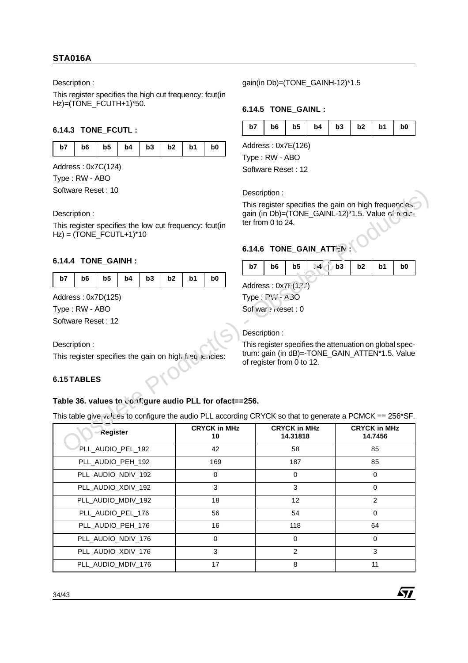## **STA016A**

Description :

This register specifies the high cut frequency: fcut(in Hz)=(TONE\_FCUTH+1)\*50.

## **6.14.3 TONE\_FCUTL :**

| b7<br>b1<br>b <sub>0</sub> |
|----------------------------|
|----------------------------|

Address : 0x7C(124)

Type : RW - ABO

Software Reset : 10

## **6.14.4 TONE\_GAINH :**

| b7   b6   b5   b4   b3   b2   b1   b0 |  |  |  |  |
|---------------------------------------|--|--|--|--|

## **6.15 TABLES**

## gain(in Db)=(TONE\_GAINH-12)\*1.5

## **6.14.5 TONE\_GAINL :**

|  | $b7$   $b6$   $b5$   $b4$   $b3$   $b2$   $b1$   $b0$ |
|--|-------------------------------------------------------|
|--|-------------------------------------------------------|

Address : 0x7E(126) Type : RW - ABO

Software Reset : 12

## **6.14.6 TONE GAIN ATTEN**



47

## **Table 36. values to configure audio PLL for ofact==256.**

| Software Reset : 10                                                                                                                                                                         |                            | Description:                                                                                                                    |                                |    |
|---------------------------------------------------------------------------------------------------------------------------------------------------------------------------------------------|----------------------------|---------------------------------------------------------------------------------------------------------------------------------|--------------------------------|----|
| Description:<br>This register specifies the low cut frequency: fcut(in<br>$Hz$ ) = (TONE FCUTL+1)*10                                                                                        |                            | This register specifies the gain on high frequencles.<br>gain (in Db)=(TONE_GAINL-12)*1.5. Value of regis-<br>ter from 0 to 24. |                                |    |
|                                                                                                                                                                                             |                            | 6.14.6 TONE GAIN ATTEN                                                                                                          |                                |    |
| 6.14.4 TONE GAINH :                                                                                                                                                                         |                            | $-4$ $1$ b3<br>b7<br>b <sub>6</sub><br>b5                                                                                       | b2<br>b1                       | b0 |
| b7<br>b6<br>b <sub>5</sub><br>b3<br>b4                                                                                                                                                      | b2<br>b1<br>b <sub>0</sub> | Address: 0x7F(1.?.')                                                                                                            |                                |    |
| Address: 0x7D(125)                                                                                                                                                                          |                            | Type: ?\", - 4 30                                                                                                               |                                |    |
| Type: RW - ABO                                                                                                                                                                              |                            | Sof war > Reset : 0                                                                                                             |                                |    |
| Software Reset: 12                                                                                                                                                                          |                            |                                                                                                                                 |                                |    |
|                                                                                                                                                                                             |                            | Description:                                                                                                                    |                                |    |
|                                                                                                                                                                                             |                            | This register specifies the attenuation on global spec-                                                                         |                                |    |
|                                                                                                                                                                                             |                            |                                                                                                                                 |                                |    |
| Description:<br>This register specifies the gain on high frequencies:<br>6.15 TABLES                                                                                                        |                            | trum: gain (in dB)=-TONE_GAIN_ATTEN*1.5. Value<br>of register from 0 to 12.                                                     |                                |    |
| Register                                                                                                                                                                                    | <b>CRYCK in MHz</b><br>10  | <b>CRYCK in MHz</b><br>14.31818                                                                                                 | <b>CRYCK in MHz</b><br>14.7456 |    |
| PLL_AUDIO_PEL_192                                                                                                                                                                           | 42                         | 58                                                                                                                              | 85                             |    |
| PLL_AUDIO_PEH_192                                                                                                                                                                           | 169                        | 187                                                                                                                             | 85                             |    |
| PLL_AUDIO_NDIV_192                                                                                                                                                                          | $\mathbf 0$                | $\mathbf 0$                                                                                                                     | 0                              |    |
| PLL_AUDIO_XDIV_192                                                                                                                                                                          | 3                          | 3                                                                                                                               | 0                              |    |
| PLL_AUDIO_MDIV_192                                                                                                                                                                          | 18                         | 12                                                                                                                              | $\overline{2}$                 |    |
| PLL_AUDIO_PEL_176                                                                                                                                                                           | 56                         | 54                                                                                                                              | 0                              |    |
| Table 36. values to configure audio PLL for ofact==256.<br>This table give values to configure the audio PLL according CRYCK so that to generate a PCMCK $== 256*$ SF.<br>PLL_AUDIO_PEH_176 | 16                         | 118                                                                                                                             | 64                             |    |
| PLL_AUDIO_NDIV_176                                                                                                                                                                          | $\pmb{0}$                  | $\mathsf 0$                                                                                                                     | $\pmb{0}$                      |    |
| PLL_AUDIO_XDIV_176                                                                                                                                                                          | 3                          | 2                                                                                                                               | 3                              |    |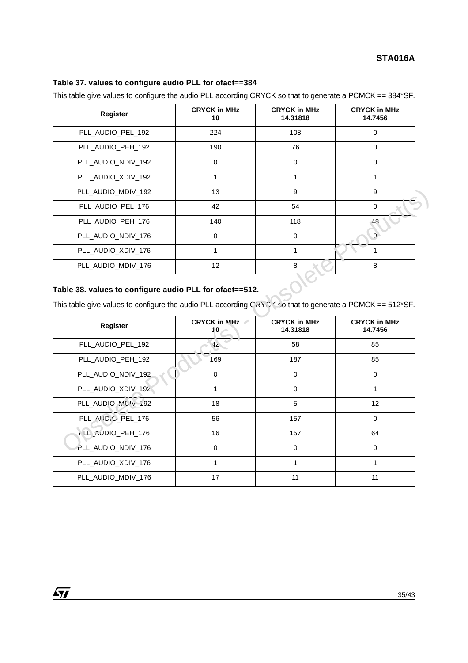## **Table 37. values to configure audio PLL for ofact==384**

This table give values to configure the audio PLL according CRYCK so that to generate a PCMCK == 384\*SF.

| Register           | <b>CRYCK in MHz</b><br>10 | <b>CRYCK in MHz</b><br>14.31818 | <b>CRYCK in MHz</b><br>14.7456 |
|--------------------|---------------------------|---------------------------------|--------------------------------|
| PLL_AUDIO_PEL_192  | 224                       | 108                             | 0                              |
| PLL_AUDIO_PEH_192  | 190                       | 76                              | 0                              |
| PLL_AUDIO_NDIV_192 | 0                         | $\Omega$                        | $\Omega$                       |
| PLL_AUDIO_XDIV_192 |                           | 1                               |                                |
| PLL_AUDIO_MDIV_192 | 13                        | 9                               | 9                              |
| PLL_AUDIO_PEL_176  | 42                        | 54                              | $\Omega$                       |
| PLL AUDIO PEH 176  | 140                       | 118                             | 48                             |
| PLL_AUDIO_NDIV_176 | 0                         | 0                               | $\Omega$                       |
| PLL_AUDIO_XDIV_176 |                           |                                 |                                |
| PLL_AUDIO_MDIV_176 | 12                        | 8                               | 8                              |

## **Table 38. values to configure audio PLL for ofact==512.**

57

| PLL_AUDIO_MDIV_192                                                                                                                                                  | 13              | 9                   | 9                   |
|---------------------------------------------------------------------------------------------------------------------------------------------------------------------|-----------------|---------------------|---------------------|
| PLL_AUDIO_PEL_176                                                                                                                                                   | 42              | 54                  | 0                   |
| PLL_AUDIO_PEH_176                                                                                                                                                   | 140             | 118                 | 48                  |
| PLL_AUDIO_NDIV_176                                                                                                                                                  | $\Omega$        | $\mathbf 0$         | $\mathbf{0}$        |
| PLL_AUDIO_XDIV_176                                                                                                                                                  | 1               | $\mathbf{1}$        | 1                   |
| PLL_AUDIO_MDIV_176                                                                                                                                                  | 12              | 8                   | 8                   |
| Table 38. values to configure audio PLL for ofact==512.<br>This table give values to configure the audio PLL according CRYCK so that to generate a PCMCK == 512*SF. |                 |                     |                     |
|                                                                                                                                                                     | CRYCK in MHz ←  | <b>CRYCK in MHz</b> | <b>CRYCK in MHz</b> |
| <b>Register</b>                                                                                                                                                     | 10              | 14.31818            | 14.7456             |
| PLL_AUDIO_PEL_192                                                                                                                                                   | 42 <sub>1</sub> | 58                  | 85                  |
| PLL_AUDIO_PEH_192                                                                                                                                                   | 169             | 187                 | 85                  |
| PLL_AUDIO_NDIV_192                                                                                                                                                  | $\mathbf 0$     | $\mathbf 0$         | $\pmb{0}$           |
| PLL_AUDIO_XDIV_192                                                                                                                                                  | 1               | $\mathbf 0$         | $\mathbf{1}$        |
| PLL_AUDIO_MC'V_192                                                                                                                                                  | 18              | 5                   | 12                  |
| PLL_AUD.C_PEL_176                                                                                                                                                   | 56              | 157                 | $\mathbf 0$         |
| LL_AUDIO_PEH_176                                                                                                                                                    | 16              | 157                 | 64                  |
| PLL_AUDIO_NDIV_176                                                                                                                                                  | $\mathbf 0$     | $\mathbf 0$         | $\mathbf 0$         |
| PLL_AUDIO_XDIV_176                                                                                                                                                  | 1               | $\mathbf{1}$        | 1                   |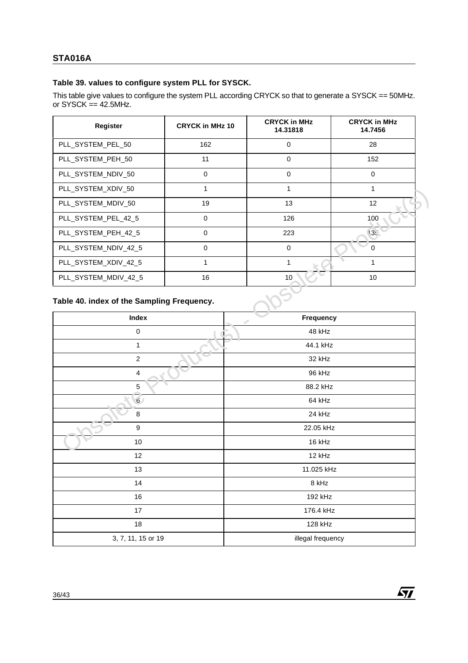## **Table 39. values to configure system PLL for SYSCK.**

This table give values to configure the system PLL according CRYCK so that to generate a SYSCK == 50MHz. or  $SYSCK = 42.5MHz$ .

| Register             | <b>CRYCK in MHz 10</b> | <b>CRYCK in MHz</b><br>14.31818 | <b>CRYCK in MHz</b><br>14.7456 |
|----------------------|------------------------|---------------------------------|--------------------------------|
| PLL_SYSTEM_PEL_50    | 162                    | $\Omega$                        | 28                             |
| PLL_SYSTEM_PEH_50    | 11                     | $\Omega$                        | 152                            |
| PLL_SYSTEM_NDIV_50   | $\Omega$               | $\Omega$                        | $\Omega$                       |
| PLL_SYSTEM_XDIV_50   |                        | 1                               |                                |
| PLL SYSTEM MDIV 50   | 19                     | 13                              | 12                             |
| PLL_SYSTEM_PEL_42_5  | $\Omega$               | 126                             | 100                            |
| PLL_SYSTEM_PEH_42_5  | $\Omega$               | 223                             | 13t                            |
| PLL SYSTEM NDIV 42 5 | $\Omega$               | $\Omega$                        | $\Omega$                       |
| PLL_SYSTEM_XDIV_42_5 |                        |                                 |                                |
| PLL SYSTEM MDIV 42 5 | 16                     | 10                              | 10                             |

### **Table 40. index of the Sampling Frequency.**

| PLL_SYSIEM_XDIV_50                                  | -1           | 1                  | 1            |  |  |
|-----------------------------------------------------|--------------|--------------------|--------------|--|--|
| PLL_SYSTEM_MDIV_50                                  | 19           | 13                 | 12           |  |  |
| PLL_SYSTEM_PEL_42_5                                 | $\mathbf 0$  | 126                | 100          |  |  |
| PLL_SYSTEM_PEH_42_5                                 | $\mathbf 0$  | 223                | 13t          |  |  |
| PLL_SYSTEM_NDIV_42_5                                | $\pmb{0}$    | $\pmb{0}$          | $\pmb{0}$    |  |  |
| PLL_SYSTEM_XDIV_42_5                                | $\mathbf{1}$ | $\mathbf{1}$       | $\mathbf{1}$ |  |  |
| PLL_SYSTEM_MDIV_42_5                                | 16           | 10                 | $10\,$       |  |  |
| Table 40. index of the Sampling Frequency.<br>Index |              | Frequency          |              |  |  |
| $\mathsf 0$                                         |              | 48 kHz             |              |  |  |
| 1                                                   |              |                    |              |  |  |
| $\overline{2}$                                      |              | 44.1 kHz<br>32 kHz |              |  |  |
| $\overline{\mathbf{4}}$                             |              | 96 kHz             |              |  |  |
| 5                                                   |              | 88.2 kHz           |              |  |  |
| $\mathfrak{g}$                                      |              | 64 kHz             |              |  |  |
| 8                                                   |              | 24 kHz             |              |  |  |
| 9                                                   |              | 22.05 kHz          |              |  |  |
| 10                                                  |              | 16 kHz             |              |  |  |
| 12                                                  |              | 12 kHz             |              |  |  |
| 13                                                  |              | 11.025 kHz         |              |  |  |
| 14                                                  |              | 8 kHz              |              |  |  |
| 16                                                  |              | 192 kHz            |              |  |  |
| 17                                                  | 176.4 kHz    |                    |              |  |  |
| 128 kHz<br>18                                       |              |                    |              |  |  |
| 3, 7, 11, 15 or 19                                  |              | illegal frequency  |              |  |  |
|                                                     |              |                    |              |  |  |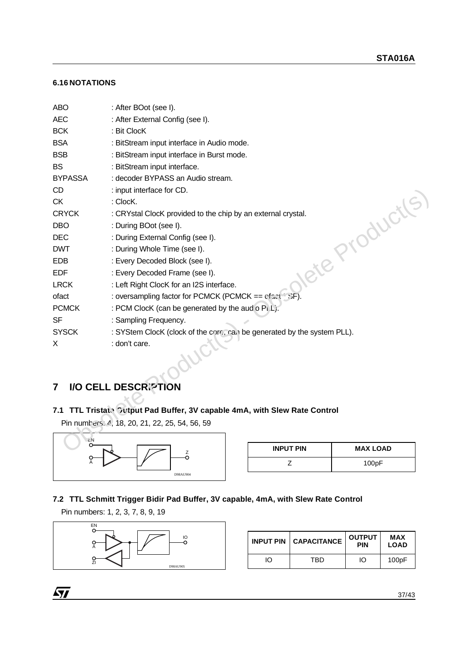## **6.16 NOTATIONS**

| <b>ABO</b>     | : After BOot (see I).                                                   |                  |                 |
|----------------|-------------------------------------------------------------------------|------------------|-----------------|
| <b>AEC</b>     | : After External Config (see I).                                        |                  |                 |
| <b>BCK</b>     | : Bit ClocK                                                             |                  |                 |
| <b>BSA</b>     | : BitStream input interface in Audio mode.                              |                  |                 |
| <b>BSB</b>     | : BitStream input interface in Burst mode.                              |                  |                 |
| <b>BS</b>      | : BitStream input interface.                                            |                  |                 |
| <b>BYPASSA</b> | : decoder BYPASS an Audio stream.                                       |                  |                 |
| <b>CD</b>      | : input interface for CD.                                               |                  |                 |
| <b>CK</b>      | : ClocK.                                                                |                  |                 |
| <b>CRYCK</b>   | : CRYstal ClocK provided to the chip by an external crystal.            |                  |                 |
| <b>DBO</b>     | : During BOot (see I).                                                  |                  |                 |
| <b>DEC</b>     | : During External Config (see I).                                       |                  |                 |
| <b>DWT</b>     | : During Whole Time (see I).                                            |                  | lete Productis  |
| <b>EDB</b>     | : Every Decoded Block (see I).                                          |                  |                 |
| <b>EDF</b>     | : Every Decoded Frame (see I).                                          |                  |                 |
| <b>LRCK</b>    | : Left Right ClocK for an I2S interface.                                |                  |                 |
| ofact          | : oversampling factor for PCMCK (PCMCK == efact (s)F)                   |                  |                 |
| <b>PCMCK</b>   | : PCM ClocK (can be generated by the aud o Pi.L).                       |                  |                 |
| <b>SF</b>      | : Sampling Frequency.                                                   |                  |                 |
| <b>SYSCK</b>   | : SYStem ClocK (clock of the core, can be generated by the system PLL). |                  |                 |
| X              | : don't care.                                                           |                  |                 |
|                |                                                                         |                  |                 |
|                |                                                                         |                  |                 |
| $\overline{7}$ | I/O CELL DESCRIPTION                                                    |                  |                 |
|                |                                                                         |                  |                 |
| 7.1            | TTL Tristate Cutput Pad Buffer, 3V capable 4mA, with Slew Rate Control  |                  |                 |
|                | Pin numbers: 4, 18, 20, 21, 22, 25, 54, 56, 59                          |                  |                 |
|                |                                                                         |                  |                 |
| ΞN<br>о        | $\mathsf Z$                                                             | <b>INPUT PIN</b> | <b>MAX LOAD</b> |
|                | O                                                                       | Z                | 100pF           |
|                | D98AU904                                                                |                  |                 |

## **7 I/O CELL DESCRIPTION**

## **7.1 TTL Tristate Output Pad Buffer, 3V capable 4mA, with Slew Rate Control**



| <b>INPUT PIN</b> | <b>MAX LOAD</b> |
|------------------|-----------------|
|                  | 100pF           |

## **7.2 TTL Schmitt Trigger Bidir Pad Buffer, 3V capable, 4mA, with Slew Rate Control**

Pin numbers: 1, 2, 3, 7, 8, 9, 19



|    | <b>INPUT PIN   CAPACITANCE</b> | <b>OUTPUT</b><br><b>PIN</b> | <b>MAX</b><br><b>LOAD</b> |
|----|--------------------------------|-----------------------------|---------------------------|
| ΙO | TBD                            | ΙO                          | 100pF                     |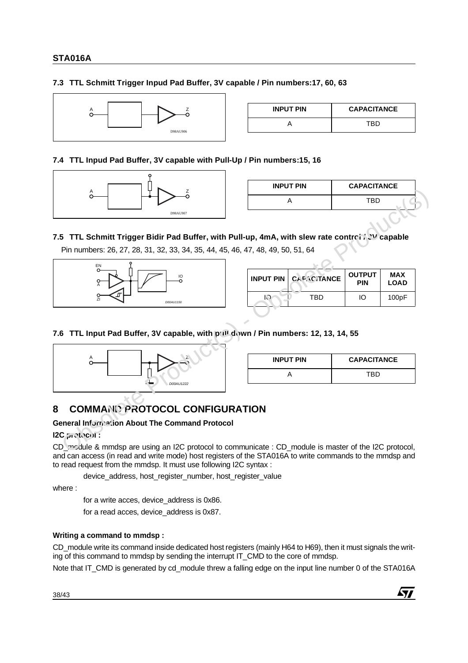## **7.3 TTL Schmitt Trigger Inpud Pad Buffer, 3V capable / Pin numbers:17, 60, 63**



| <b>INPUT PIN</b> | <b>CAPACITANCE</b> |
|------------------|--------------------|
|                  | TBD.               |

## **7.4 TTL Inpud Pad Buffer, 3V capable with Pull-Up / Pin numbers:15, 16**



| <b>INPUT PIN</b> | <b>CAPACITANCE</b> |  |
|------------------|--------------------|--|
|                  | <b>TRD</b>         |  |
|                  |                    |  |

## **7.5 TTL Schmitt Trigger Bidir Pad Buffer, with Pull-up, 4mA, with slew rate control / 3V capable**

Pin numbers: 26, 27, 28, 31, 32, 33, 34, 35, 44, 45, 46, 47, 48, 49, 50, 51, 64



| <b>INPUT PIN   CAPACITANCE</b> | <b>OUTPUT</b><br><b>PIN</b> | <b>MAX</b><br><b>LOAD</b> |
|--------------------------------|-----------------------------|---------------------------|
| TRD                            | m                           | 100pF                     |

## **7.6 TTL Input Pad Buffer, 3V capable, with pull down / Pin numbers: 12, 13, 14, 55**



| <b>INPUT PIN</b> | <b>CAPACITANCE</b> |
|------------------|--------------------|
|                  | TRD                |

## **8 COMMAND PROTOCOL CONFIGURATION**

## **General Information About The Command Protocol**

**I2C protocol :**

CD\_module & mmdsp are using an I2C protocol to communicate : CD\_module is master of the I2C protocol, and can access (in read and write mode) host registers of the STA016A to write commands to the mmdsp and to read request from the mmdsp. It must use following I2C syntax :

device\_address, host\_register\_number, host\_register\_value

where :

for a write acces, device\_address is 0x86.

for a read acces, device\_address is 0x87.

## **Writing a command to mmdsp :**

CD\_module write its command inside dedicated host registers (mainly H64 to H69), then it must signals the writing of this command to mmdsp by sending the interrupt IT\_CMD to the core of mmdsp.

Note that IT\_CMD is generated by cd\_module threw a falling edge on the input line number 0 of the STA016A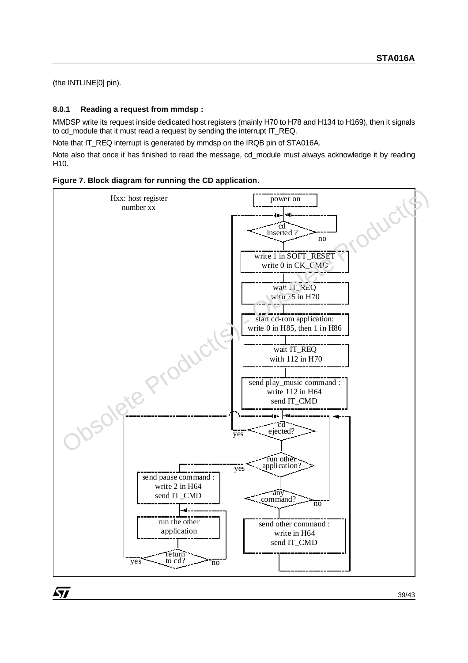(the INTLINE[0] pin).

## **8.0.1 Reading a request from mmdsp :**

MMDSP write its request inside dedicated host registers (mainly H70 to H78 and H134 to H169), then it signals to cd\_module that it must read a request by sending the interrupt IT\_REQ.

Note that IT\_REQ interrupt is generated by mmdsp on the IRQB pin of STA016A.

Note also that once it has finished to read the message, cd\_module must always acknowledge it by reading H10.



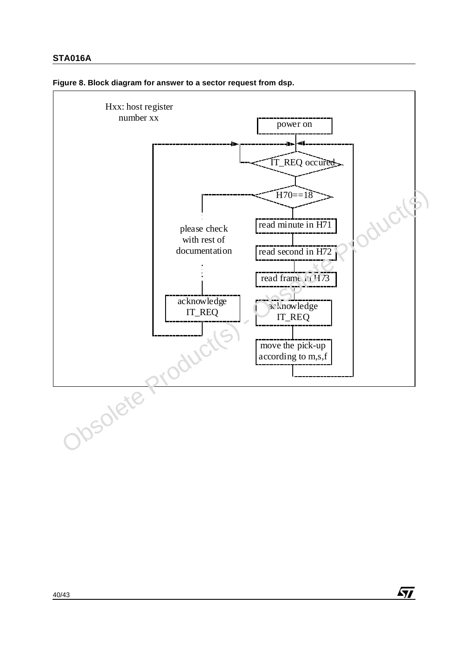

 $\sqrt{M}$ 

### **Figure 8. Block diagram for answer to a sector request from dsp.**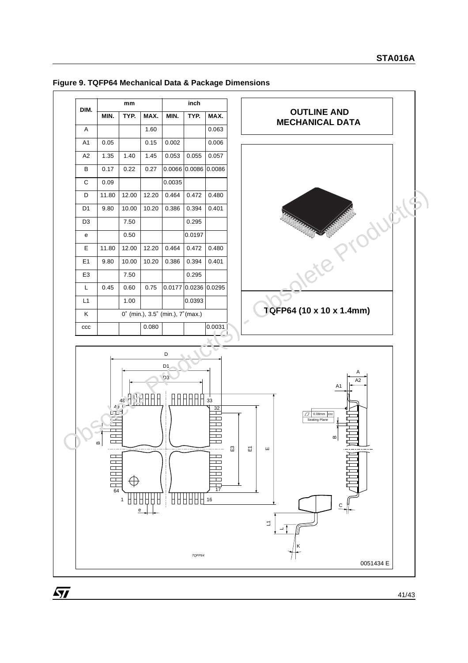## **Figure 9. TQFP64 Mechanical Data & Package Dimensions**

57



41/43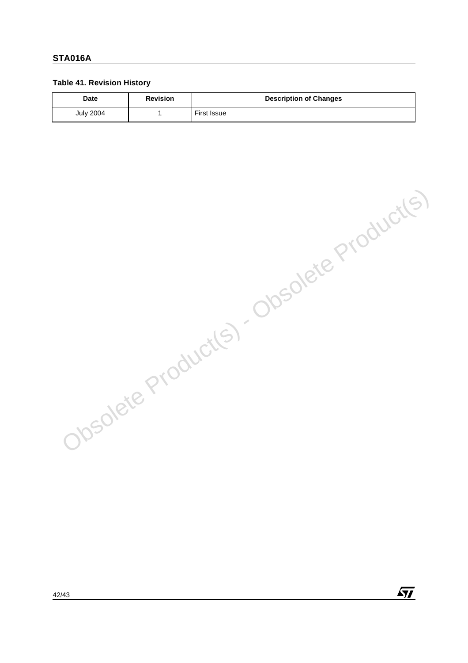## **Table 41. Revision History**

| <b>Date</b>      | <b>Revision</b> | <b>Description of Changes</b> |
|------------------|-----------------|-------------------------------|
| <b>July 2004</b> |                 | First Issue                   |

Obsolete Product(s) - Obsolete Product(s)

 $\sqrt{M}$